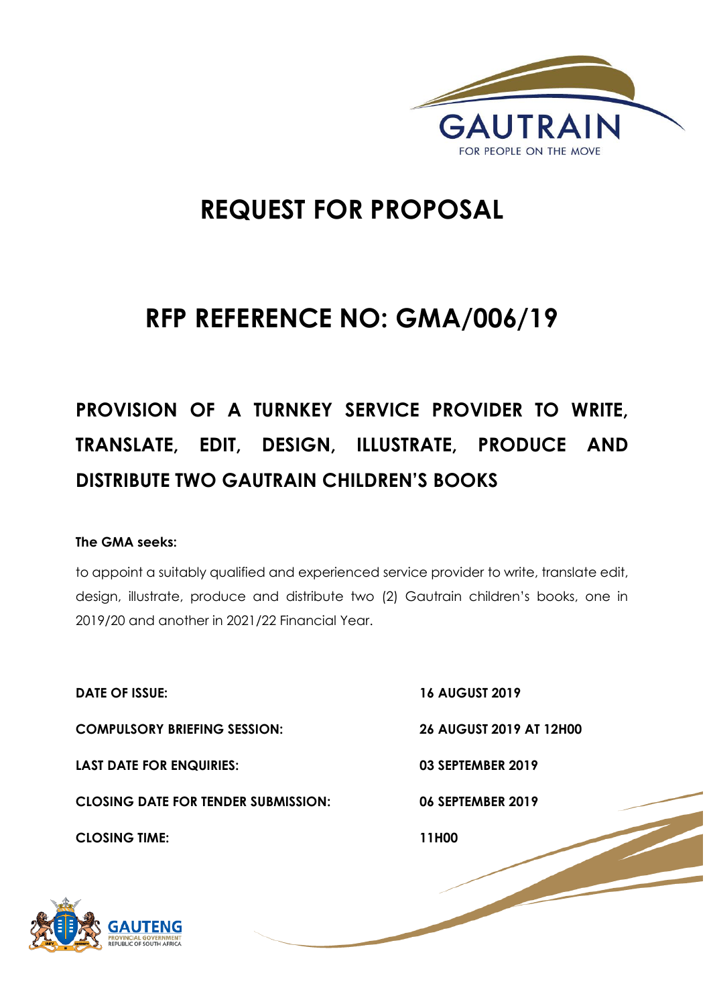

# **REQUEST FOR PROPOSAL**

# **RFP REFERENCE NO: GMA/006/19**

# **PROVISION OF A TURNKEY SERVICE PROVIDER TO WRITE, TRANSLATE, EDIT, DESIGN, ILLUSTRATE, PRODUCE AND DISTRIBUTE TWO GAUTRAIN CHILDREN'S BOOKS**

# **The GMA seeks:**

to appoint a suitably qualified and experienced service provider to write, translate edit, design, illustrate, produce and distribute two (2) Gautrain children's books, one in 2019/20 and another in 2021/22 Financial Year.

**DATE OF ISSUE: 16 AUGUST 2019 COMPULSORY BRIEFING SESSION: 26 AUGUST 2019 AT 12H00 LAST DATE FOR ENQUIRIES: 03 SEPTEMBER 2019 CLOSING DATE FOR TENDER SUBMISSION: 06 SEPTEMBER 2019 CLOSING TIME: 11H00** 

1 | P a g e

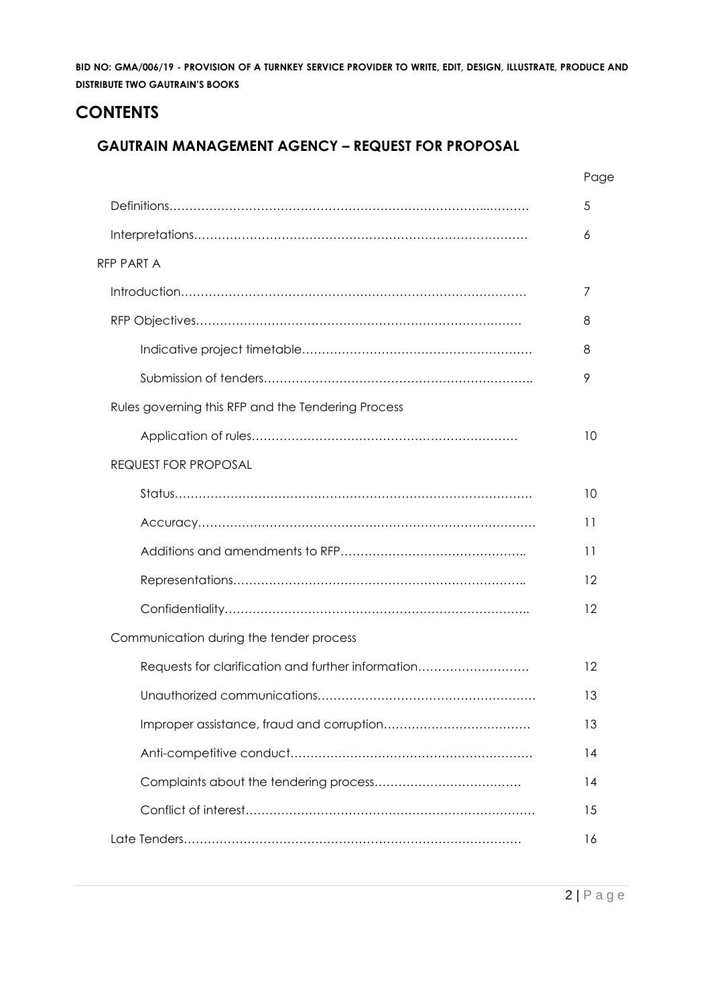# **CONTENTS**

# **GAUTRAIN MANAGEMENT AGENCY – REQUEST FOR PROPOSAL**

|                                                    | Page |
|----------------------------------------------------|------|
|                                                    | 5    |
|                                                    | 6    |
| RFP PART A                                         |      |
|                                                    | 7    |
|                                                    | 8    |
|                                                    | 8    |
|                                                    | 9    |
| Rules governing this RFP and the Tendering Process |      |
|                                                    | 10   |
| <b>REQUEST FOR PROPOSAL</b>                        |      |
|                                                    | 10   |
|                                                    | 11   |
|                                                    | 11   |
|                                                    | 12   |
|                                                    | 12   |
| Communication during the tender process            |      |
| Requests for clarification and further information | 12   |
|                                                    | 13   |
|                                                    | 13   |
|                                                    | 14   |
|                                                    | 14   |
|                                                    | 15   |
|                                                    | 16   |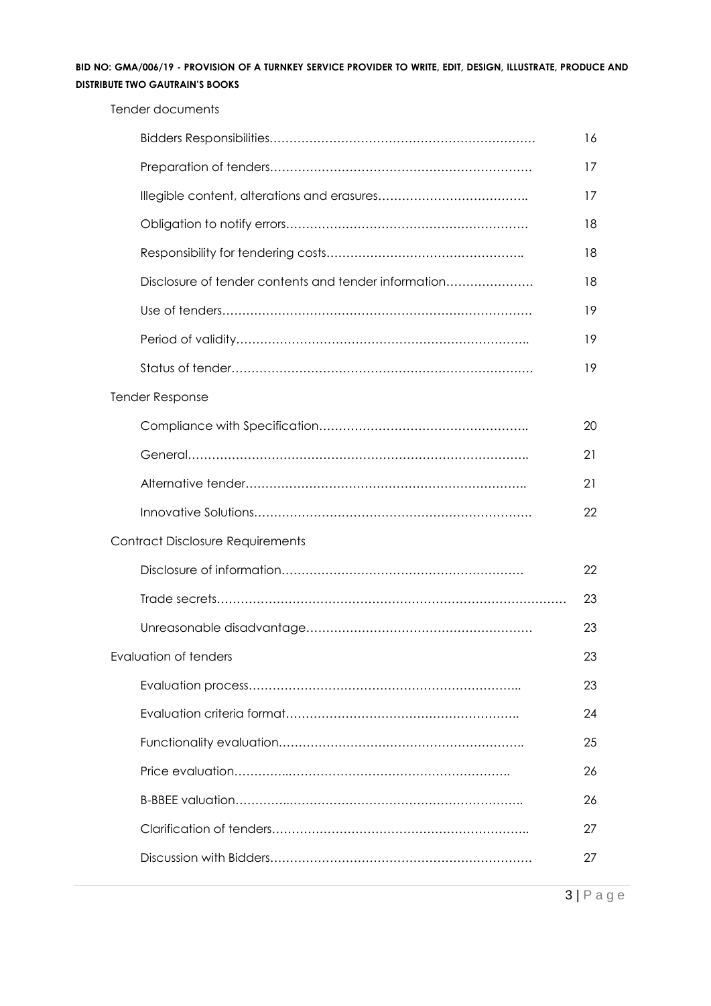Tender documents

|                                                      | 16 |
|------------------------------------------------------|----|
|                                                      | 17 |
|                                                      | 17 |
|                                                      | 18 |
|                                                      | 18 |
| Disclosure of tender contents and tender information | 18 |
|                                                      | 19 |
|                                                      | 19 |
|                                                      | 19 |
| <b>Tender Response</b>                               |    |
|                                                      | 20 |
|                                                      | 21 |
|                                                      | 21 |
|                                                      | 22 |
| <b>Contract Disclosure Requirements</b>              |    |
|                                                      | 22 |
|                                                      | 23 |
|                                                      | 23 |
| Evaluation of tenders                                | 23 |
|                                                      | 23 |
|                                                      | 24 |
|                                                      | 25 |
|                                                      | 26 |
|                                                      | 26 |
|                                                      | 27 |
|                                                      | 27 |
|                                                      |    |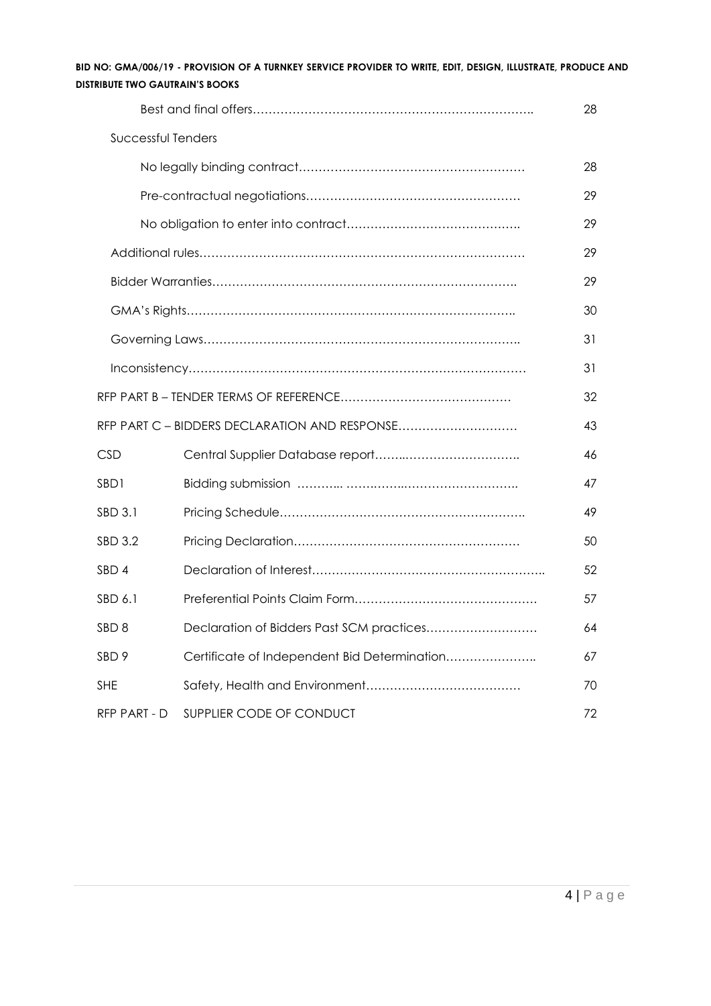| BID NO: GMA/006/19 - PROVISION OF A TURNKEY SERVICE PROVIDER TO WRITE. EDIT. DESIGN. ILLUSTRATE. PRODUCE AND |  |  |  |  |  |
|--------------------------------------------------------------------------------------------------------------|--|--|--|--|--|
| <b>DISTRIBUTE TWO GAUTRAIN'S BOOKS</b>                                                                       |  |  |  |  |  |

|                    |                                               | 28 |
|--------------------|-----------------------------------------------|----|
| Successful Tenders |                                               |    |
|                    |                                               | 28 |
|                    |                                               | 29 |
|                    |                                               | 29 |
|                    |                                               | 29 |
|                    |                                               | 29 |
|                    |                                               | 30 |
|                    |                                               | 31 |
|                    |                                               | 31 |
|                    |                                               | 32 |
|                    | RFP PART C - BIDDERS DECLARATION AND RESPONSE | 43 |
| <b>CSD</b>         |                                               | 46 |
| SBD1               |                                               | 47 |
| SBD 3.1            |                                               | 49 |
| <b>SBD 3.2</b>     |                                               | 50 |
| SBD 4              |                                               | 52 |
| SBD 6.1            |                                               | 57 |
| SBD <sub>8</sub>   | Declaration of Bidders Past SCM practices     | 64 |
| SBD <sub>9</sub>   | Certificate of Independent Bid Determination  | 67 |
| <b>SHE</b>         |                                               | 70 |
| RFP PART - D       | SUPPLIER CODE OF CONDUCT                      | 72 |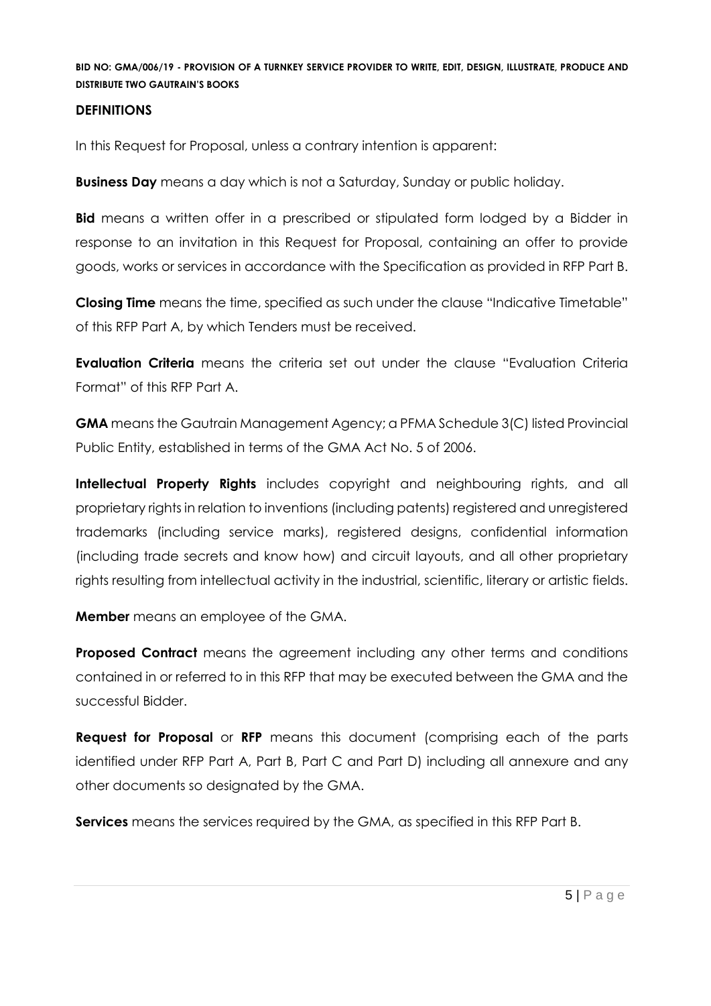#### **DEFINITIONS**

In this Request for Proposal, unless a contrary intention is apparent:

**Business Day** means a day which is not a Saturday, Sunday or public holiday.

**Bid** means a written offer in a prescribed or stipulated form lodged by a Bidder in response to an invitation in this Request for Proposal, containing an offer to provide goods, works or services in accordance with the Specification as provided in RFP Part B.

**Closing Time** means the time, specified as such under the clause "Indicative Timetable" of this RFP Part A, by which Tenders must be received.

**Evaluation Criteria** means the criteria set out under the clause "Evaluation Criteria Format" of this RFP Part A.

**GMA** means the Gautrain Management Agency; a PFMA Schedule 3(C) listed Provincial Public Entity, established in terms of the GMA Act No. 5 of 2006.

**Intellectual Property Rights** includes copyright and neighbouring rights, and all proprietary rights in relation to inventions (including patents) registered and unregistered trademarks (including service marks), registered designs, confidential information (including trade secrets and know how) and circuit layouts, and all other proprietary rights resulting from intellectual activity in the industrial, scientific, literary or artistic fields.

**Member** means an employee of the GMA.

**Proposed Contract** means the agreement including any other terms and conditions contained in or referred to in this RFP that may be executed between the GMA and the successful Bidder.

**Request for Proposal** or **RFP** means this document (comprising each of the parts identified under RFP Part A, Part B, Part C and Part D) including all annexure and any other documents so designated by the GMA.

**Services** means the services required by the GMA, as specified in this RFP Part B.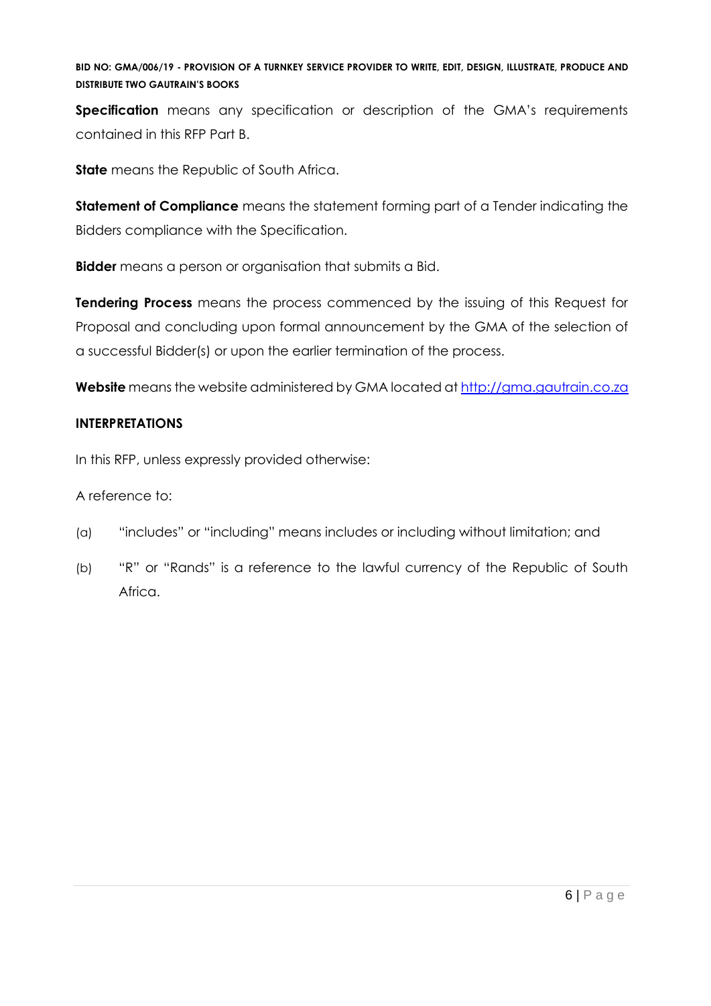**Specification** means any specification or description of the GMA's requirements contained in this RFP Part B.

**State** means the Republic of South Africa.

**Statement of Compliance** means the statement forming part of a Tender indicating the Bidders compliance with the Specification.

**Bidder** means a person or organisation that submits a Bid.

**Tendering Process** means the process commenced by the issuing of this Request for Proposal and concluding upon formal announcement by the GMA of the selection of a successful Bidder(s) or upon the earlier termination of the process.

**Website** means the website administered by GMA located at [http://gma.gautrain.co.za](http://gma.gautrain.co.za/)

# **INTERPRETATIONS**

In this RFP, unless expressly provided otherwise:

A reference to:

- (a) "includes" or "including" means includes or including without limitation; and
- (b) "R" or "Rands" is a reference to the lawful currency of the Republic of South Africa.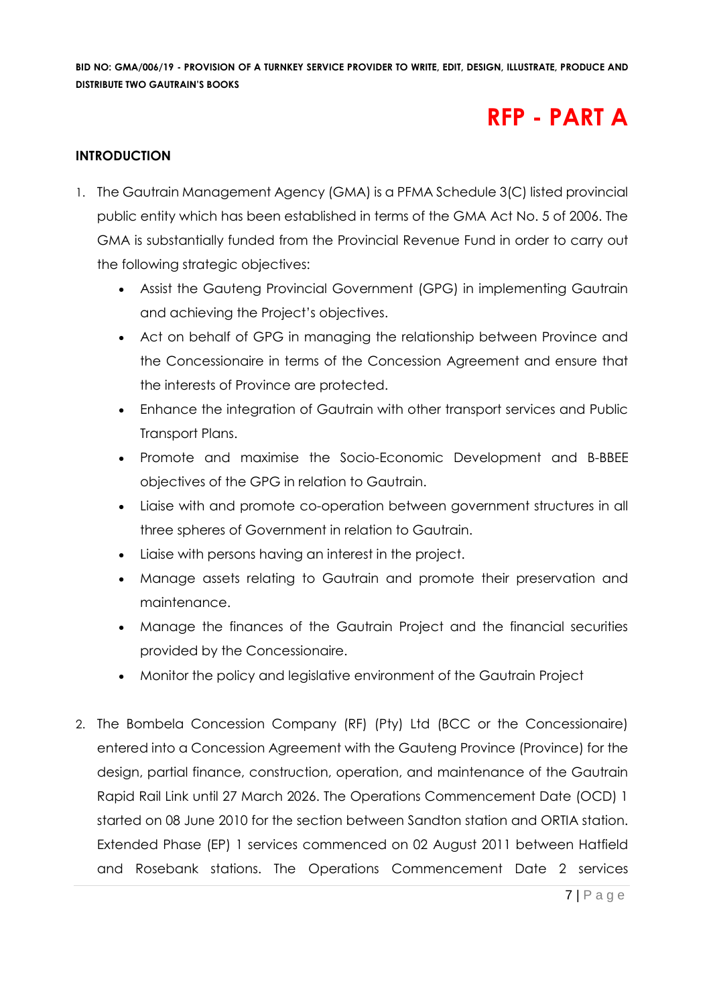# **RFP - PART A**

#### **INTRODUCTION**

- 1. The Gautrain Management Agency (GMA) is a PFMA Schedule 3(C) listed provincial public entity which has been established in terms of the GMA Act No. 5 of 2006. The GMA is substantially funded from the Provincial Revenue Fund in order to carry out the following strategic objectives:
	- Assist the Gauteng Provincial Government (GPG) in implementing Gautrain and achieving the Project's objectives.
	- Act on behalf of GPG in managing the relationship between Province and the Concessionaire in terms of the Concession Agreement and ensure that the interests of Province are protected.
	- Enhance the integration of Gautrain with other transport services and Public Transport Plans.
	- Promote and maximise the Socio-Economic Development and B-BBEE objectives of the GPG in relation to Gautrain.
	- Liaise with and promote co-operation between government structures in all three spheres of Government in relation to Gautrain.
	- Liaise with persons having an interest in the project.
	- Manage assets relating to Gautrain and promote their preservation and maintenance.
	- Manage the finances of the Gautrain Project and the financial securities provided by the Concessionaire.
	- Monitor the policy and legislative environment of the Gautrain Project
- 2. The Bombela Concession Company (RF) (Pty) Ltd (BCC or the Concessionaire) entered into a Concession Agreement with the Gauteng Province (Province) for the design, partial finance, construction, operation, and maintenance of the Gautrain Rapid Rail Link until 27 March 2026. The Operations Commencement Date (OCD) 1 started on 08 June 2010 for the section between Sandton station and ORTIA station. Extended Phase (EP) 1 services commenced on 02 August 2011 between Hatfield and Rosebank stations. The Operations Commencement Date 2 services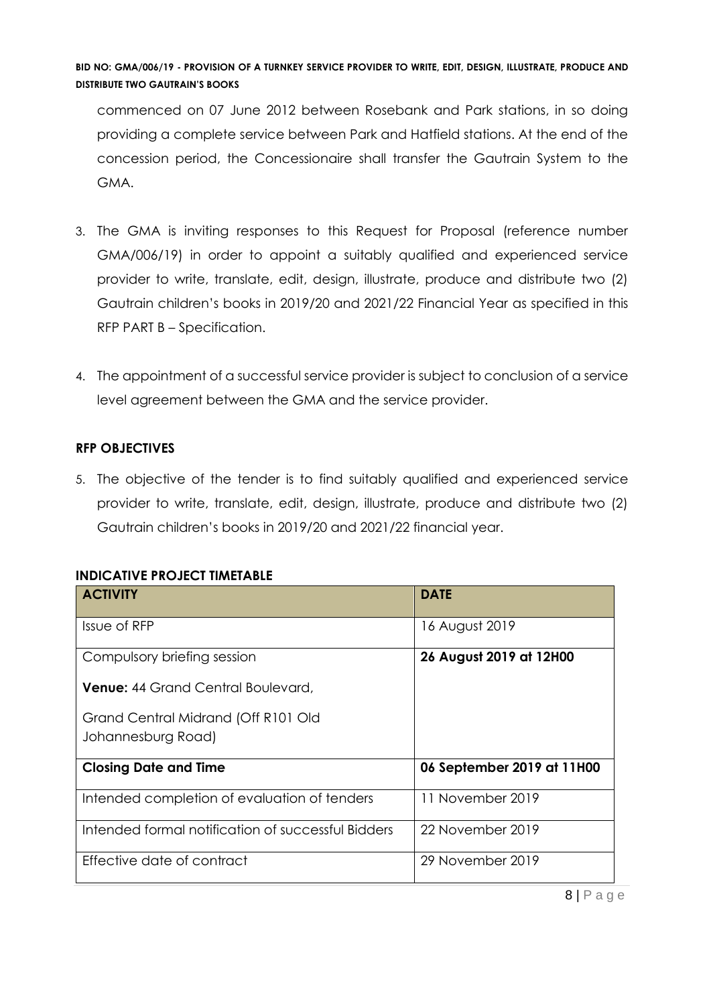commenced on 07 June 2012 between Rosebank and Park stations, in so doing providing a complete service between Park and Hatfield stations. At the end of the concession period, the Concessionaire shall transfer the Gautrain System to the GMA.

- 3. The GMA is inviting responses to this Request for Proposal (reference number GMA/006/19) in order to appoint a suitably qualified and experienced service provider to write, translate, edit, design, illustrate, produce and distribute two (2) Gautrain children's books in 2019/20 and 2021/22 Financial Year as specified in this RFP PART B – Specification.
- 4. The appointment of a successful service provider is subject to conclusion of a service level agreement between the GMA and the service provider.

# **RFP OBJECTIVES**

5. The objective of the tender is to find suitably qualified and experienced service provider to write, translate, edit, design, illustrate, produce and distribute two (2) Gautrain children's books in 2019/20 and 2021/22 financial year.

#### **INDICATIVE PROJECT TIMETABLE**

| <b>ACTIVITY</b>                                    | <b>DATE</b>                |
|----------------------------------------------------|----------------------------|
| Issue of RFP                                       | 16 August 2019             |
| Compulsory briefing session                        | 26 August 2019 at 12H00    |
| Venue: 44 Grand Central Boulevard,                 |                            |
| Grand Central Midrand (Off R101 Old                |                            |
| Johannesburg Road)                                 |                            |
| <b>Closing Date and Time</b>                       | 06 September 2019 at 11H00 |
| Intended completion of evaluation of tenders       | 11 November 2019           |
| Intended formal notification of successful Bidders | 22 November 2019           |
| Effective date of contract                         | 29 November 2019           |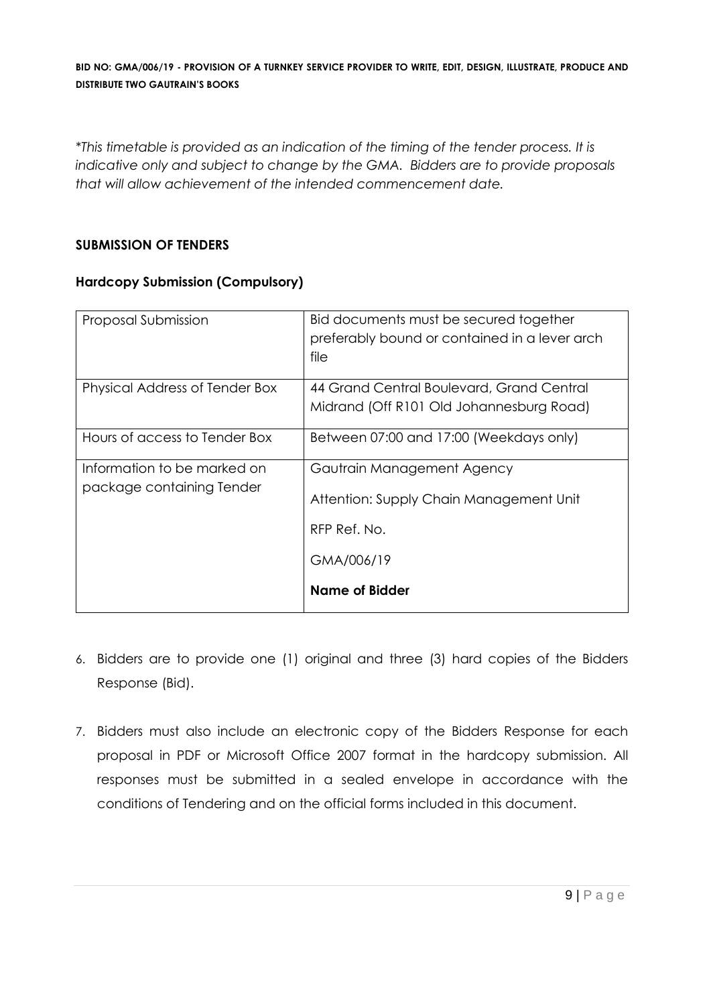*\*This timetable is provided as an indication of the timing of the tender process. It is indicative only and subject to change by the GMA. Bidders are to provide proposals that will allow achievement of the intended commencement date.*

# **SUBMISSION OF TENDERS**

#### **Hardcopy Submission (Compulsory)**

| Proposal Submission                                      | Bid documents must be secured together<br>preferably bound or contained in a lever arch<br>file     |
|----------------------------------------------------------|-----------------------------------------------------------------------------------------------------|
| Physical Address of Tender Box                           | 44 Grand Central Boulevard, Grand Central<br>Midrand (Off R101 Old Johannesburg Road)               |
| Hours of access to Tender Box                            | Between 07:00 and 17:00 (Weekdays only)                                                             |
| Information to be marked on<br>package containing Tender | Gautrain Management Agency<br>Attention: Supply Chain Management Unit<br>RFP Ref. No.<br>GMA/006/19 |
|                                                          | Name of Bidder                                                                                      |

- 6. Bidders are to provide one (1) original and three (3) hard copies of the Bidders Response (Bid).
- 7. Bidders must also include an electronic copy of the Bidders Response for each proposal in PDF or Microsoft Office 2007 format in the hardcopy submission. All responses must be submitted in a sealed envelope in accordance with the conditions of Tendering and on the official forms included in this document.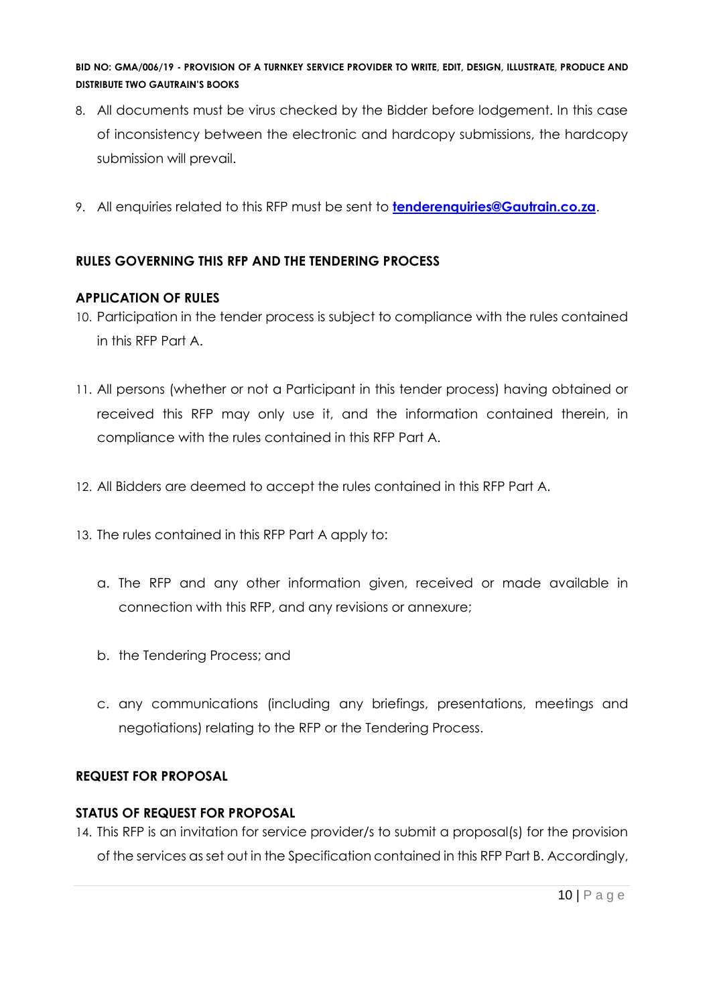- 8. All documents must be virus checked by the Bidder before lodgement. In this case of inconsistency between the electronic and hardcopy submissions, the hardcopy submission will prevail.
- 9. All enquiries related to this RFP must be sent to **[tenderenquiries@Gautrain.co.za](mailto:tenderenquiries@Gautrain.co.za)**.

# **RULES GOVERNING THIS RFP AND THE TENDERING PROCESS**

# **APPLICATION OF RULES**

- 10. Participation in the tender process is subject to compliance with the rules contained in this RFP Part A.
- 11. All persons (whether or not a Participant in this tender process) having obtained or received this RFP may only use it, and the information contained therein, in compliance with the rules contained in this RFP Part A.
- 12. All Bidders are deemed to accept the rules contained in this RFP Part A.
- 13. The rules contained in this RFP Part A apply to:
	- a. The RFP and any other information given, received or made available in connection with this RFP, and any revisions or annexure;
	- b. the Tendering Process; and
	- c. any communications (including any briefings, presentations, meetings and negotiations) relating to the RFP or the Tendering Process.

# **REQUEST FOR PROPOSAL**

# **STATUS OF REQUEST FOR PROPOSAL**

14. This RFP is an invitation for service provider/s to submit a proposal(s) for the provision of the services as set out in the Specification contained in this RFP Part B. Accordingly,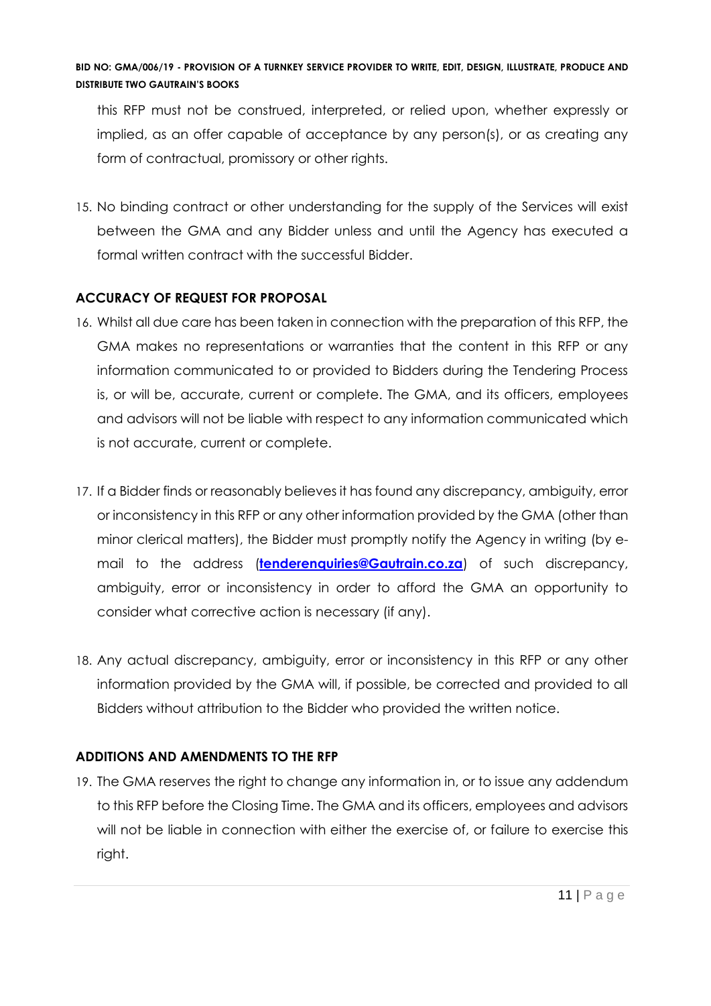this RFP must not be construed, interpreted, or relied upon, whether expressly or implied, as an offer capable of acceptance by any person(s), or as creating any form of contractual, promissory or other rights.

15. No binding contract or other understanding for the supply of the Services will exist between the GMA and any Bidder unless and until the Agency has executed a formal written contract with the successful Bidder.

# **ACCURACY OF REQUEST FOR PROPOSAL**

- 16. Whilst all due care has been taken in connection with the preparation of this RFP, the GMA makes no representations or warranties that the content in this RFP or any information communicated to or provided to Bidders during the Tendering Process is, or will be, accurate, current or complete. The GMA, and its officers, employees and advisors will not be liable with respect to any information communicated which is not accurate, current or complete.
- 17. If a Bidder finds or reasonably believes it has found any discrepancy, ambiguity, error or inconsistency in this RFP or any other information provided by the GMA (other than minor clerical matters), the Bidder must promptly notify the Agency in writing (by email to the address (**[tenderenquiries@Gautrain.co.za](mailto:tenderenquiries@Gautrain.co.za)**) of such discrepancy, ambiguity, error or inconsistency in order to afford the GMA an opportunity to consider what corrective action is necessary (if any).
- 18. Any actual discrepancy, ambiguity, error or inconsistency in this RFP or any other information provided by the GMA will, if possible, be corrected and provided to all Bidders without attribution to the Bidder who provided the written notice.

# **ADDITIONS AND AMENDMENTS TO THE RFP**

19. The GMA reserves the right to change any information in, or to issue any addendum to this RFP before the Closing Time. The GMA and its officers, employees and advisors will not be liable in connection with either the exercise of, or failure to exercise this right.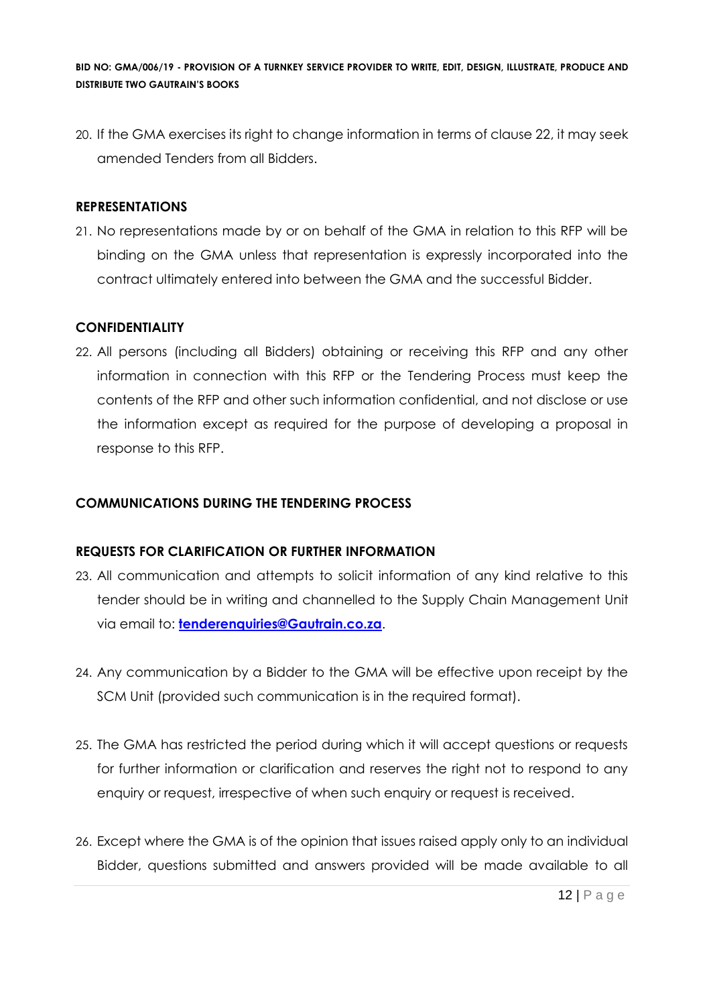20. If the GMA exercises its right to change information in terms of clause 22, it may seek amended Tenders from all Bidders.

#### **REPRESENTATIONS**

21. No representations made by or on behalf of the GMA in relation to this RFP will be binding on the GMA unless that representation is expressly incorporated into the contract ultimately entered into between the GMA and the successful Bidder.

# **CONFIDENTIALITY**

22. All persons (including all Bidders) obtaining or receiving this RFP and any other information in connection with this RFP or the Tendering Process must keep the contents of the RFP and other such information confidential, and not disclose or use the information except as required for the purpose of developing a proposal in response to this RFP.

### **COMMUNICATIONS DURING THE TENDERING PROCESS**

#### **REQUESTS FOR CLARIFICATION OR FURTHER INFORMATION**

- 23. All communication and attempts to solicit information of any kind relative to this tender should be in writing and channelled to the Supply Chain Management Unit via email to: **[tenderenquiries@Gautrain.co.za](mailto:tenderenquiries@gautrainpo.co.za)**.
- 24. Any communication by a Bidder to the GMA will be effective upon receipt by the SCM Unit (provided such communication is in the required format).
- 25. The GMA has restricted the period during which it will accept questions or requests for further information or clarification and reserves the right not to respond to any enquiry or request, irrespective of when such enquiry or request is received.
- 26. Except where the GMA is of the opinion that issues raised apply only to an individual Bidder, questions submitted and answers provided will be made available to all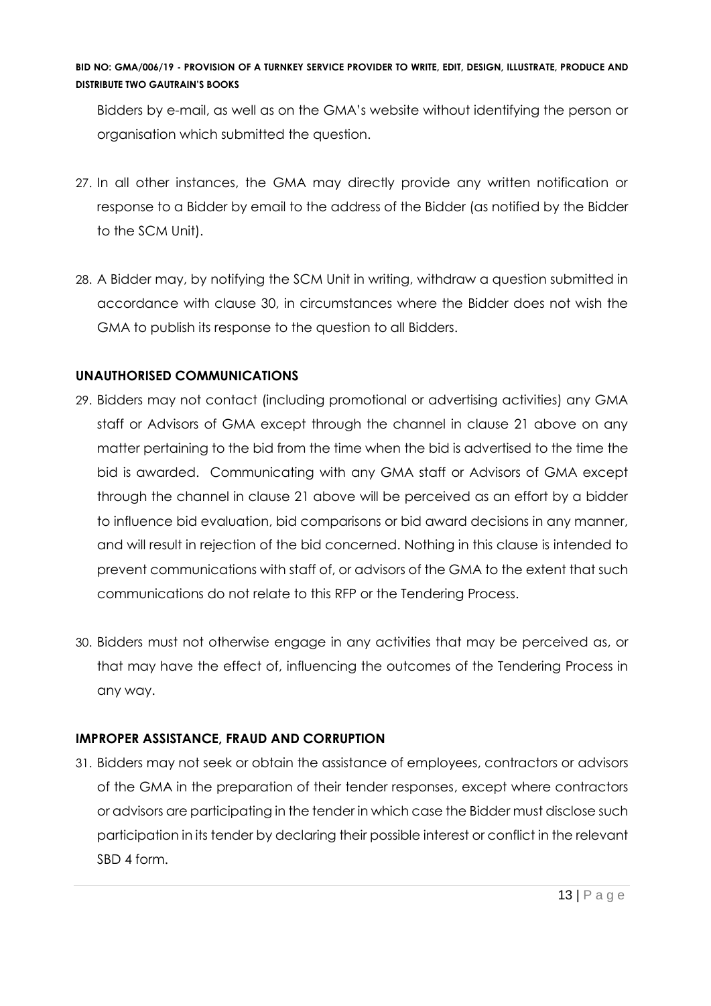Bidders by e-mail, as well as on the GMA's website without identifying the person or organisation which submitted the question.

- 27. In all other instances, the GMA may directly provide any written notification or response to a Bidder by email to the address of the Bidder (as notified by the Bidder to the SCM Unit).
- 28. A Bidder may, by notifying the SCM Unit in writing, withdraw a question submitted in accordance with clause 30, in circumstances where the Bidder does not wish the GMA to publish its response to the question to all Bidders.

# **UNAUTHORISED COMMUNICATIONS**

- 29. Bidders may not contact (including promotional or advertising activities) any GMA staff or Advisors of GMA except through the channel in clause 21 above on any matter pertaining to the bid from the time when the bid is advertised to the time the bid is awarded. Communicating with any GMA staff or Advisors of GMA except through the channel in clause 21 above will be perceived as an effort by a bidder to influence bid evaluation, bid comparisons or bid award decisions in any manner, and will result in rejection of the bid concerned. Nothing in this clause is intended to prevent communications with staff of, or advisors of the GMA to the extent that such communications do not relate to this RFP or the Tendering Process.
- 30. Bidders must not otherwise engage in any activities that may be perceived as, or that may have the effect of, influencing the outcomes of the Tendering Process in any way.

# **IMPROPER ASSISTANCE, FRAUD AND CORRUPTION**

31. Bidders may not seek or obtain the assistance of employees, contractors or advisors of the GMA in the preparation of their tender responses, except where contractors or advisors are participating in the tender in which case the Bidder must disclose such participation in its tender by declaring their possible interest or conflict in the relevant SBD 4 form.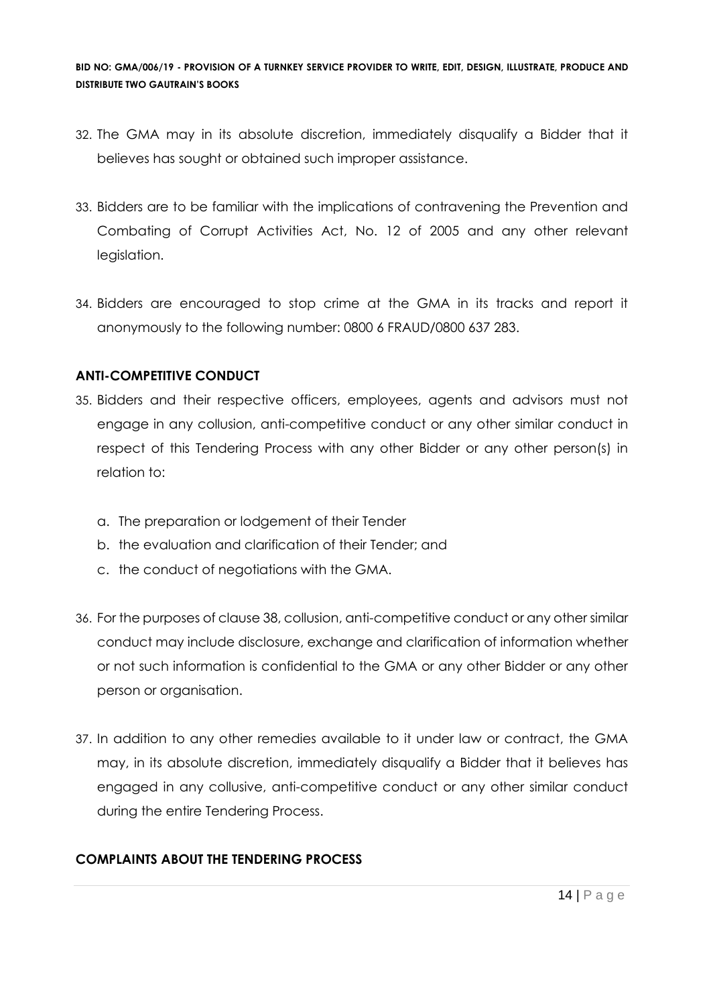- 32. The GMA may in its absolute discretion, immediately disqualify a Bidder that it believes has sought or obtained such improper assistance.
- 33. Bidders are to be familiar with the implications of contravening the Prevention and Combating of Corrupt Activities Act, No. 12 of 2005 and any other relevant legislation.
- 34. Bidders are encouraged to stop crime at the GMA in its tracks and report it anonymously to the following number: 0800 6 FRAUD/0800 637 283.

# **ANTI-COMPETITIVE CONDUCT**

- 35. Bidders and their respective officers, employees, agents and advisors must not engage in any collusion, anti-competitive conduct or any other similar conduct in respect of this Tendering Process with any other Bidder or any other person(s) in relation to:
	- a. The preparation or lodgement of their Tender
	- b. the evaluation and clarification of their Tender; and
	- c. the conduct of negotiations with the GMA.
- 36. For the purposes of clause 38, collusion, anti-competitive conduct or any other similar conduct may include disclosure, exchange and clarification of information whether or not such information is confidential to the GMA or any other Bidder or any other person or organisation.
- 37. In addition to any other remedies available to it under law or contract, the GMA may, in its absolute discretion, immediately disqualify a Bidder that it believes has engaged in any collusive, anti-competitive conduct or any other similar conduct during the entire Tendering Process.

# **COMPLAINTS ABOUT THE TENDERING PROCESS**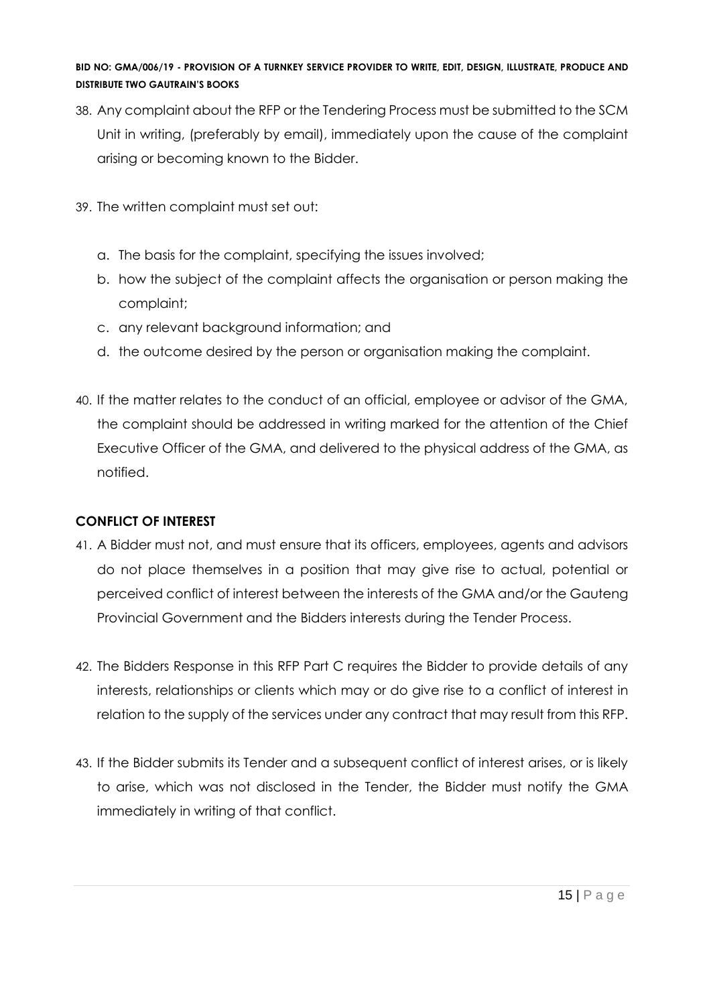- 38. Any complaint about the RFP or the Tendering Process must be submitted to the SCM Unit in writing, (preferably by email), immediately upon the cause of the complaint arising or becoming known to the Bidder.
- 39. The written complaint must set out:
	- a. The basis for the complaint, specifying the issues involved;
	- b. how the subject of the complaint affects the organisation or person making the complaint;
	- c. any relevant background information; and
	- d. the outcome desired by the person or organisation making the complaint.
- 40. If the matter relates to the conduct of an official, employee or advisor of the GMA, the complaint should be addressed in writing marked for the attention of the Chief Executive Officer of the GMA, and delivered to the physical address of the GMA, as notified.

# **CONFLICT OF INTEREST**

- 41. A Bidder must not, and must ensure that its officers, employees, agents and advisors do not place themselves in a position that may give rise to actual, potential or perceived conflict of interest between the interests of the GMA and/or the Gauteng Provincial Government and the Bidders interests during the Tender Process.
- 42. The Bidders Response in this RFP Part C requires the Bidder to provide details of any interests, relationships or clients which may or do give rise to a conflict of interest in relation to the supply of the services under any contract that may result from this RFP.
- 43. If the Bidder submits its Tender and a subsequent conflict of interest arises, or is likely to arise, which was not disclosed in the Tender, the Bidder must notify the GMA immediately in writing of that conflict.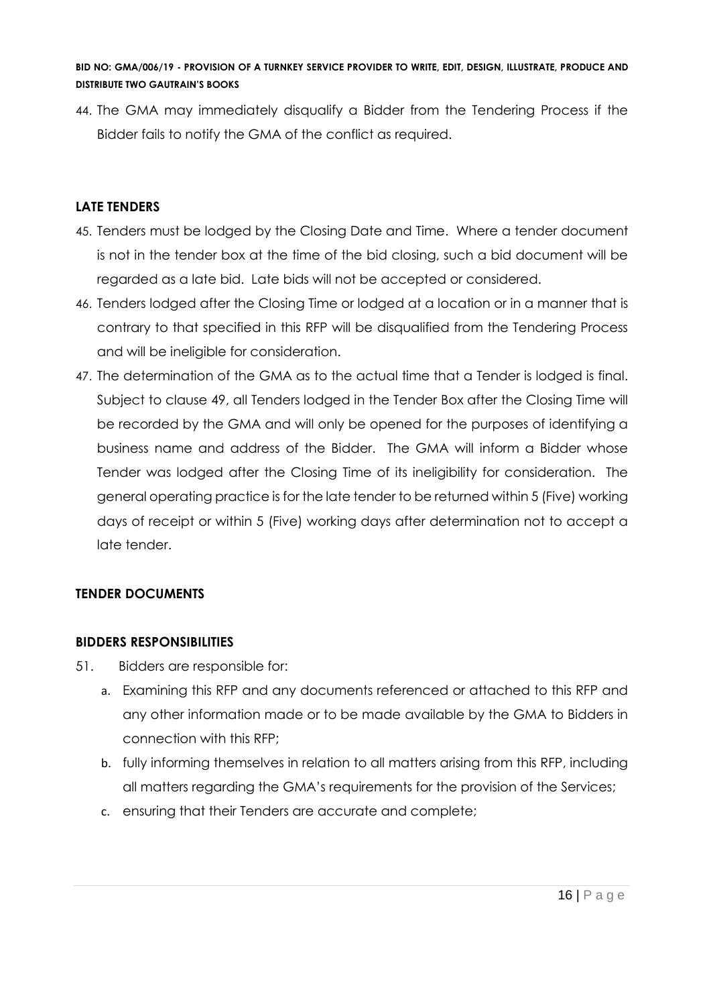44. The GMA may immediately disqualify a Bidder from the Tendering Process if the Bidder fails to notify the GMA of the conflict as required.

# **LATE TENDERS**

- 45. Tenders must be lodged by the Closing Date and Time. Where a tender document is not in the tender box at the time of the bid closing, such a bid document will be regarded as a late bid. Late bids will not be accepted or considered.
- 46. Tenders lodged after the Closing Time or lodged at a location or in a manner that is contrary to that specified in this RFP will be disqualified from the Tendering Process and will be ineligible for consideration.
- 47. The determination of the GMA as to the actual time that a Tender is lodged is final. Subject to clause 49, all Tenders lodged in the Tender Box after the Closing Time will be recorded by the GMA and will only be opened for the purposes of identifying a business name and address of the Bidder. The GMA will inform a Bidder whose Tender was lodged after the Closing Time of its ineligibility for consideration. The general operating practice is for the late tender to be returned within 5 (Five) working days of receipt or within 5 (Five) working days after determination not to accept a late tender.

# **TENDER DOCUMENTS**

# **BIDDERS RESPONSIBILITIES**

- 51. Bidders are responsible for:
	- a. Examining this RFP and any documents referenced or attached to this RFP and any other information made or to be made available by the GMA to Bidders in connection with this RFP;
	- b. fully informing themselves in relation to all matters arising from this RFP, including all matters regarding the GMA's requirements for the provision of the Services;
	- c. ensuring that their Tenders are accurate and complete;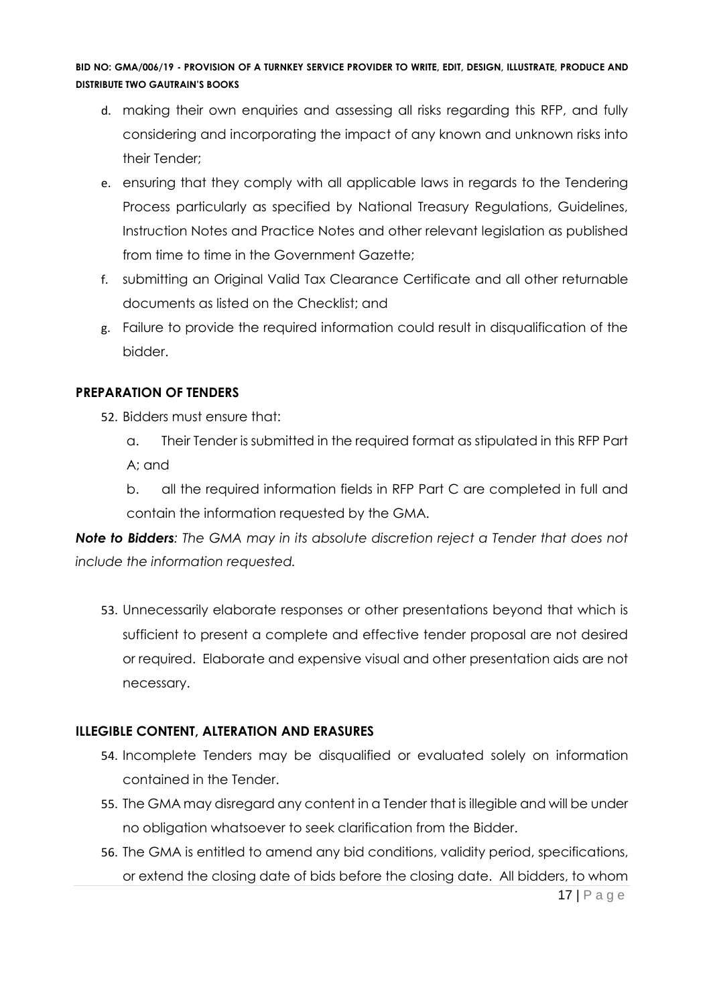- d. making their own enquiries and assessing all risks regarding this RFP, and fully considering and incorporating the impact of any known and unknown risks into their Tender;
- e. ensuring that they comply with all applicable laws in regards to the Tendering Process particularly as specified by National Treasury Regulations, Guidelines, Instruction Notes and Practice Notes and other relevant legislation as published from time to time in the Government Gazette;
- f. submitting an Original Valid Tax Clearance Certificate and all other returnable documents as listed on the Checklist; and
- g. Failure to provide the required information could result in disqualification of the bidder.

# **PREPARATION OF TENDERS**

- 52. Bidders must ensure that:
	- a. Their Tender is submitted in the required format as stipulated in this RFP Part A; and

b. all the required information fields in RFP Part C are completed in full and contain the information requested by the GMA.

*Note to Bidders: The GMA may in its absolute discretion reject a Tender that does not include the information requested.*

53. Unnecessarily elaborate responses or other presentations beyond that which is sufficient to present a complete and effective tender proposal are not desired or required. Elaborate and expensive visual and other presentation aids are not necessary.

# **ILLEGIBLE CONTENT, ALTERATION AND ERASURES**

- 54. Incomplete Tenders may be disqualified or evaluated solely on information contained in the Tender.
- 55. The GMA may disregard any content in a Tender that is illegible and will be under no obligation whatsoever to seek clarification from the Bidder.
- 17 | P a g e 56. The GMA is entitled to amend any bid conditions, validity period, specifications, or extend the closing date of bids before the closing date. All bidders, to whom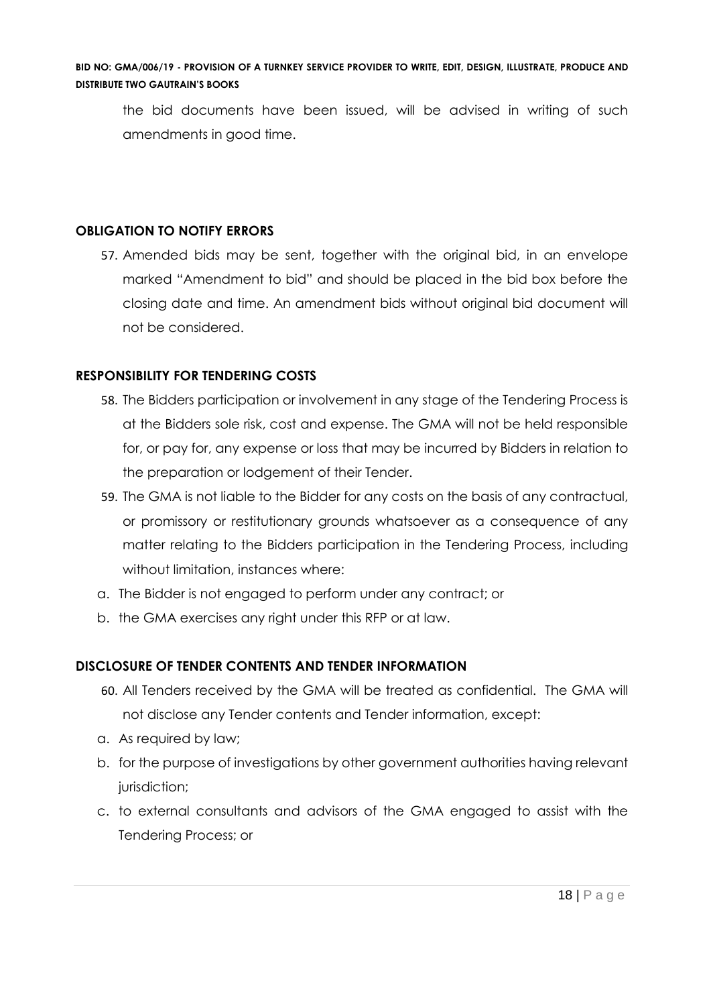the bid documents have been issued, will be advised in writing of such amendments in good time.

# **OBLIGATION TO NOTIFY ERRORS**

57. Amended bids may be sent, together with the original bid, in an envelope marked "Amendment to bid" and should be placed in the bid box before the closing date and time. An amendment bids without original bid document will not be considered.

# **RESPONSIBILITY FOR TENDERING COSTS**

- 58. The Bidders participation or involvement in any stage of the Tendering Process is at the Bidders sole risk, cost and expense. The GMA will not be held responsible for, or pay for, any expense or loss that may be incurred by Bidders in relation to the preparation or lodgement of their Tender.
- 59. The GMA is not liable to the Bidder for any costs on the basis of any contractual, or promissory or restitutionary grounds whatsoever as a consequence of any matter relating to the Bidders participation in the Tendering Process, including without limitation, instances where:
- a. The Bidder is not engaged to perform under any contract; or
- b. the GMA exercises any right under this RFP or at law.

# **DISCLOSURE OF TENDER CONTENTS AND TENDER INFORMATION**

- 60. All Tenders received by the GMA will be treated as confidential. The GMA will not disclose any Tender contents and Tender information, except:
- a. As required by law;
- b. for the purpose of investigations by other government authorities having relevant jurisdiction;
- c. to external consultants and advisors of the GMA engaged to assist with the Tendering Process; or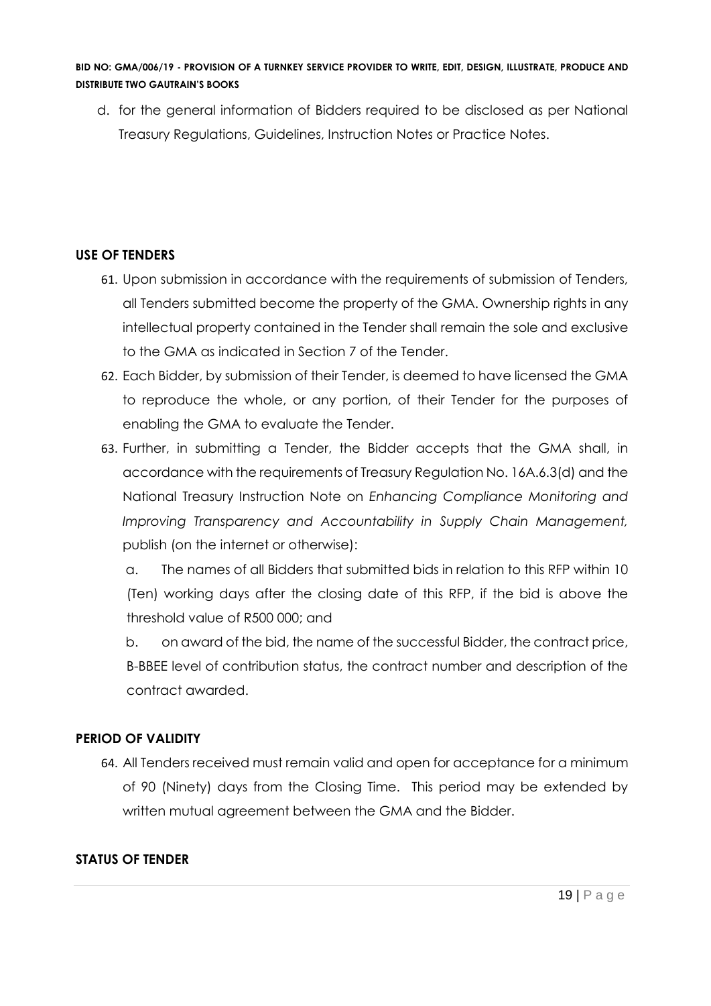d. for the general information of Bidders required to be disclosed as per National Treasury Regulations, Guidelines, Instruction Notes or Practice Notes.

# **USE OF TENDERS**

- 61. Upon submission in accordance with the requirements of submission of Tenders, all Tenders submitted become the property of the GMA. Ownership rights in any intellectual property contained in the Tender shall remain the sole and exclusive to the GMA as indicated in Section 7 of the Tender.
- 62. Each Bidder, by submission of their Tender, is deemed to have licensed the GMA to reproduce the whole, or any portion, of their Tender for the purposes of enabling the GMA to evaluate the Tender.
- 63. Further, in submitting a Tender, the Bidder accepts that the GMA shall, in accordance with the requirements of Treasury Regulation No. 16A.6.3(d) and the National Treasury Instruction Note on *Enhancing Compliance Monitoring and Improving Transparency and Accountability in Supply Chain Management,*  publish (on the internet or otherwise):

a. The names of all Bidders that submitted bids in relation to this RFP within 10 (Ten) working days after the closing date of this RFP, if the bid is above the threshold value of R500 000; and

b. on award of the bid, the name of the successful Bidder, the contract price, B-BBEE level of contribution status, the contract number and description of the contract awarded.

# **PERIOD OF VALIDITY**

64. All Tenders received must remain valid and open for acceptance for a minimum of 90 (Ninety) days from the Closing Time. This period may be extended by written mutual agreement between the GMA and the Bidder.

# **STATUS OF TENDER**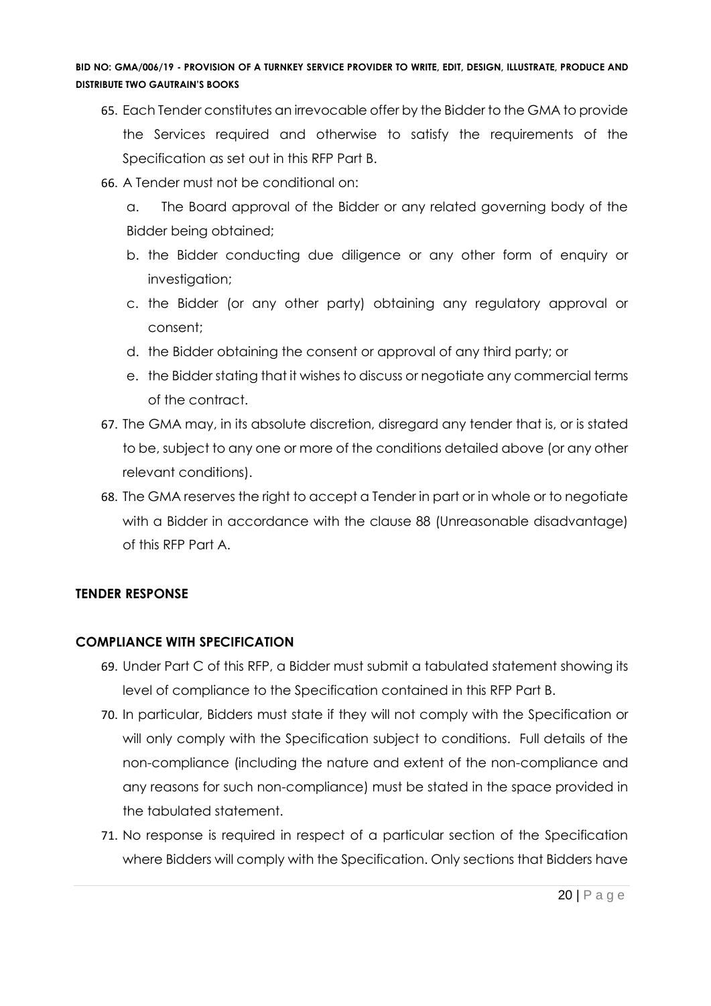- 65. Each Tender constitutes an irrevocable offer by the Bidder to the GMA to provide the Services required and otherwise to satisfy the requirements of the Specification as set out in this RFP Part B.
- 66. A Tender must not be conditional on:
	- a. The Board approval of the Bidder or any related governing body of the Bidder being obtained;
	- b. the Bidder conducting due diligence or any other form of enquiry or investigation;
	- c. the Bidder (or any other party) obtaining any regulatory approval or consent;
	- d. the Bidder obtaining the consent or approval of any third party; or
	- e. the Bidder stating that it wishes to discuss or negotiate any commercial terms of the contract.
- 67. The GMA may, in its absolute discretion, disregard any tender that is, or is stated to be, subject to any one or more of the conditions detailed above (or any other relevant conditions).
- 68. The GMA reserves the right to accept a Tender in part or in whole or to negotiate with a Bidder in accordance with the clause 88 (Unreasonable disadvantage) of this RFP Part A.

# **TENDER RESPONSE**

# **COMPLIANCE WITH SPECIFICATION**

- 69. Under Part C of this RFP, a Bidder must submit a tabulated statement showing its level of compliance to the Specification contained in this RFP Part B.
- 70. In particular, Bidders must state if they will not comply with the Specification or will only comply with the Specification subject to conditions. Full details of the non-compliance (including the nature and extent of the non-compliance and any reasons for such non-compliance) must be stated in the space provided in the tabulated statement.
- 71. No response is required in respect of a particular section of the Specification where Bidders will comply with the Specification. Only sections that Bidders have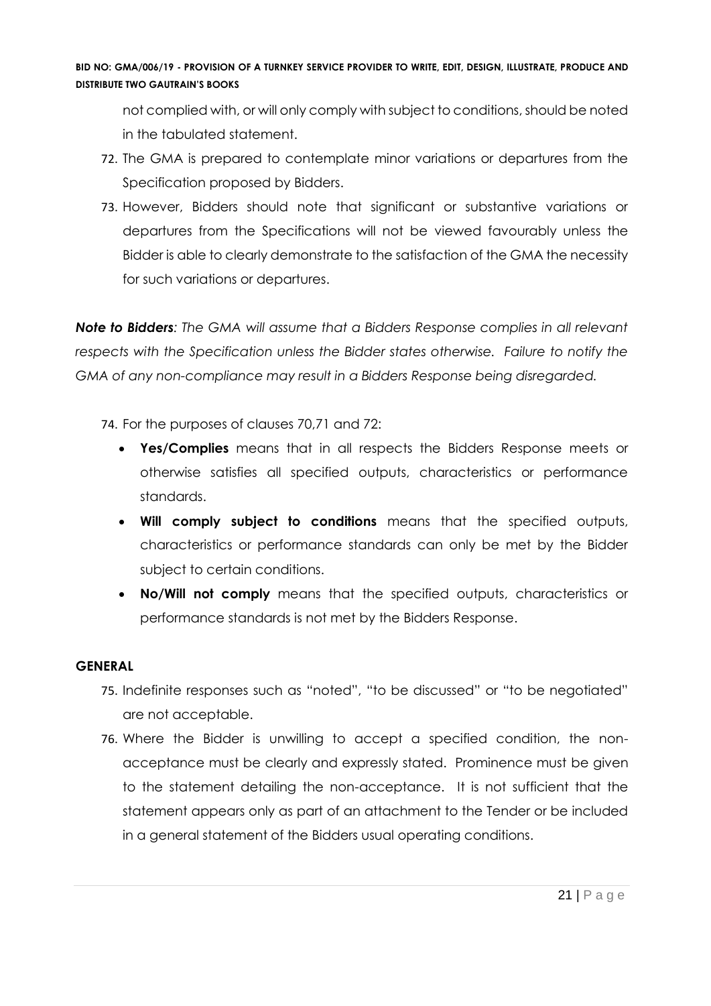not complied with, or will only comply with subject to conditions, should be noted in the tabulated statement.

- 72. The GMA is prepared to contemplate minor variations or departures from the Specification proposed by Bidders.
- 73. However, Bidders should note that significant or substantive variations or departures from the Specifications will not be viewed favourably unless the Bidder is able to clearly demonstrate to the satisfaction of the GMA the necessity for such variations or departures.

*Note to Bidders: The GMA will assume that a Bidders Response complies in all relevant respects with the Specification unless the Bidder states otherwise. Failure to notify the GMA of any non-compliance may result in a Bidders Response being disregarded.*

74. For the purposes of clauses 70,71 and 72:

- **Yes/Complies** means that in all respects the Bidders Response meets or otherwise satisfies all specified outputs, characteristics or performance standards.
- **Will comply subject to conditions** means that the specified outputs, characteristics or performance standards can only be met by the Bidder subject to certain conditions.
- **No/Will not comply** means that the specified outputs, characteristics or performance standards is not met by the Bidders Response.

# **GENERAL**

- 75. Indefinite responses such as "noted", "to be discussed" or "to be negotiated" are not acceptable.
- 76. Where the Bidder is unwilling to accept a specified condition, the nonacceptance must be clearly and expressly stated. Prominence must be given to the statement detailing the non-acceptance. It is not sufficient that the statement appears only as part of an attachment to the Tender or be included in a general statement of the Bidders usual operating conditions.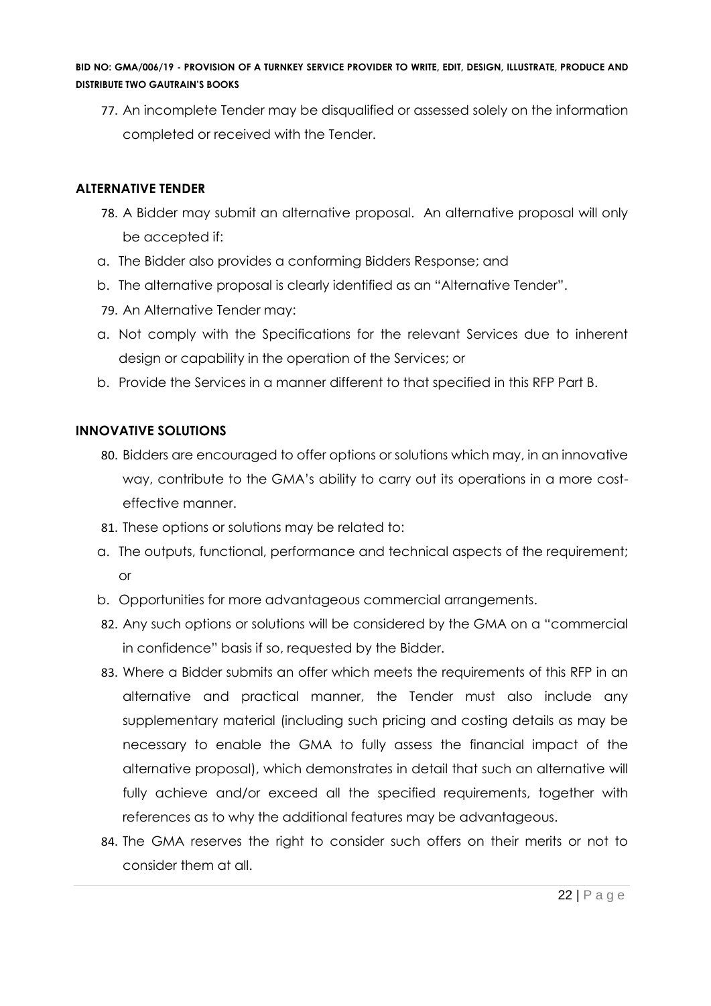77. An incomplete Tender may be disqualified or assessed solely on the information completed or received with the Tender.

# **ALTERNATIVE TENDER**

- 78. A Bidder may submit an alternative proposal. An alternative proposal will only be accepted if:
- a. The Bidder also provides a conforming Bidders Response; and
- b. The alternative proposal is clearly identified as an "Alternative Tender".
- 79. An Alternative Tender may:
- a. Not comply with the Specifications for the relevant Services due to inherent design or capability in the operation of the Services; or
- b. Provide the Services in a manner different to that specified in this RFP Part B.

# **INNOVATIVE SOLUTIONS**

- 80. Bidders are encouraged to offer options or solutions which may, in an innovative way, contribute to the GMA's ability to carry out its operations in a more costeffective manner.
- 81. These options or solutions may be related to:
- a. The outputs, functional, performance and technical aspects of the requirement; or
- b. Opportunities for more advantageous commercial arrangements.
- 82. Any such options or solutions will be considered by the GMA on a "commercial in confidence" basis if so, requested by the Bidder.
- 83. Where a Bidder submits an offer which meets the requirements of this RFP in an alternative and practical manner, the Tender must also include any supplementary material (including such pricing and costing details as may be necessary to enable the GMA to fully assess the financial impact of the alternative proposal), which demonstrates in detail that such an alternative will fully achieve and/or exceed all the specified requirements, together with references as to why the additional features may be advantageous.
- 84. The GMA reserves the right to consider such offers on their merits or not to consider them at all.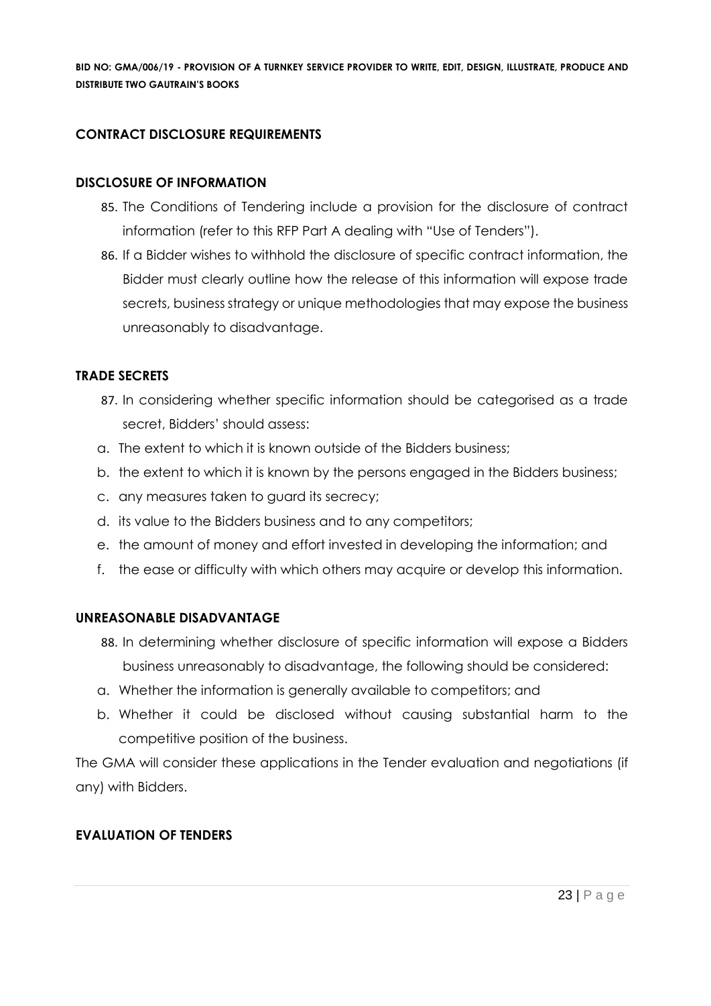# **CONTRACT DISCLOSURE REQUIREMENTS**

#### **DISCLOSURE OF INFORMATION**

- 85. The Conditions of Tendering include a provision for the disclosure of contract information (refer to this RFP Part A dealing with "Use of Tenders").
- 86. If a Bidder wishes to withhold the disclosure of specific contract information, the Bidder must clearly outline how the release of this information will expose trade secrets, business strategy or unique methodologies that may expose the business unreasonably to disadvantage.

#### **TRADE SECRETS**

- 87. In considering whether specific information should be categorised as a trade secret, Bidders' should assess:
- a. The extent to which it is known outside of the Bidders business;
- b. the extent to which it is known by the persons engaged in the Bidders business;
- c. any measures taken to guard its secrecy;
- d. its value to the Bidders business and to any competitors;
- e. the amount of money and effort invested in developing the information; and
- f. the ease or difficulty with which others may acquire or develop this information.

#### **UNREASONABLE DISADVANTAGE**

- 88. In determining whether disclosure of specific information will expose a Bidders business unreasonably to disadvantage, the following should be considered:
- a. Whether the information is generally available to competitors; and
- b. Whether it could be disclosed without causing substantial harm to the competitive position of the business.

The GMA will consider these applications in the Tender evaluation and negotiations (if any) with Bidders.

# **EVALUATION OF TENDERS**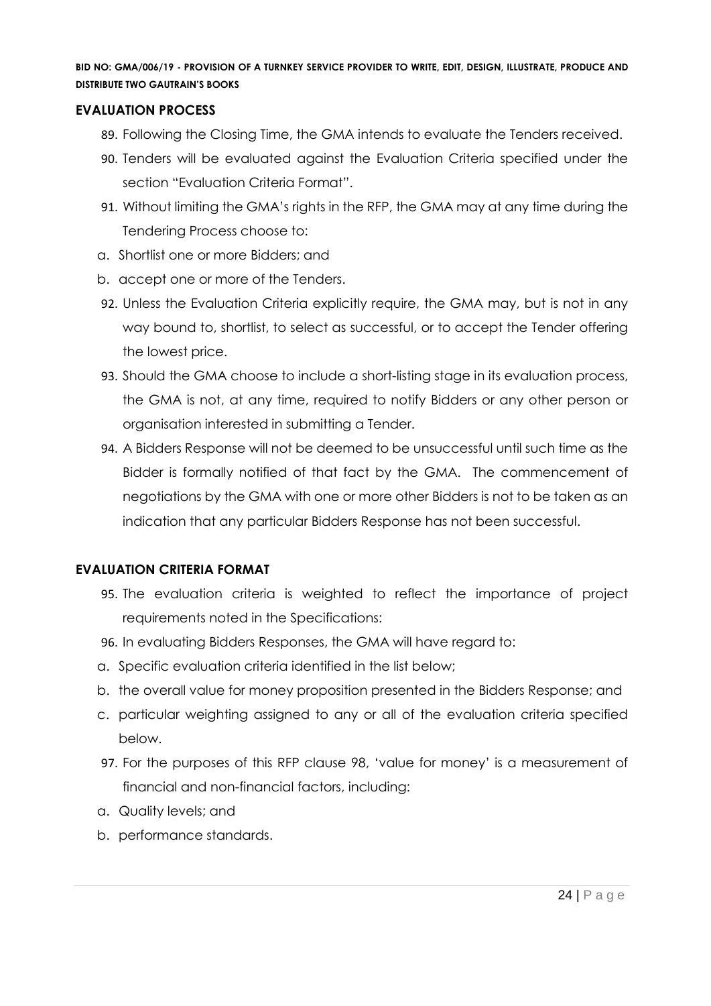#### **EVALUATION PROCESS**

- 89. Following the Closing Time, the GMA intends to evaluate the Tenders received.
- 90. Tenders will be evaluated against the Evaluation Criteria specified under the section "Evaluation Criteria Format".
- 91. Without limiting the GMA's rights in the RFP, the GMA may at any time during the Tendering Process choose to:
- a. Shortlist one or more Bidders; and
- b. accept one or more of the Tenders.
- 92. Unless the Evaluation Criteria explicitly require, the GMA may, but is not in any way bound to, shortlist, to select as successful, or to accept the Tender offering the lowest price.
- 93. Should the GMA choose to include a short-listing stage in its evaluation process, the GMA is not, at any time, required to notify Bidders or any other person or organisation interested in submitting a Tender.
- 94. A Bidders Response will not be deemed to be unsuccessful until such time as the Bidder is formally notified of that fact by the GMA. The commencement of negotiations by the GMA with one or more other Bidders is not to be taken as an indication that any particular Bidders Response has not been successful.

# **EVALUATION CRITERIA FORMAT**

- 95. The evaluation criteria is weighted to reflect the importance of project requirements noted in the Specifications:
- 96. In evaluating Bidders Responses, the GMA will have regard to:
- a. Specific evaluation criteria identified in the list below;
- b. the overall value for money proposition presented in the Bidders Response; and
- c. particular weighting assigned to any or all of the evaluation criteria specified below.
- 97. For the purposes of this RFP clause 98, 'value for money' is a measurement of financial and non-financial factors, including:
- a. Quality levels; and
- b. performance standards.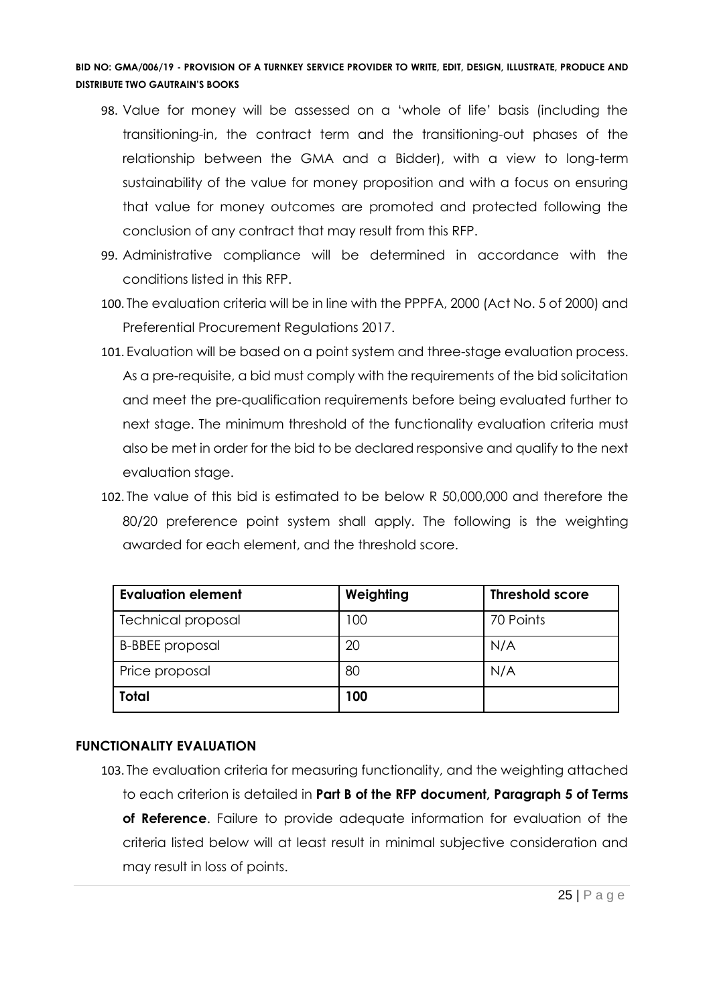- 98. Value for money will be assessed on a 'whole of life' basis (including the transitioning-in, the contract term and the transitioning-out phases of the relationship between the GMA and a Bidder), with a view to long-term sustainability of the value for money proposition and with a focus on ensuring that value for money outcomes are promoted and protected following the conclusion of any contract that may result from this RFP.
- 99. Administrative compliance will be determined in accordance with the conditions listed in this RFP.
- 100. The evaluation criteria will be in line with the PPPFA, 2000 (Act No. 5 of 2000) and Preferential Procurement Regulations 2017.
- 101. Evaluation will be based on a point system and three-stage evaluation process. As a pre-requisite, a bid must comply with the requirements of the bid solicitation and meet the pre-qualification requirements before being evaluated further to next stage. The minimum threshold of the functionality evaluation criteria must also be met in order for the bid to be declared responsive and qualify to the next evaluation stage.
- 102. The value of this bid is estimated to be below R 50,000,000 and therefore the 80/20 preference point system shall apply. The following is the weighting awarded for each element, and the threshold score.

| <b>Evaluation element</b> | Weighting | <b>Threshold score</b> |
|---------------------------|-----------|------------------------|
| <b>Technical proposal</b> | 100       | 70 Points              |
| <b>B-BBEE</b> proposal    | 20        | N/A                    |
| Price proposal            | 80        | N/A                    |
| Total                     | 100       |                        |

# **FUNCTIONALITY EVALUATION**

103. The evaluation criteria for measuring functionality, and the weighting attached to each criterion is detailed in **Part B of the RFP document, Paragraph 5 of Terms of Reference**. Failure to provide adequate information for evaluation of the criteria listed below will at least result in minimal subjective consideration and may result in loss of points.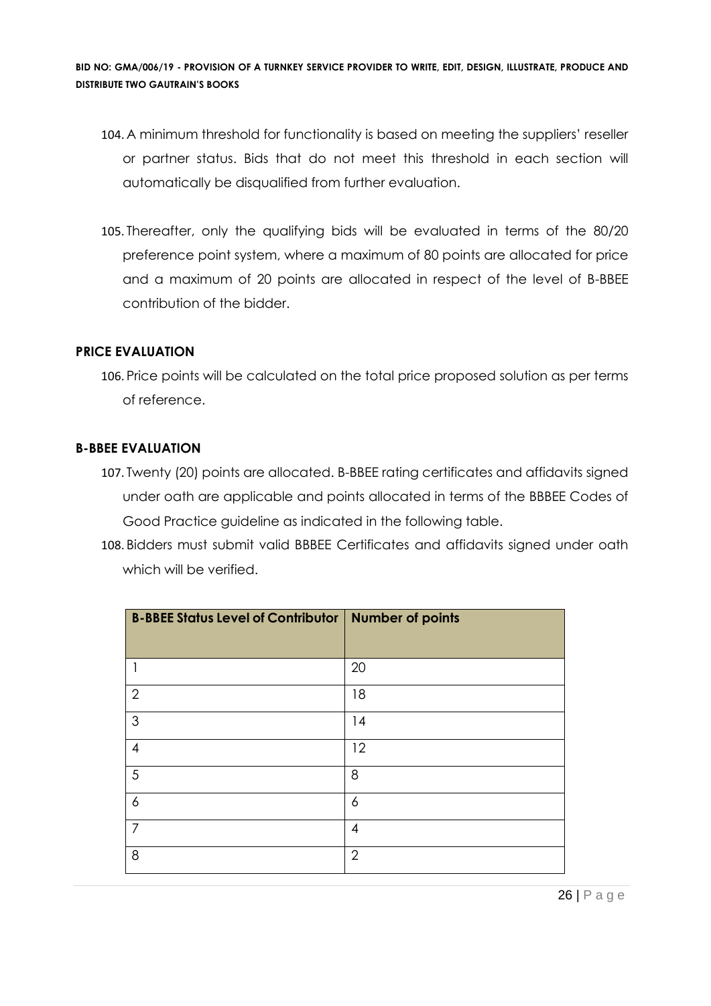- 104. A minimum threshold for functionality is based on meeting the suppliers' reseller or partner status. Bids that do not meet this threshold in each section will automatically be disqualified from further evaluation.
- 105. Thereafter, only the qualifying bids will be evaluated in terms of the 80/20 preference point system, where a maximum of 80 points are allocated for price and a maximum of 20 points are allocated in respect of the level of B-BBEE contribution of the bidder.

#### **PRICE EVALUATION**

106. Price points will be calculated on the total price proposed solution as per terms of reference.

#### **B-BBEE EVALUATION**

- 107. Twenty (20) points are allocated. B-BBEE rating certificates and affidavits signed under oath are applicable and points allocated in terms of the BBBEE Codes of Good Practice guideline as indicated in the following table.
- 108. Bidders must submit valid BBBEE Certificates and affidavits signed under oath which will be verified.

| <b>B-BBEE Status Level of Contributor   Number of points</b> |                |
|--------------------------------------------------------------|----------------|
| 1                                                            | 20             |
| $\overline{2}$                                               | 18             |
| 3                                                            | 14             |
| $\overline{4}$                                               | 12             |
| 5                                                            | 8              |
| $\ddot{\delta}$                                              | 6              |
| $\overline{7}$                                               | 4              |
| 8                                                            | $\overline{2}$ |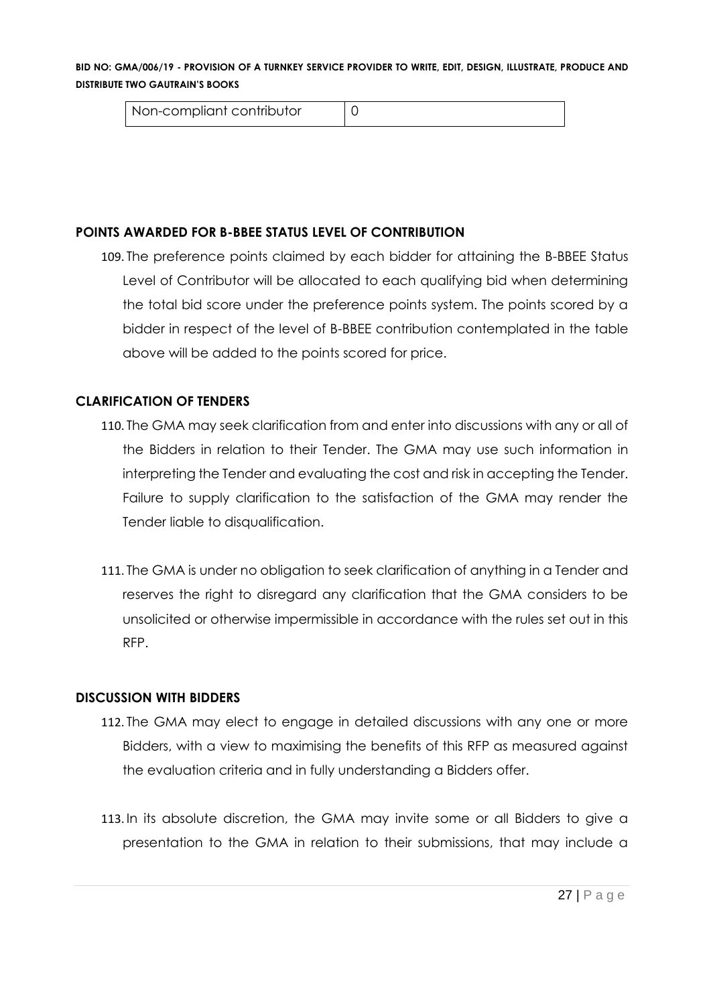| Non-compliant contributor |  |  |
|---------------------------|--|--|
|---------------------------|--|--|

#### **POINTS AWARDED FOR B-BBEE STATUS LEVEL OF CONTRIBUTION**

109. The preference points claimed by each bidder for attaining the B-BBEE Status Level of Contributor will be allocated to each qualifying bid when determining the total bid score under the preference points system. The points scored by a bidder in respect of the level of B-BBEE contribution contemplated in the table above will be added to the points scored for price.

#### **CLARIFICATION OF TENDERS**

- 110. The GMA may seek clarification from and enter into discussions with any or all of the Bidders in relation to their Tender. The GMA may use such information in interpreting the Tender and evaluating the cost and risk in accepting the Tender. Failure to supply clarification to the satisfaction of the GMA may render the Tender liable to disqualification.
- 111. The GMA is under no obligation to seek clarification of anything in a Tender and reserves the right to disregard any clarification that the GMA considers to be unsolicited or otherwise impermissible in accordance with the rules set out in this RFP.

#### **DISCUSSION WITH BIDDERS**

- 112. The GMA may elect to engage in detailed discussions with any one or more Bidders, with a view to maximising the benefits of this RFP as measured against the evaluation criteria and in fully understanding a Bidders offer.
- 113. In its absolute discretion, the GMA may invite some or all Bidders to give a presentation to the GMA in relation to their submissions, that may include a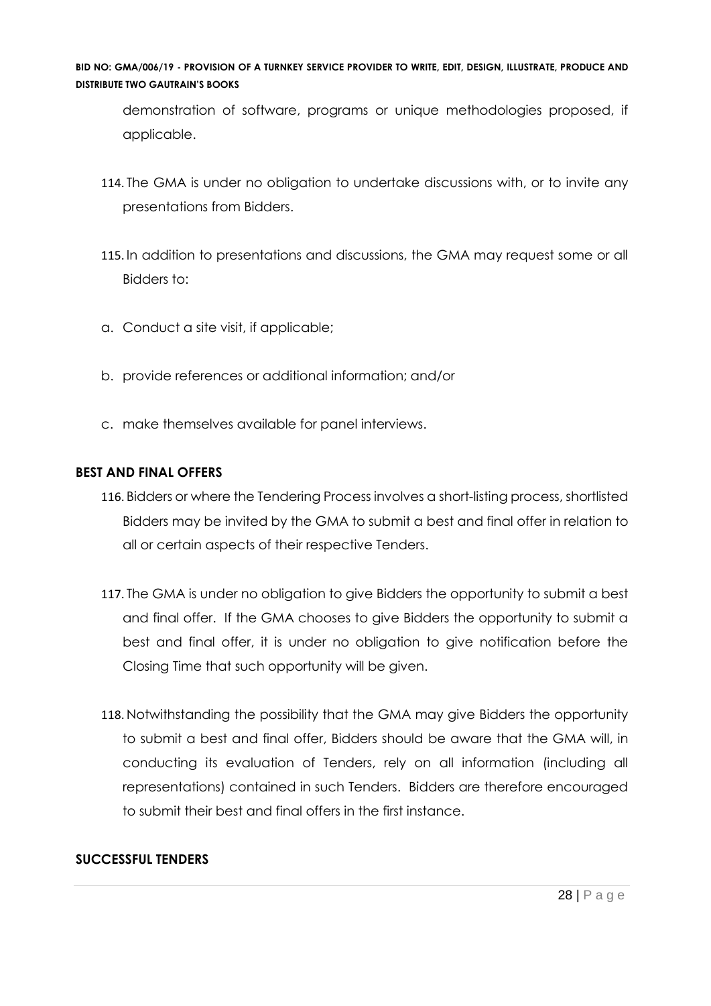demonstration of software, programs or unique methodologies proposed, if applicable.

- 114. The GMA is under no obligation to undertake discussions with, or to invite any presentations from Bidders.
- 115. In addition to presentations and discussions, the GMA may request some or all Bidders to:
- a. Conduct a site visit, if applicable;
- b. provide references or additional information; and/or
- c. make themselves available for panel interviews.

# **BEST AND FINAL OFFERS**

- 116. Bidders or where the Tendering Process involves a short-listing process, shortlisted Bidders may be invited by the GMA to submit a best and final offer in relation to all or certain aspects of their respective Tenders.
- 117. The GMA is under no obligation to give Bidders the opportunity to submit a best and final offer. If the GMA chooses to give Bidders the opportunity to submit a best and final offer, it is under no obligation to give notification before the Closing Time that such opportunity will be given.
- 118. Notwithstanding the possibility that the GMA may give Bidders the opportunity to submit a best and final offer, Bidders should be aware that the GMA will, in conducting its evaluation of Tenders, rely on all information (including all representations) contained in such Tenders. Bidders are therefore encouraged to submit their best and final offers in the first instance.

# **SUCCESSFUL TENDERS**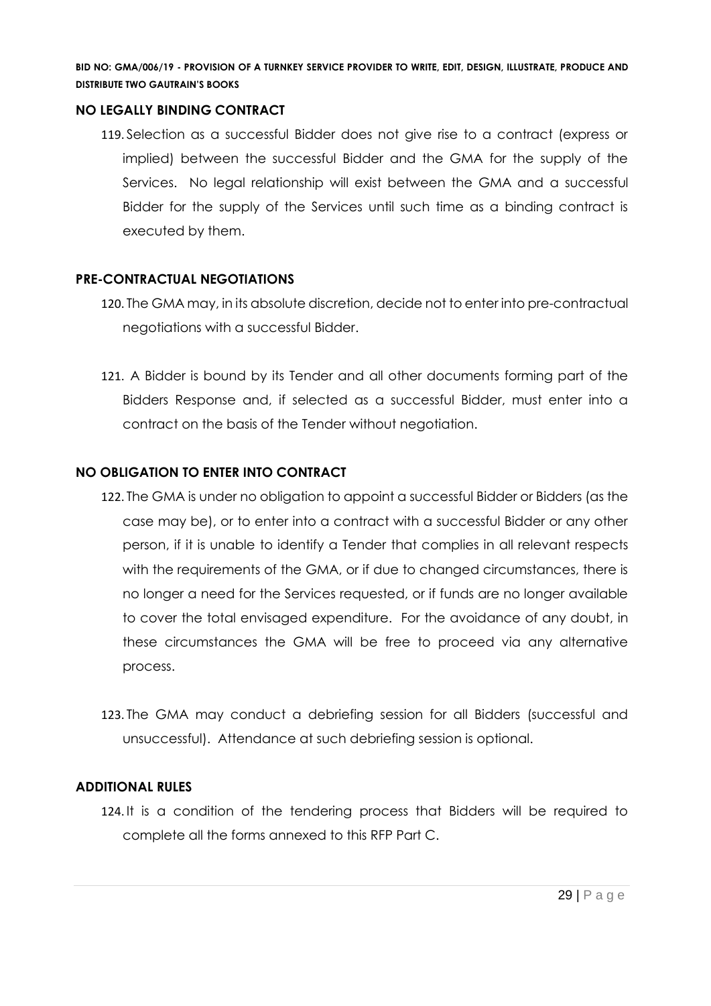#### **NO LEGALLY BINDING CONTRACT**

119. Selection as a successful Bidder does not give rise to a contract (express or implied) between the successful Bidder and the GMA for the supply of the Services. No legal relationship will exist between the GMA and a successful Bidder for the supply of the Services until such time as a binding contract is executed by them.

# **PRE-CONTRACTUAL NEGOTIATIONS**

- 120. The GMA may, in its absolute discretion, decide not to enter into pre-contractual negotiations with a successful Bidder.
- 121. A Bidder is bound by its Tender and all other documents forming part of the Bidders Response and, if selected as a successful Bidder, must enter into a contract on the basis of the Tender without negotiation.

# **NO OBLIGATION TO ENTER INTO CONTRACT**

- 122. The GMA is under no obligation to appoint a successful Bidder or Bidders (as the case may be), or to enter into a contract with a successful Bidder or any other person, if it is unable to identify a Tender that complies in all relevant respects with the requirements of the GMA, or if due to changed circumstances, there is no longer a need for the Services requested, or if funds are no longer available to cover the total envisaged expenditure. For the avoidance of any doubt, in these circumstances the GMA will be free to proceed via any alternative process.
- 123. The GMA may conduct a debriefing session for all Bidders (successful and unsuccessful). Attendance at such debriefing session is optional.

#### **ADDITIONAL RULES**

124. It is a condition of the tendering process that Bidders will be required to complete all the forms annexed to this RFP Part C.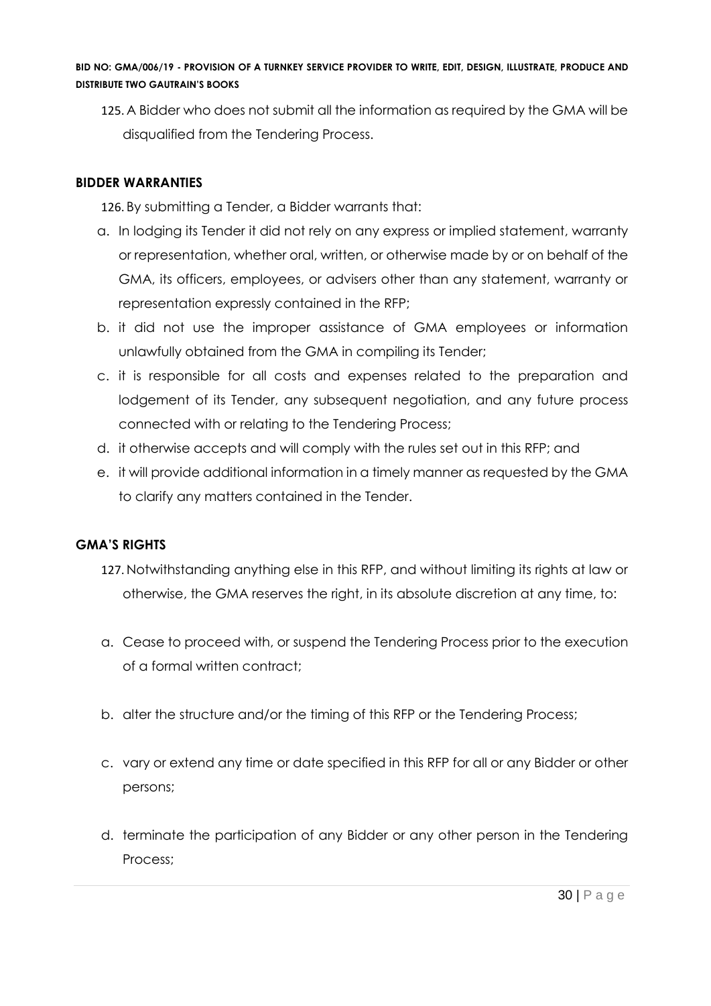125. A Bidder who does not submit all the information as required by the GMA will be disqualified from the Tendering Process.

# **BIDDER WARRANTIES**

126. By submitting a Tender, a Bidder warrants that:

- a. In lodging its Tender it did not rely on any express or implied statement, warranty or representation, whether oral, written, or otherwise made by or on behalf of the GMA, its officers, employees, or advisers other than any statement, warranty or representation expressly contained in the RFP;
- b. it did not use the improper assistance of GMA employees or information unlawfully obtained from the GMA in compiling its Tender;
- c. it is responsible for all costs and expenses related to the preparation and lodgement of its Tender, any subsequent negotiation, and any future process connected with or relating to the Tendering Process;
- d. it otherwise accepts and will comply with the rules set out in this RFP; and
- e. it will provide additional information in a timely manner as requested by the GMA to clarify any matters contained in the Tender.

# **GMA'S RIGHTS**

- 127. Notwithstanding anything else in this RFP, and without limiting its rights at law or otherwise, the GMA reserves the right, in its absolute discretion at any time, to:
- a. Cease to proceed with, or suspend the Tendering Process prior to the execution of a formal written contract;
- b. alter the structure and/or the timing of this RFP or the Tendering Process;
- c. vary or extend any time or date specified in this RFP for all or any Bidder or other persons;
- d. terminate the participation of any Bidder or any other person in the Tendering Process;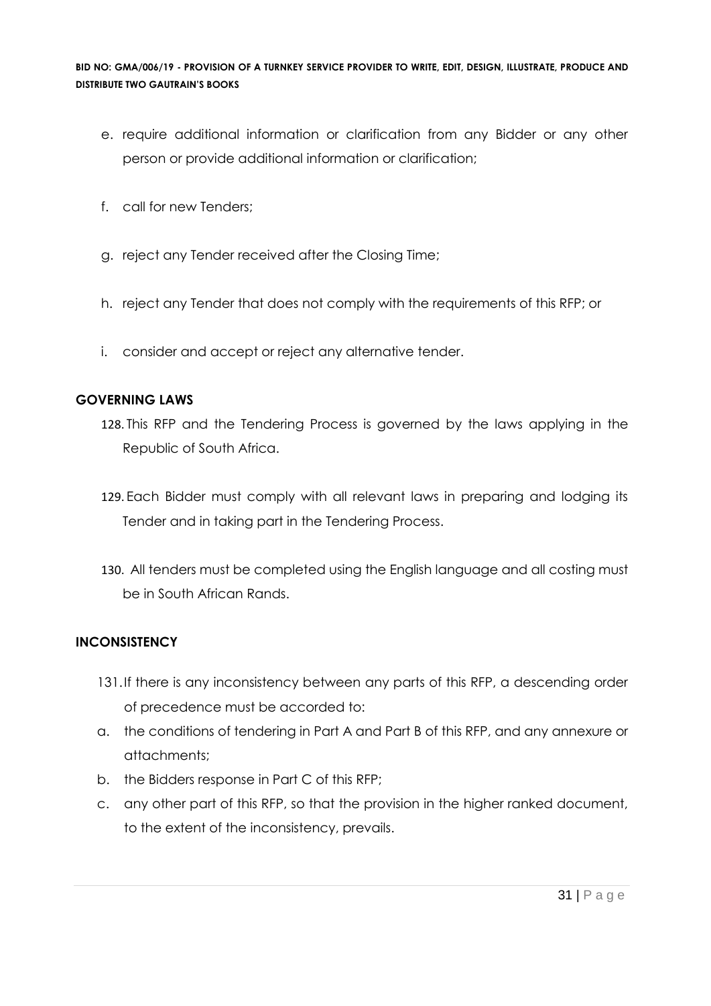- e. require additional information or clarification from any Bidder or any other person or provide additional information or clarification;
- f. call for new Tenders;
- g. reject any Tender received after the Closing Time;
- h. reject any Tender that does not comply with the requirements of this RFP; or
- i. consider and accept or reject any alternative tender.

#### **GOVERNING LAWS**

- 128. This RFP and the Tendering Process is governed by the laws applying in the Republic of South Africa.
- 129. Each Bidder must comply with all relevant laws in preparing and lodging its Tender and in taking part in the Tendering Process.
- 130. All tenders must be completed using the English language and all costing must be in South African Rands.

# **INCONSISTENCY**

- 131.If there is any inconsistency between any parts of this RFP, a descending order of precedence must be accorded to:
- a. the conditions of tendering in Part A and Part B of this RFP, and any annexure or attachments;
- b. the Bidders response in Part C of this RFP;
- c. any other part of this RFP, so that the provision in the higher ranked document, to the extent of the inconsistency, prevails.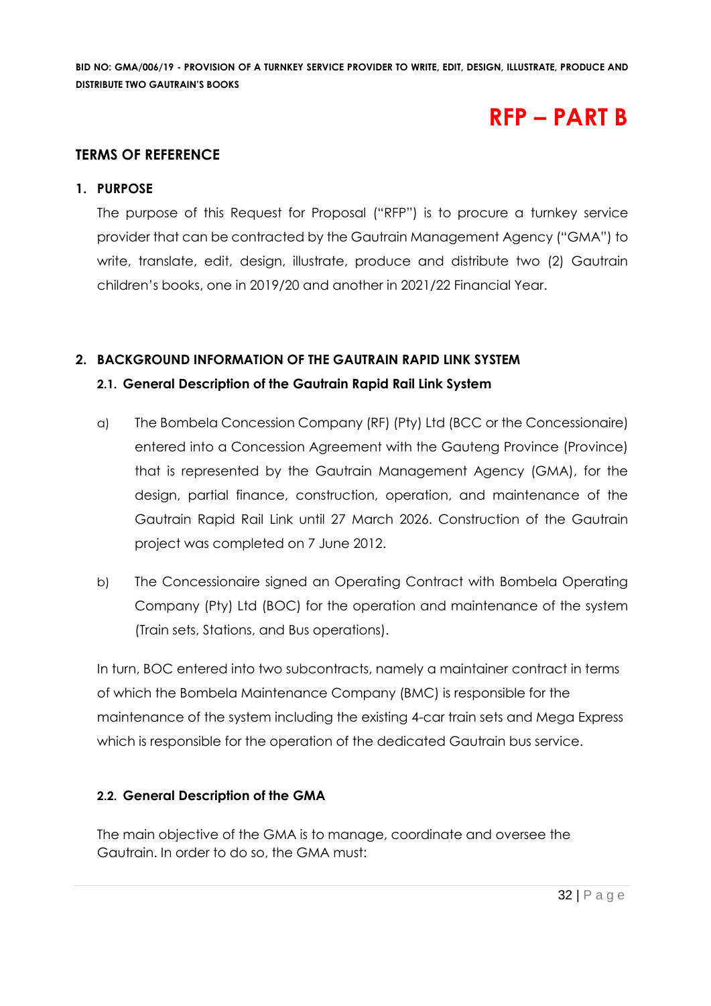# **RFP – PART B**

# **TERMS OF REFERENCE**

#### **1. PURPOSE**

The purpose of this Request for Proposal ("RFP") is to procure a turnkey service provider that can be contracted by the Gautrain Management Agency ("GMA") to write, translate, edit, design, illustrate, produce and distribute two (2) Gautrain children's books, one in 2019/20 and another in 2021/22 Financial Year.

# **2. BACKGROUND INFORMATION OF THE GAUTRAIN RAPID LINK SYSTEM**

# **2.1. General Description of the Gautrain Rapid Rail Link System**

- a) The Bombela Concession Company (RF) (Pty) Ltd (BCC or the Concessionaire) entered into a Concession Agreement with the Gauteng Province (Province) that is represented by the Gautrain Management Agency (GMA), for the design, partial finance, construction, operation, and maintenance of the Gautrain Rapid Rail Link until 27 March 2026. Construction of the Gautrain project was completed on 7 June 2012.
- b) The Concessionaire signed an Operating Contract with Bombela Operating Company (Pty) Ltd (BOC) for the operation and maintenance of the system (Train sets, Stations, and Bus operations).

In turn, BOC entered into two subcontracts, namely a maintainer contract in terms of which the Bombela Maintenance Company (BMC) is responsible for the maintenance of the system including the existing 4-car train sets and Mega Express which is responsible for the operation of the dedicated Gautrain bus service.

# **2.2. General Description of the GMA**

The main objective of the GMA is to manage, coordinate and oversee the Gautrain. In order to do so, the GMA must: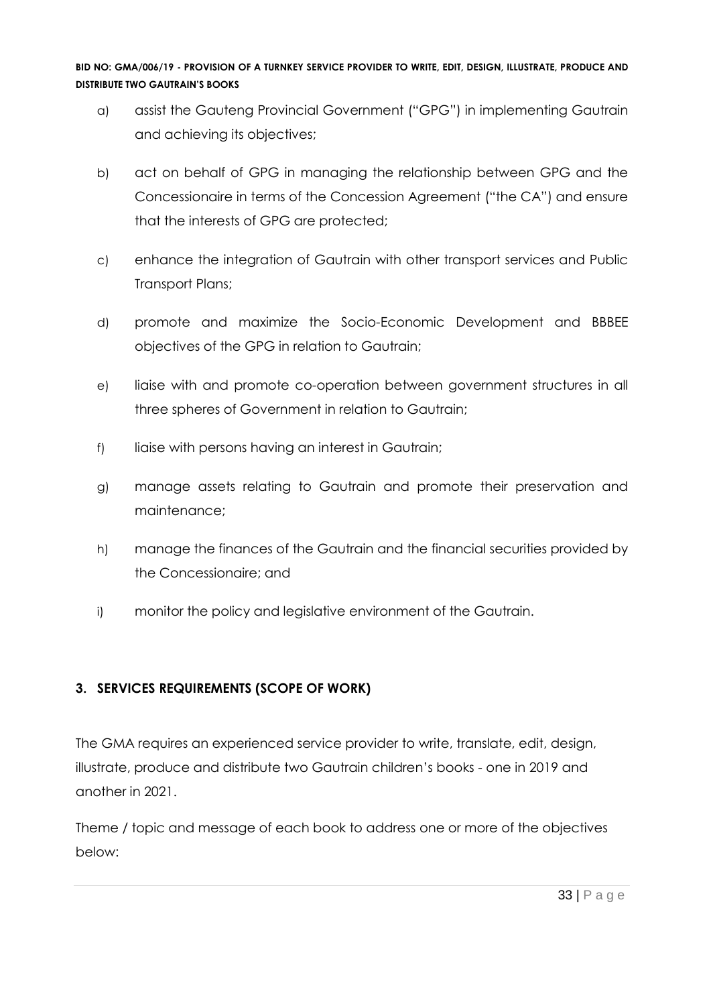- a) assist the Gauteng Provincial Government ("GPG") in implementing Gautrain and achieving its objectives;
- b) act on behalf of GPG in managing the relationship between GPG and the Concessionaire in terms of the Concession Agreement ("the CA") and ensure that the interests of GPG are protected;
- c) enhance the integration of Gautrain with other transport services and Public Transport Plans;
- d) promote and maximize the Socio-Economic Development and BBBEE objectives of the GPG in relation to Gautrain;
- e) liaise with and promote co-operation between government structures in all three spheres of Government in relation to Gautrain;
- f) liaise with persons having an interest in Gautrain;
- g) manage assets relating to Gautrain and promote their preservation and maintenance;
- h) manage the finances of the Gautrain and the financial securities provided by the Concessionaire; and
- i) monitor the policy and legislative environment of the Gautrain.

# **3. SERVICES REQUIREMENTS (SCOPE OF WORK)**

The GMA requires an experienced service provider to write, translate, edit, design, illustrate, produce and distribute two Gautrain children's books - one in 2019 and another in 2021.

Theme / topic and message of each book to address one or more of the objectives below: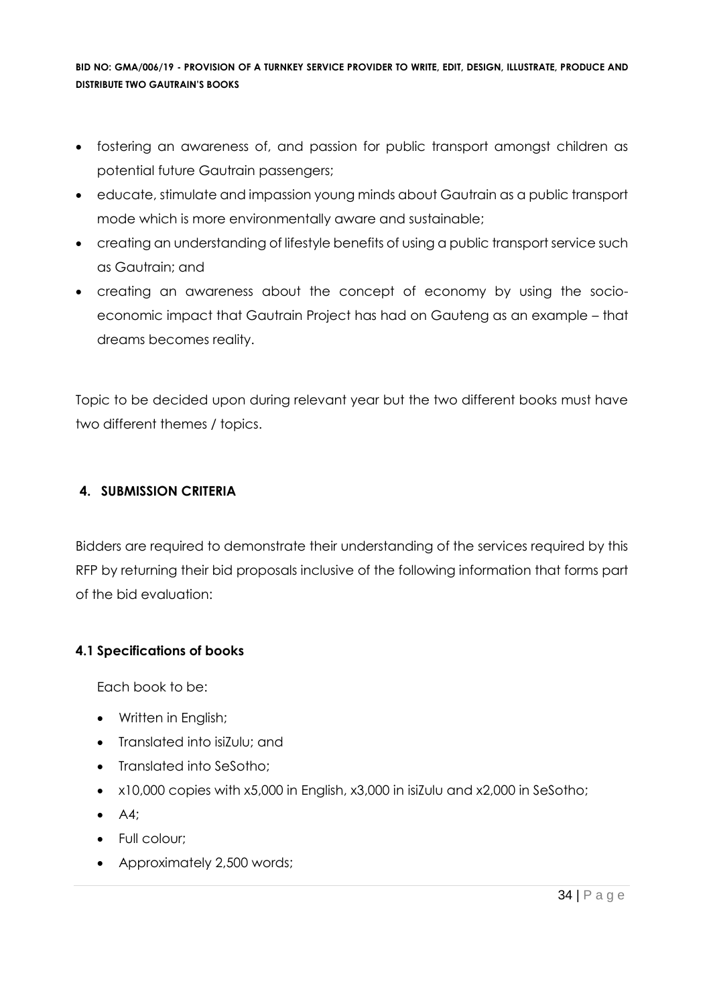- fostering an awareness of, and passion for public transport amongst children as potential future Gautrain passengers;
- educate, stimulate and impassion young minds about Gautrain as a public transport mode which is more environmentally aware and sustainable;
- creating an understanding of lifestyle benefits of using a public transport service such as Gautrain; and
- creating an awareness about the concept of economy by using the socioeconomic impact that Gautrain Project has had on Gauteng as an example – that dreams becomes reality.

Topic to be decided upon during relevant year but the two different books must have two different themes / topics.

# **4. SUBMISSION CRITERIA**

Bidders are required to demonstrate their understanding of the services required by this RFP by returning their bid proposals inclusive of the following information that forms part of the bid evaluation:

# **4.1 Specifications of books**

Each book to be:

- Written in English;
- Translated into isiZulu; and
- Translated into SeSotho;
- x10,000 copies with x5,000 in English, x3,000 in isiZulu and x2,000 in SeSotho;
- A4;
- Full colour;
- Approximately 2,500 words;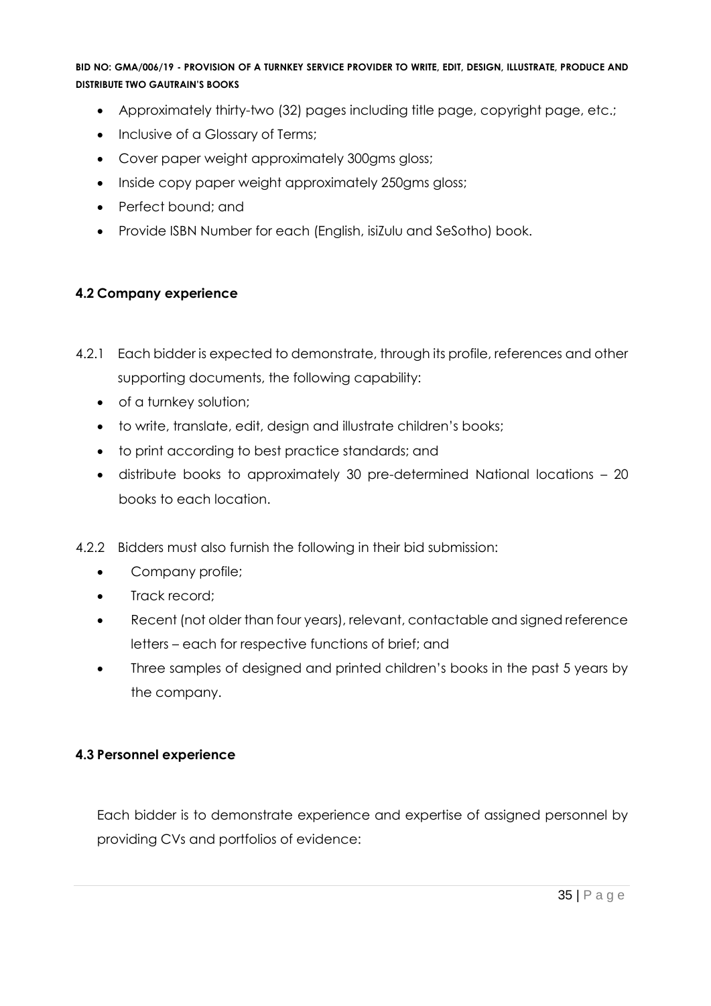- Approximately thirty-two (32) pages including title page, copyright page, etc.;
- Inclusive of a Glossary of Terms;
- Cover paper weight approximately 300gms gloss;
- Inside copy paper weight approximately 250gms gloss;
- Perfect bound: and
- Provide ISBN Number for each (English, isiZulu and SeSotho) book.

# **4.2 Company experience**

- 4.2.1 Each bidder is expected to demonstrate, through its profile, references and other supporting documents, the following capability:
	- of a turnkey solution;
	- to write, translate, edit, design and illustrate children's books;
	- to print according to best practice standards; and
	- distribute books to approximately 30 pre-determined National locations 20 books to each location.
- 4.2.2 Bidders must also furnish the following in their bid submission:
	- Company profile;
	- Track record:
	- Recent (not older than four years), relevant, contactable and signed reference letters – each for respective functions of brief; and
	- Three samples of designed and printed children's books in the past 5 years by the company.

# **4.3 Personnel experience**

Each bidder is to demonstrate experience and expertise of assigned personnel by providing CVs and portfolios of evidence: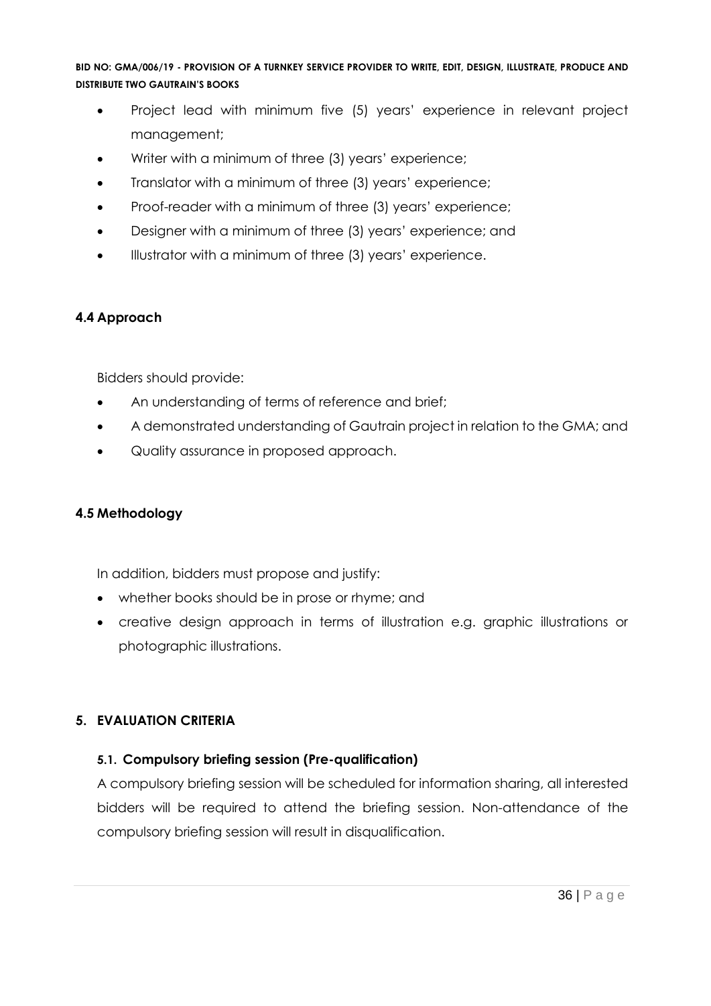- Project lead with minimum five (5) years' experience in relevant project management;
- Writer with a minimum of three (3) years' experience;
- Translator with a minimum of three (3) years' experience;
- Proof-reader with a minimum of three (3) years' experience;
- Designer with a minimum of three (3) years' experience; and
- Illustrator with a minimum of three (3) years' experience.

# **4.4 Approach**

Bidders should provide:

- An understanding of terms of reference and brief;
- A demonstrated understanding of Gautrain project in relation to the GMA; and
- Quality assurance in proposed approach.

# **4.5 Methodology**

In addition, bidders must propose and justify:

- whether books should be in prose or rhyme; and
- creative design approach in terms of illustration e.g. graphic illustrations or photographic illustrations.

# **5. EVALUATION CRITERIA**

# **5.1. Compulsory briefing session (Pre-qualification)**

A compulsory briefing session will be scheduled for information sharing, all interested bidders will be required to attend the briefing session. Non-attendance of the compulsory briefing session will result in disqualification.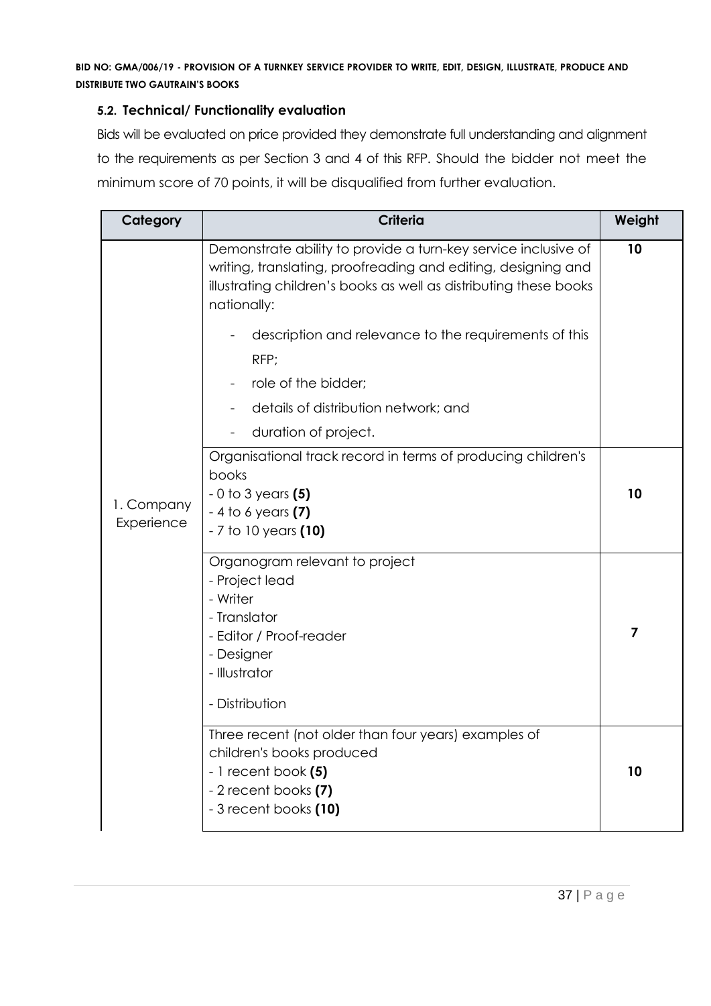#### **5.2. Technical/ Functionality evaluation**

Bids will be evaluated on price provided they demonstrate full understanding and alignment to the requirements as per Section 3 and 4 of this RFP. Should the bidder not meet the minimum score of 70 points, it will be disqualified from further evaluation.

| Category                 | <b>Criteria</b>                                                                                                                                                                                                                                                              | Weight |
|--------------------------|------------------------------------------------------------------------------------------------------------------------------------------------------------------------------------------------------------------------------------------------------------------------------|--------|
|                          | Demonstrate ability to provide a turn-key service inclusive of<br>writing, translating, proofreading and editing, designing and<br>illustrating children's books as well as distributing these books<br>nationally:<br>description and relevance to the requirements of this | 10     |
|                          | RFP;                                                                                                                                                                                                                                                                         |        |
|                          | role of the bidder;                                                                                                                                                                                                                                                          |        |
|                          | details of distribution network; and                                                                                                                                                                                                                                         |        |
|                          | duration of project.                                                                                                                                                                                                                                                         |        |
|                          | Organisational track record in terms of producing children's<br>books                                                                                                                                                                                                        |        |
|                          | $-0$ to 3 years $(5)$                                                                                                                                                                                                                                                        | 10     |
| 1. Company<br>Experience | $-4$ to 6 years (7)                                                                                                                                                                                                                                                          |        |
|                          | - 7 to 10 years (10)                                                                                                                                                                                                                                                         |        |
|                          | Organogram relevant to project<br>- Project lead                                                                                                                                                                                                                             |        |
|                          | - Writer                                                                                                                                                                                                                                                                     |        |
|                          | - Translator                                                                                                                                                                                                                                                                 |        |
|                          | - Editor / Proof-reader                                                                                                                                                                                                                                                      | 7      |
|                          | - Designer<br>- Illustrator                                                                                                                                                                                                                                                  |        |
|                          | - Distribution                                                                                                                                                                                                                                                               |        |
|                          | Three recent (not older than four years) examples of<br>children's books produced                                                                                                                                                                                            |        |
|                          | $-1$ recent book $(5)$                                                                                                                                                                                                                                                       | 10     |
|                          | - 2 recent books (7)<br>- 3 recent books (10)                                                                                                                                                                                                                                |        |
|                          |                                                                                                                                                                                                                                                                              |        |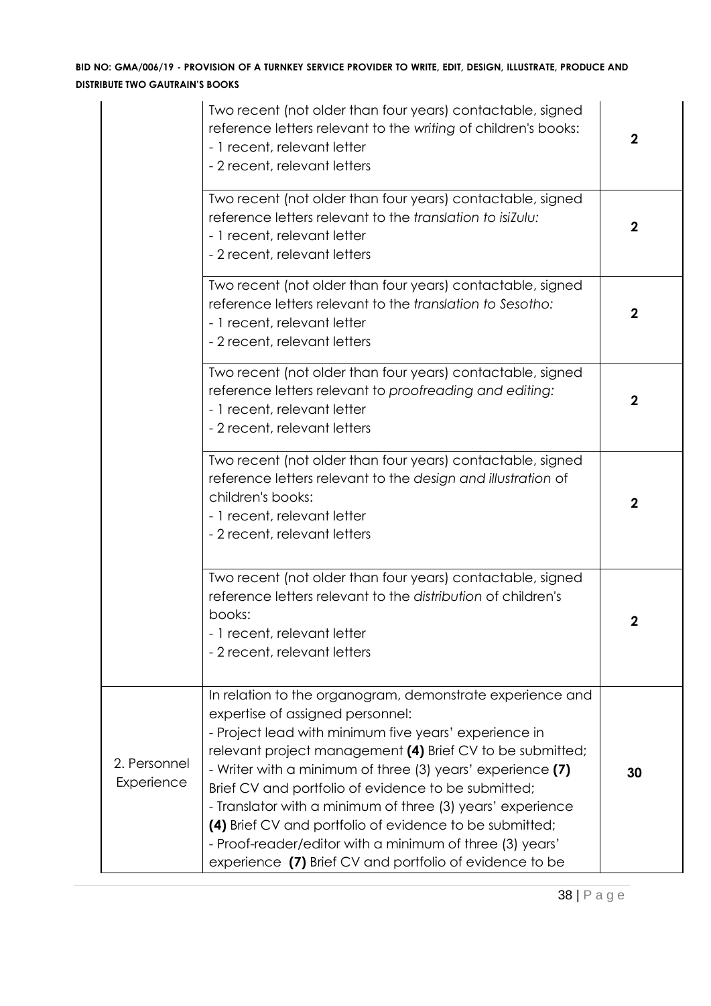|                            | Two recent (not older than four years) contactable, signed<br>reference letters relevant to the writing of children's books:<br>- 1 recent, relevant letter<br>- 2 recent, relevant letters                                                                                                                                                                                                                                                                                                                                                                                              | $\mathbf 2$      |
|----------------------------|------------------------------------------------------------------------------------------------------------------------------------------------------------------------------------------------------------------------------------------------------------------------------------------------------------------------------------------------------------------------------------------------------------------------------------------------------------------------------------------------------------------------------------------------------------------------------------------|------------------|
|                            | Two recent (not older than four years) contactable, signed<br>reference letters relevant to the translation to isiZulu:<br>- 1 recent, relevant letter<br>- 2 recent, relevant letters                                                                                                                                                                                                                                                                                                                                                                                                   | $\mathbf 2$      |
|                            | Two recent (not older than four years) contactable, signed<br>reference letters relevant to the translation to Sesotho:<br>- 1 recent, relevant letter<br>- 2 recent, relevant letters                                                                                                                                                                                                                                                                                                                                                                                                   | $\mathbf 2$      |
|                            | Two recent (not older than four years) contactable, signed<br>reference letters relevant to proofreading and editing:<br>- 1 recent, relevant letter<br>- 2 recent, relevant letters                                                                                                                                                                                                                                                                                                                                                                                                     | $\mathbf 2$      |
|                            | Two recent (not older than four years) contactable, signed<br>reference letters relevant to the design and illustration of<br>children's books:<br>- 1 recent, relevant letter<br>- 2 recent, relevant letters                                                                                                                                                                                                                                                                                                                                                                           | $\boldsymbol{2}$ |
|                            | Two recent (not older than four years) contactable, signed<br>reference letters relevant to the distribution of children's<br>books:<br>- 1 recent, relevant letter<br>- 2 recent, relevant letters                                                                                                                                                                                                                                                                                                                                                                                      | 2                |
| 2. Personnel<br>Experience | In relation to the organogram, demonstrate experience and<br>expertise of assigned personnel:<br>- Project lead with minimum five years' experience in<br>relevant project management (4) Brief CV to be submitted;<br>- Writer with a minimum of three (3) years' experience (7)<br>Brief CV and portfolio of evidence to be submitted;<br>- Translator with a minimum of three (3) years' experience<br>(4) Brief CV and portfolio of evidence to be submitted;<br>- Proof-reader/editor with a minimum of three (3) years'<br>experience (7) Brief CV and portfolio of evidence to be | 30               |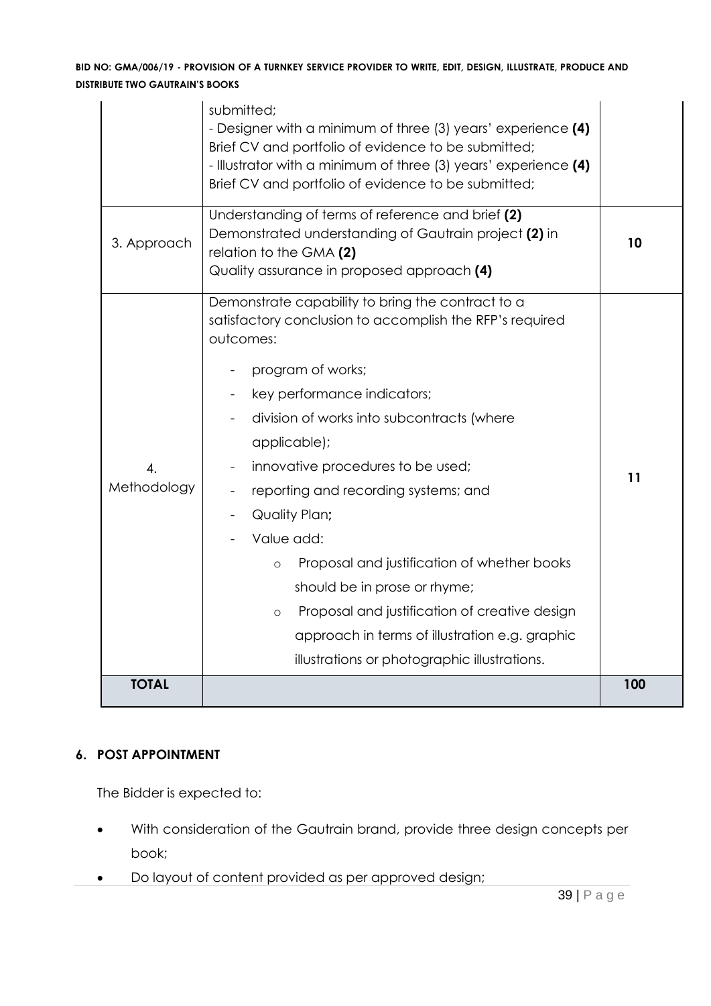|                                 | submitted;<br>- Designer with a minimum of three (3) years' experience (4)<br>Brief CV and portfolio of evidence to be submitted;                                                                                                                                                                                                                                                                                                                                                                              |     |
|---------------------------------|----------------------------------------------------------------------------------------------------------------------------------------------------------------------------------------------------------------------------------------------------------------------------------------------------------------------------------------------------------------------------------------------------------------------------------------------------------------------------------------------------------------|-----|
|                                 | - Illustrator with a minimum of three (3) years' experience (4)<br>Brief CV and portfolio of evidence to be submitted;                                                                                                                                                                                                                                                                                                                                                                                         |     |
| 3. Approach                     | Understanding of terms of reference and brief (2)<br>Demonstrated understanding of Gautrain project (2) in<br>relation to the GMA (2)<br>Quality assurance in proposed approach (4)                                                                                                                                                                                                                                                                                                                            | 10  |
| $\overline{4}$ .<br>Methodology | Demonstrate capability to bring the contract to a<br>satisfactory conclusion to accomplish the RFP's required<br>outcomes:<br>program of works;<br>key performance indicators;<br>division of works into subcontracts (where<br>applicable);<br>innovative procedures to be used;<br>reporting and recording systems; and<br>Quality Plan;<br>Value add:<br>Proposal and justification of whether books<br>$\circ$<br>should be in prose or rhyme;<br>Proposal and justification of creative design<br>$\circ$ | 11  |
| <b>TOTAL</b>                    | approach in terms of illustration e.g. graphic<br>illustrations or photographic illustrations.                                                                                                                                                                                                                                                                                                                                                                                                                 | 100 |
|                                 |                                                                                                                                                                                                                                                                                                                                                                                                                                                                                                                |     |

# **6. POST APPOINTMENT**

The Bidder is expected to:

- With consideration of the Gautrain brand, provide three design concepts per book;
- Do layout of content provided as per approved design;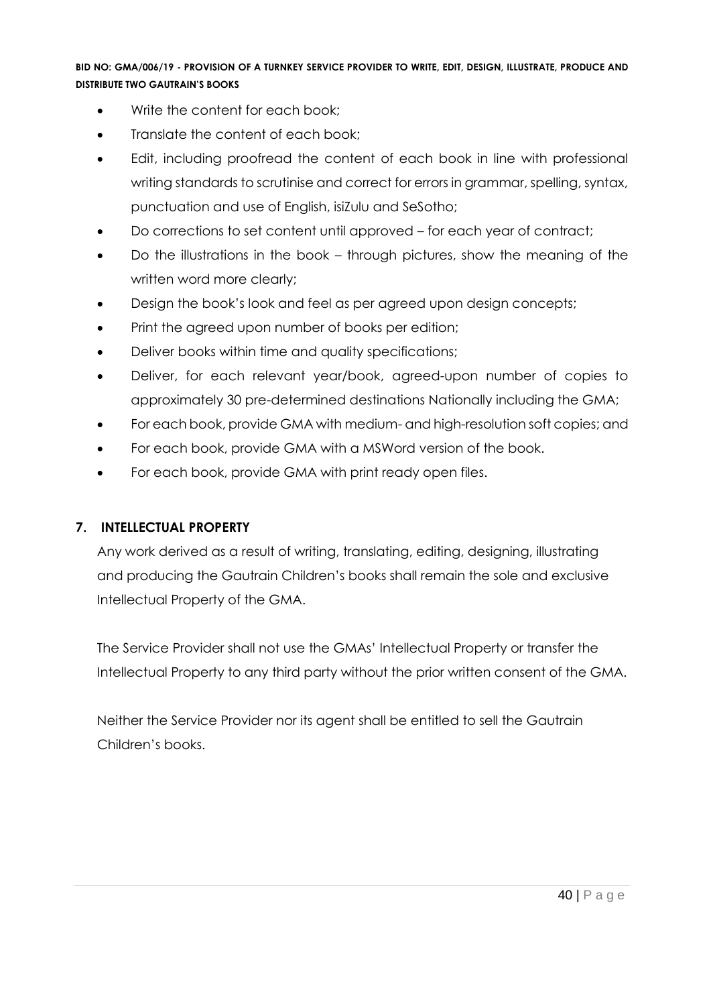- Write the content for each book;
- Translate the content of each book;
- Edit, including proofread the content of each book in line with professional writing standards to scrutinise and correct for errors in grammar, spelling, syntax, punctuation and use of English, isiZulu and SeSotho;
- Do corrections to set content until approved for each year of contract;
- Do the illustrations in the book through pictures, show the meaning of the written word more clearly;
- Design the book's look and feel as per agreed upon design concepts;
- Print the agreed upon number of books per edition;
- Deliver books within time and quality specifications;
- Deliver, for each relevant year/book, agreed-upon number of copies to approximately 30 pre-determined destinations Nationally including the GMA;
- For each book, provide GMA with medium- and high-resolution soft copies; and
- For each book, provide GMA with a MSWord version of the book.
- For each book, provide GMA with print ready open files.

#### **7. INTELLECTUAL PROPERTY**

Any work derived as a result of writing, translating, editing, designing, illustrating and producing the Gautrain Children's books shall remain the sole and exclusive Intellectual Property of the GMA.

The Service Provider shall not use the GMAs' Intellectual Property or transfer the Intellectual Property to any third party without the prior written consent of the GMA.

Neither the Service Provider nor its agent shall be entitled to sell the Gautrain Children's books.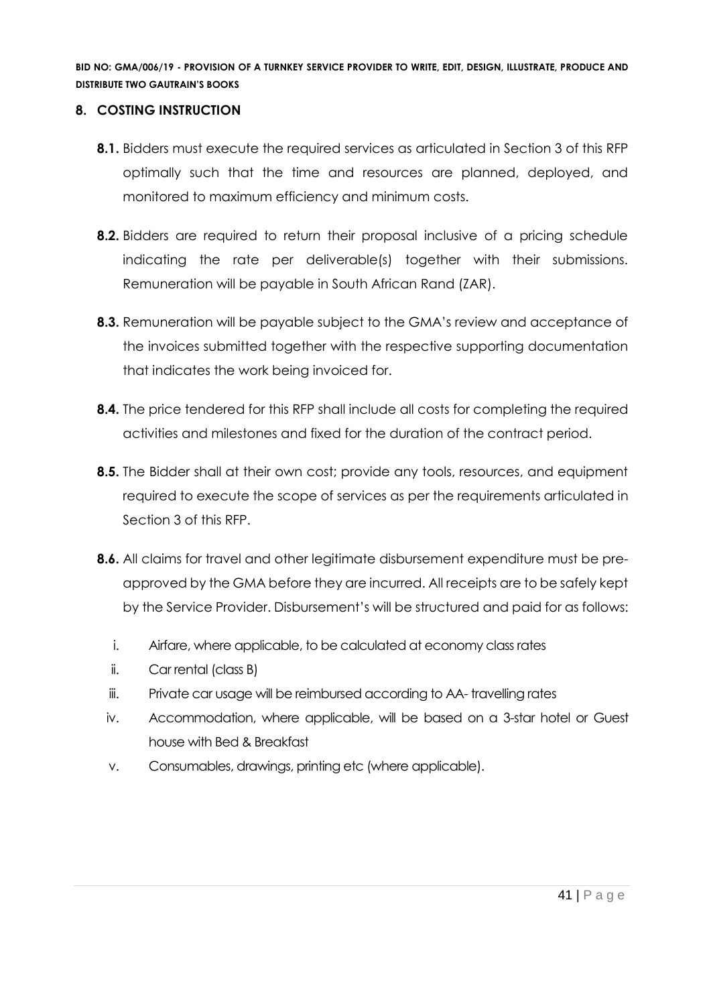#### **8. COSTING INSTRUCTION**

- **8.1.** Bidders must execute the required services as articulated in Section 3 of this RFP optimally such that the time and resources are planned, deployed, and monitored to maximum efficiency and minimum costs.
- **8.2.** Bidders are required to return their proposal inclusive of a pricing schedule indicating the rate per deliverable(s) together with their submissions. Remuneration will be payable in South African Rand (ZAR).
- **8.3.** Remuneration will be payable subject to the GMA's review and acceptance of the invoices submitted together with the respective supporting documentation that indicates the work being invoiced for.
- **8.4.** The price tendered for this RFP shall include all costs for completing the required activities and milestones and fixed for the duration of the contract period.
- **8.5.** The Bidder shall at their own cost; provide any tools, resources, and equipment required to execute the scope of services as per the requirements articulated in Section 3 of this RFP.
- **8.6.** All claims for travel and other legitimate disbursement expenditure must be preapproved by the GMA before they are incurred. All receipts are to be safely kept by the Service Provider. Disbursement's will be structured and paid for as follows:
	- i. Airfare, where applicable, to be calculated at economy class rates
	- ii. Car rental (class B)
	- iii. Private car usage will be reimbursed according to AA- travelling rates
	- iv. Accommodation, where applicable, will be based on a 3-star hotel or Guest house with Bed & Breakfast
	- v. Consumables, drawings, printing etc (where applicable).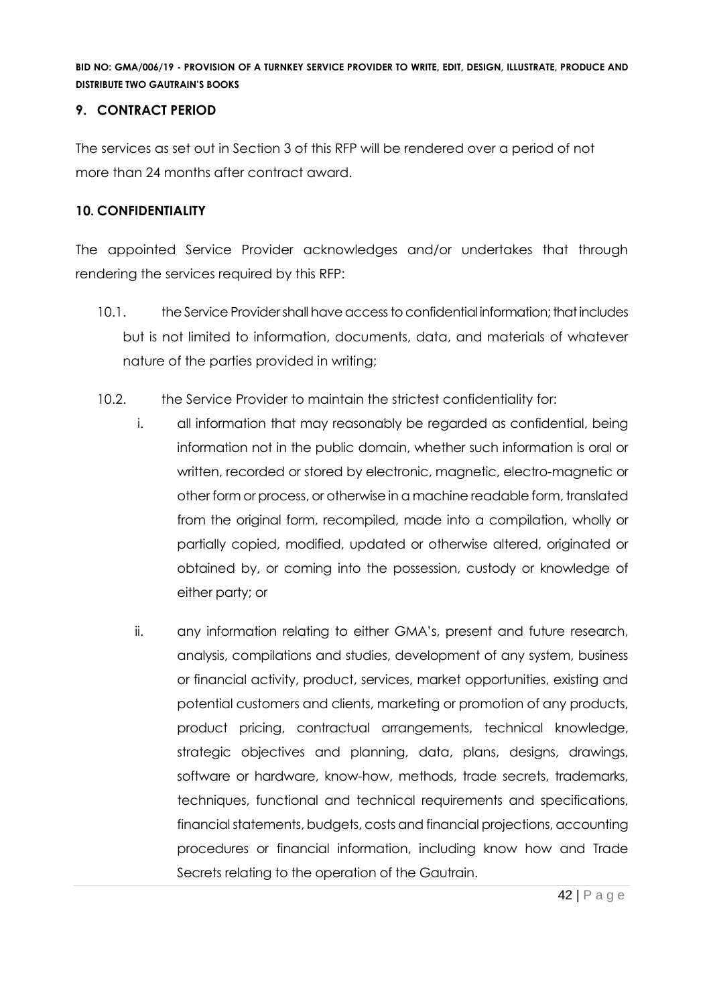#### **9. CONTRACT PERIOD**

The services as set out in Section 3 of this RFP will be rendered over a period of not more than 24 months after contract award.

# **10. CONFIDENTIALITY**

The appointed Service Provider acknowledges and/or undertakes that through rendering the services required by this RFP:

- 10.1. the Service Provider shall have access to confidential information; that includes but is not limited to information, documents, data, and materials of whatever nature of the parties provided in writing;
- 10.2. the Service Provider to maintain the strictest confidentiality for:
	- i. all information that may reasonably be regarded as confidential, being information not in the public domain, whether such information is oral or written, recorded or stored by electronic, magnetic, electro-magnetic or other form or process, or otherwise in a machine readable form, translated from the original form, recompiled, made into a compilation, wholly or partially copied, modified, updated or otherwise altered, originated or obtained by, or coming into the possession, custody or knowledge of either party; or
	- ii. any information relating to either GMA's, present and future research, analysis, compilations and studies, development of any system, business or financial activity, product, services, market opportunities, existing and potential customers and clients, marketing or promotion of any products, product pricing, contractual arrangements, technical knowledge, strategic objectives and planning, data, plans, designs, drawings, software or hardware, know-how, methods, trade secrets, trademarks, techniques, functional and technical requirements and specifications, financial statements, budgets, costs and financial projections, accounting procedures or financial information, including know how and Trade Secrets relating to the operation of the Gautrain.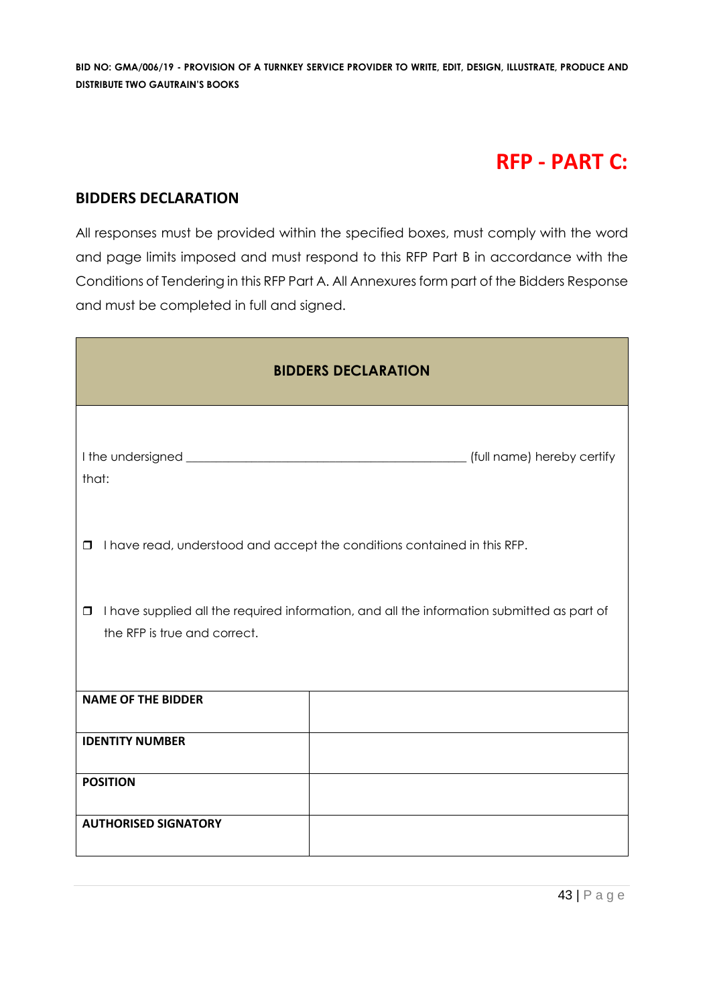# **RFP - PART C:**

#### **BIDDERS DECLARATION**

All responses must be provided within the specified boxes, must comply with the word and page limits imposed and must respond to this RFP Part B in accordance with the Conditions of Tendering in this RFP Part A. All Annexures form part of the Bidders Response and must be completed in full and signed.

| <b>BIDDERS DECLARATION</b>                                                                                                           |                                                                          |  |  |  |
|--------------------------------------------------------------------------------------------------------------------------------------|--------------------------------------------------------------------------|--|--|--|
| that:                                                                                                                                |                                                                          |  |  |  |
| $\Box$                                                                                                                               | I have read, understood and accept the conditions contained in this RFP. |  |  |  |
| I have supplied all the required information, and all the information submitted as part of<br>$\Box$<br>the RFP is true and correct. |                                                                          |  |  |  |
| <b>NAME OF THE BIDDER</b>                                                                                                            |                                                                          |  |  |  |
| <b>IDENTITY NUMBER</b>                                                                                                               |                                                                          |  |  |  |
| <b>POSITION</b>                                                                                                                      |                                                                          |  |  |  |
| <b>AUTHORISED SIGNATORY</b>                                                                                                          |                                                                          |  |  |  |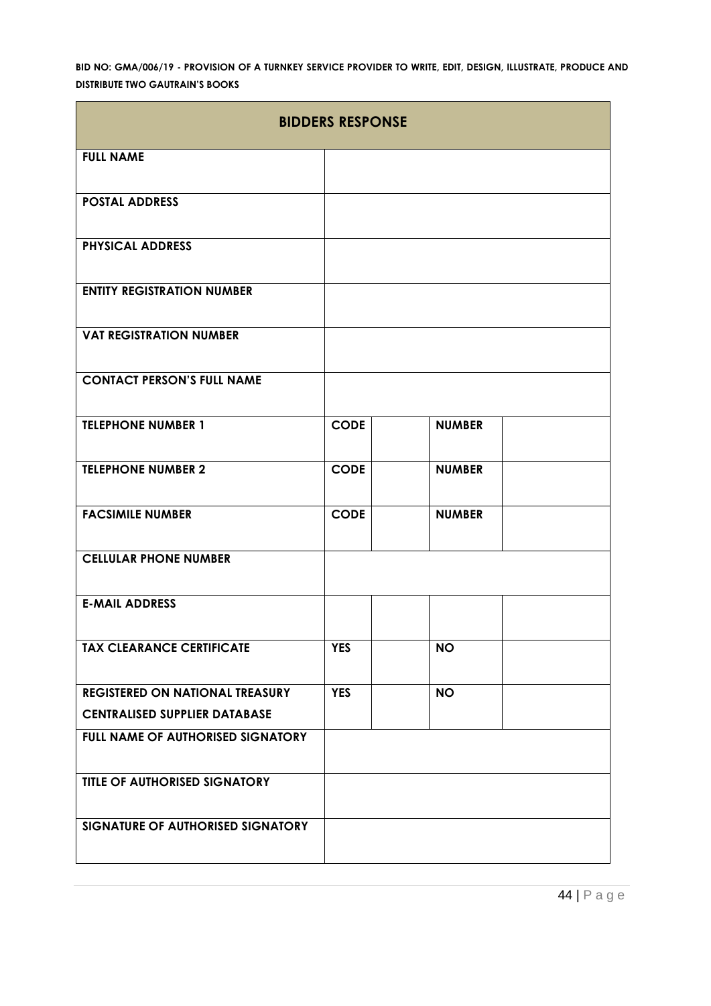| <b>BIDDERS RESPONSE</b>                |             |               |  |  |  |
|----------------------------------------|-------------|---------------|--|--|--|
| <b>FULL NAME</b>                       |             |               |  |  |  |
| <b>POSTAL ADDRESS</b>                  |             |               |  |  |  |
| <b>PHYSICAL ADDRESS</b>                |             |               |  |  |  |
| <b>ENTITY REGISTRATION NUMBER</b>      |             |               |  |  |  |
| <b>VAT REGISTRATION NUMBER</b>         |             |               |  |  |  |
| <b>CONTACT PERSON'S FULL NAME</b>      |             |               |  |  |  |
| <b>TELEPHONE NUMBER 1</b>              | <b>CODE</b> | <b>NUMBER</b> |  |  |  |
| <b>TELEPHONE NUMBER 2</b>              | <b>CODE</b> | <b>NUMBER</b> |  |  |  |
| <b>FACSIMILE NUMBER</b>                | <b>CODE</b> | <b>NUMBER</b> |  |  |  |
| <b>CELLULAR PHONE NUMBER</b>           |             |               |  |  |  |
| <b>E-MAIL ADDRESS</b>                  |             |               |  |  |  |
| <b>TAX CLEARANCE CERTIFICATE</b>       | <b>YES</b>  | <b>NO</b>     |  |  |  |
| <b>REGISTERED ON NATIONAL TREASURY</b> | <b>YES</b>  | <b>NO</b>     |  |  |  |
| <b>CENTRALISED SUPPLIER DATABASE</b>   |             |               |  |  |  |
| FULL NAME OF AUTHORISED SIGNATORY      |             |               |  |  |  |
| <b>TITLE OF AUTHORISED SIGNATORY</b>   |             |               |  |  |  |
| SIGNATURE OF AUTHORISED SIGNATORY      |             |               |  |  |  |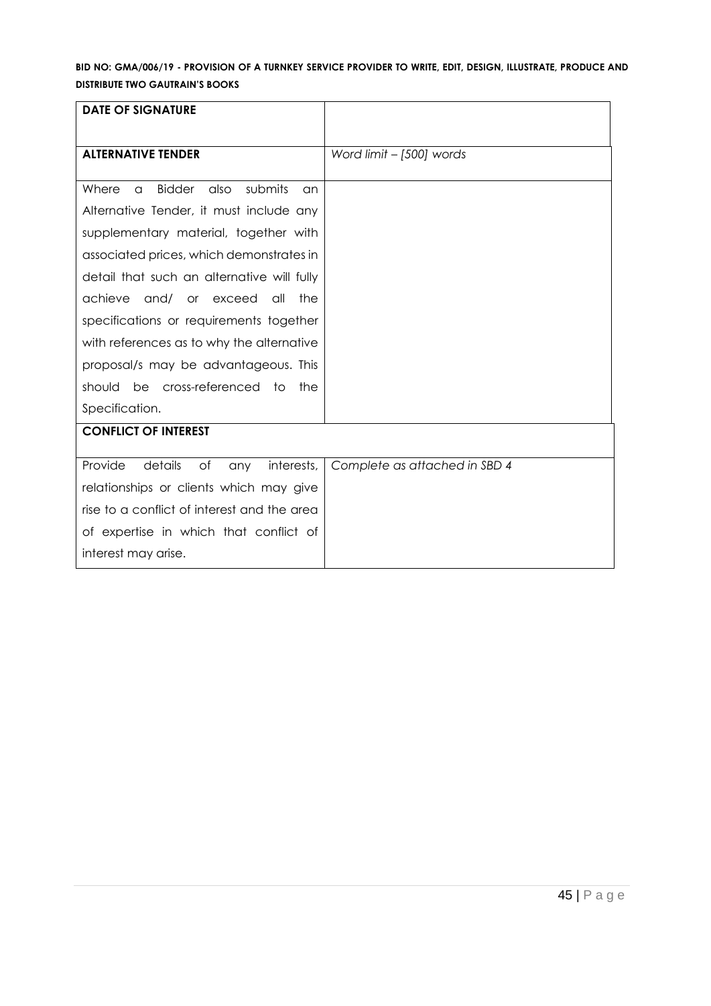| <b>DATE OF SIGNATURE</b>                                                                                                                                                                                                                                                                                                                                                                                             |                               |
|----------------------------------------------------------------------------------------------------------------------------------------------------------------------------------------------------------------------------------------------------------------------------------------------------------------------------------------------------------------------------------------------------------------------|-------------------------------|
| <b>ALTERNATIVE TENDER</b>                                                                                                                                                                                                                                                                                                                                                                                            | Word limit - [500] words      |
| <b>Bidder</b><br>submits<br>Where<br>also<br>$\alpha$<br>an<br>Alternative Tender, it must include any<br>supplementary material, together with<br>associated prices, which demonstrates in<br>detail that such an alternative will fully<br>achieve<br>and/ or exceed<br>all<br>the<br>specifications or requirements together<br>with references as to why the alternative<br>proposal/s may be advantageous. This |                               |
| should be cross-referenced to<br>the<br>Specification.                                                                                                                                                                                                                                                                                                                                                               |                               |
| <b>CONFLICT OF INTEREST</b>                                                                                                                                                                                                                                                                                                                                                                                          |                               |
| Provide<br>details<br>of<br>interests,<br>any<br>relationships or clients which may give<br>rise to a conflict of interest and the area<br>of expertise in which that conflict of<br>interest may arise.                                                                                                                                                                                                             | Complete as attached in SBD 4 |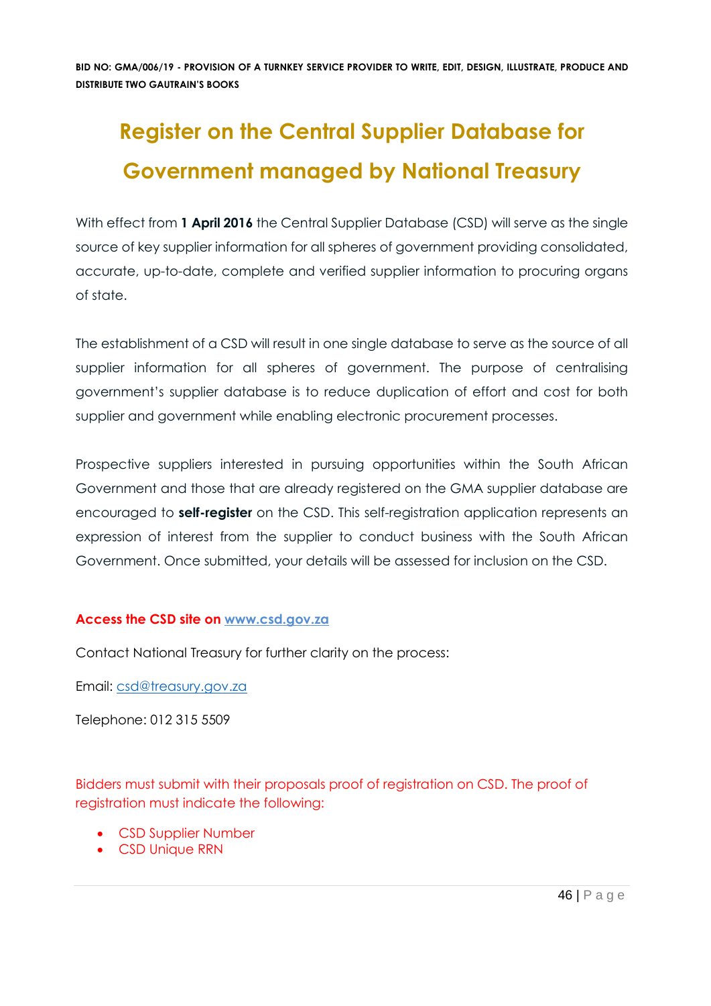# **Register on the Central Supplier Database for Government managed by National Treasury**

With effect from 1 April 2016 the Central Supplier Database (CSD) will serve as the single source of key supplier information for all spheres of government providing consolidated, accurate, up-to-date, complete and verified supplier information to procuring organs of state.

The establishment of a CSD will result in one single database to serve as the source of all supplier information for all spheres of government. The purpose of centralising government's supplier database is to reduce duplication of effort and cost for both supplier and government while enabling electronic procurement processes.

Prospective suppliers interested in pursuing opportunities within the South African Government and those that are already registered on the GMA supplier database are encouraged to **self-register** on the CSD. This self-registration application represents an expression of interest from the supplier to conduct business with the South African Government. Once submitted, your details will be assessed for inclusion on the CSD.

#### **Access the CSD site on [www.csd.gov.za](http://www.csd.gov.za/)**

Contact National Treasury for further clarity on the process:

Email: [csd@treasury.gov.za](mailto:csd@treasury.gov.za)

Telephone: 012 315 5509

Bidders must submit with their proposals proof of registration on CSD. The proof of registration must indicate the following:

- CSD Supplier Number
- CSD Unique RRN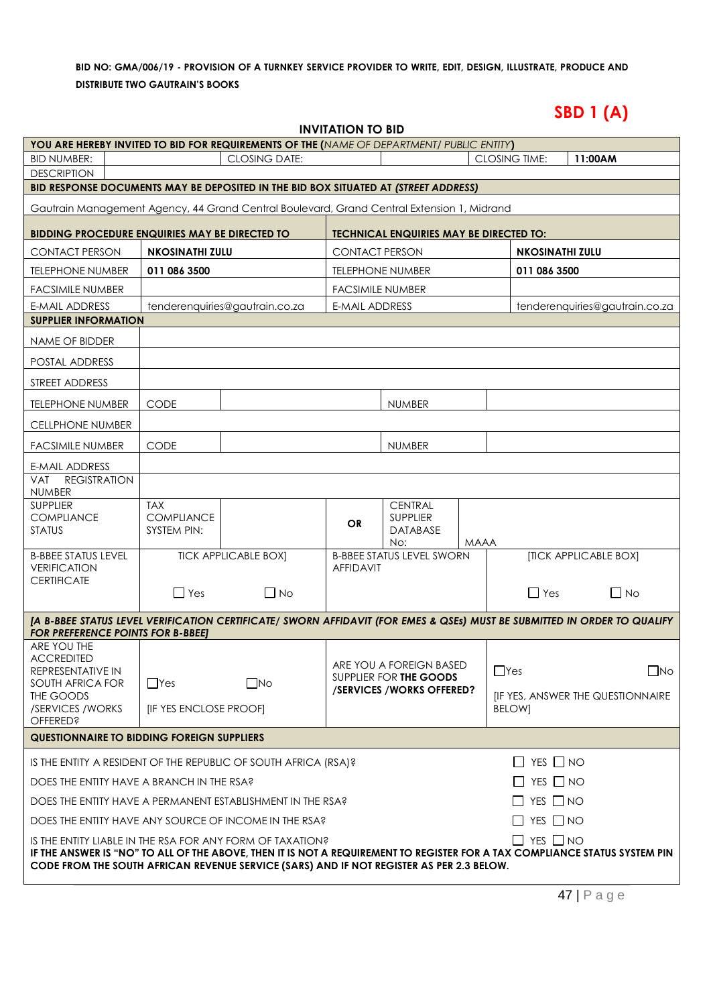# **SBD 1 (A)**

|                                                                                                                                                                                                                        |                                                         |                                | <b>INVITATION TO BID</b> |                                                      |             |                        |                                         |
|------------------------------------------------------------------------------------------------------------------------------------------------------------------------------------------------------------------------|---------------------------------------------------------|--------------------------------|--------------------------|------------------------------------------------------|-------------|------------------------|-----------------------------------------|
| YOU ARE HEREBY INVITED TO BID FOR REQUIREMENTS OF THE (NAME OF DEPARTMENT/ PUBLIC ENTITY)                                                                                                                              |                                                         |                                |                          |                                                      |             |                        |                                         |
| <b>BID NUMBER:</b>                                                                                                                                                                                                     | <b>CLOSING DATE:</b><br><b>CLOSING TIME:</b><br>11:00AM |                                |                          |                                                      |             |                        |                                         |
| <b>DESCRIPTION</b>                                                                                                                                                                                                     |                                                         |                                |                          |                                                      |             |                        |                                         |
| BID RESPONSE DOCUMENTS MAY BE DEPOSITED IN THE BID BOX SITUATED AT (STREET ADDRESS)                                                                                                                                    |                                                         |                                |                          |                                                      |             |                        |                                         |
| Gautrain Management Agency, 44 Grand Central Boulevard, Grand Central Extension 1, Midrand                                                                                                                             |                                                         |                                |                          |                                                      |             |                        |                                         |
| <b>BIDDING PROCEDURE ENQUIRIES MAY BE DIRECTED TO</b>                                                                                                                                                                  |                                                         |                                |                          | <b>TECHNICAL ENQUIRIES MAY BE DIRECTED TO:</b>       |             |                        |                                         |
| <b>CONTACT PERSON</b>                                                                                                                                                                                                  | <b>NKOSINATHI ZULU</b>                                  |                                | <b>CONTACT PERSON</b>    |                                                      |             | <b>NKOSINATHI ZULU</b> |                                         |
| <b>TELEPHONE NUMBER</b>                                                                                                                                                                                                | 011 086 3500                                            |                                |                          | <b>TELEPHONE NUMBER</b>                              |             | 011 086 3500           |                                         |
| <b>FACSIMILE NUMBER</b>                                                                                                                                                                                                |                                                         |                                | <b>FACSIMILE NUMBER</b>  |                                                      |             |                        |                                         |
| <b>E-MAIL ADDRESS</b>                                                                                                                                                                                                  |                                                         | tenderenquiries@gautrain.co.za | <b>E-MAIL ADDRESS</b>    |                                                      |             |                        | tenderenquiries@gautrain.co.za          |
| <b>SUPPLIER INFORMATION</b>                                                                                                                                                                                            |                                                         |                                |                          |                                                      |             |                        |                                         |
| NAME OF BIDDER                                                                                                                                                                                                         |                                                         |                                |                          |                                                      |             |                        |                                         |
| POSTAL ADDRESS                                                                                                                                                                                                         |                                                         |                                |                          |                                                      |             |                        |                                         |
| STREET ADDRESS                                                                                                                                                                                                         |                                                         |                                |                          |                                                      |             |                        |                                         |
| <b>TELEPHONE NUMBER</b>                                                                                                                                                                                                | <b>CODE</b>                                             |                                |                          | <b>NUMBER</b>                                        |             |                        |                                         |
| <b>CELLPHONE NUMBER</b>                                                                                                                                                                                                |                                                         |                                |                          |                                                      |             |                        |                                         |
| <b>FACSIMILE NUMBER</b>                                                                                                                                                                                                | <b>CODE</b>                                             |                                |                          | <b>NUMBER</b>                                        |             |                        |                                         |
| E-MAIL ADDRESS                                                                                                                                                                                                         |                                                         |                                |                          |                                                      |             |                        |                                         |
| <b>REGISTRATION</b><br>VAT<br>NUMBER                                                                                                                                                                                   |                                                         |                                |                          |                                                      |             |                        |                                         |
| <b>SUPPLIER</b><br><b>COMPLIANCE</b><br><b>STATUS</b>                                                                                                                                                                  | <b>TAX</b><br><b>COMPLIANCE</b><br><b>SYSTEM PIN:</b>   |                                | <b>OR</b>                | <b>CENTRAL</b><br><b>SUPPLIER</b><br><b>DATABASE</b> | <b>MAAA</b> |                        |                                         |
| <b>B-BBEE STATUS LEVEL</b><br><b>VERIFICATION</b>                                                                                                                                                                      |                                                         | <b>TICK APPLICABLE BOX]</b>    | <b>AFFIDAVIT</b>         | No:<br><b>B-BBEE STATUS LEVEL SWORN</b>              |             |                        | <b>[TICK APPLICABLE BOX]</b>            |
| <b>CERTIFICATE</b>                                                                                                                                                                                                     | $\Box$ Yes                                              | $\Box$ No                      |                          |                                                      |             | $\Box$ Yes             | $\Box$ No                               |
| [A B-BBEE STATUS LEVEL VERIFICATION CERTIFICATE/ SWORN AFFIDAVIT (FOR EMES & QSEs) MUST BE SUBMITTED IN ORDER TO QUALIFY                                                                                               |                                                         |                                |                          |                                                      |             |                        |                                         |
| <b>FOR PREFERENCE POINTS FOR B-BBEET</b><br>ARE YOU THE                                                                                                                                                                |                                                         |                                |                          |                                                      |             |                        |                                         |
| <b>ACCREDITED</b><br>REPRESENTATIVE IN                                                                                                                                                                                 |                                                         |                                |                          | ARE YOU A FOREIGN BASED                              |             | $\Box$ Yes             | $\Box$ No                               |
| SOUTH AFRICA FOR                                                                                                                                                                                                       | $\Box$ Yes                                              | $\Box$ No                      |                          | SUPPLIER FOR THE GOODS<br>/SERVICES / WORKS OFFERED? |             |                        |                                         |
| THE GOODS<br>/SERVICES / WORKS<br><b>OFFERED?</b>                                                                                                                                                                      | <b>IF YES ENCLOSE PROOFI</b>                            |                                |                          |                                                      |             | <b>BELOWI</b>          | <b>IF YES, ANSWER THE QUESTIONNAIRE</b> |
| <b>QUESTIONNAIRE TO BIDDING FOREIGN SUPPLIERS</b>                                                                                                                                                                      |                                                         |                                |                          |                                                      |             |                        |                                         |
| $\Box$ Yes $\Box$ No<br>IS THE ENTITY A RESIDENT OF THE REPUBLIC OF SOUTH AFRICA (RSA)?                                                                                                                                |                                                         |                                |                          |                                                      |             |                        |                                         |
| $\Box$ YES $\Box$ NO<br>DOES THE ENTITY HAVE A BRANCH IN THE RSA?                                                                                                                                                      |                                                         |                                |                          |                                                      |             |                        |                                         |
| $\Box$ YES $\Box$ NO<br>DOES THE ENTITY HAVE A PERMANENT ESTABLISHMENT IN THE RSA?                                                                                                                                     |                                                         |                                |                          |                                                      |             |                        |                                         |
| YES $\Box$ NO<br>DOES THE ENTITY HAVE ANY SOURCE OF INCOME IN THE RSA?<br>$\perp$                                                                                                                                      |                                                         |                                |                          |                                                      |             |                        |                                         |
| $\Box$ YES $\Box$ NO<br>IS THE ENTITY LIABLE IN THE RSA FOR ANY FORM OF TAXATION?                                                                                                                                      |                                                         |                                |                          |                                                      |             |                        |                                         |
| IF THE ANSWER IS "NO" TO ALL OF THE ABOVE, THEN IT IS NOT A REQUIREMENT TO REGISTER FOR A TAX COMPLIANCE STATUS SYSTEM PIN<br>CODE FROM THE SOUTH AFRICAN REVENUE SERVICE (SARS) AND IF NOT REGISTER AS PER 2.3 BELOW. |                                                         |                                |                          |                                                      |             |                        |                                         |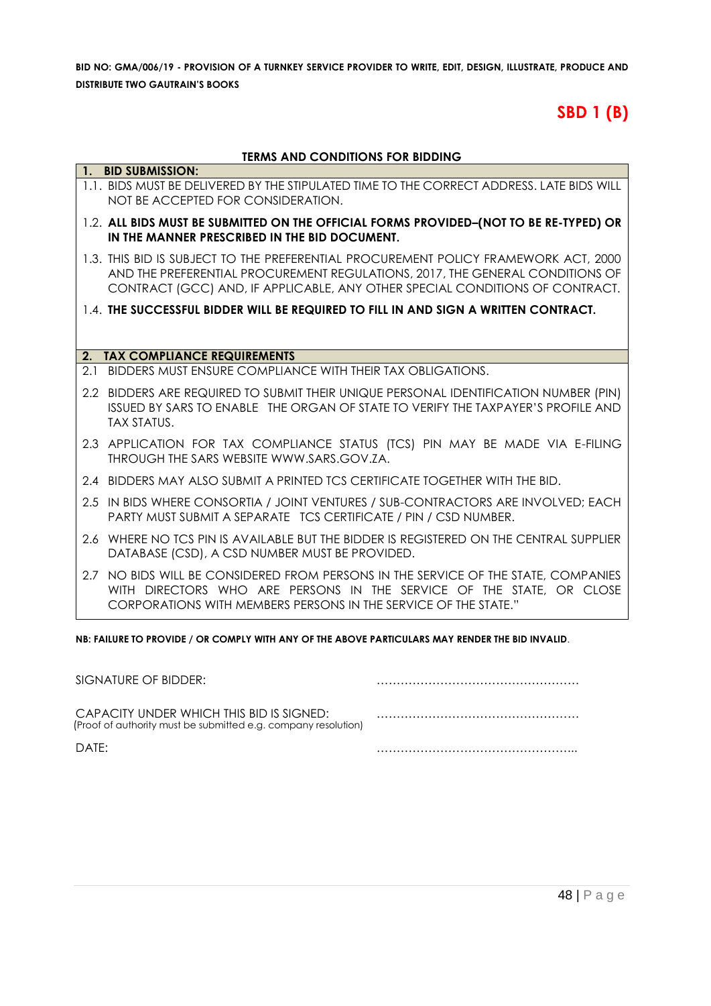# **SBD 1 (B)**

#### **TERMS AND CONDITIONS FOR BIDDING**

|     | 1. BID SUBMISSION:                                                                                                                                                                                                                                   |
|-----|------------------------------------------------------------------------------------------------------------------------------------------------------------------------------------------------------------------------------------------------------|
|     | 1.1. BIDS MUST BE DELIVERED BY THE STIPULATED TIME TO THE CORRECT ADDRESS. LATE BIDS WILL<br>NOT BE ACCEPTED FOR CONSIDERATION.                                                                                                                      |
|     | 1.2. ALL BIDS MUST BE SUBMITTED ON THE OFFICIAL FORMS PROVIDED-(NOT TO BE RE-TYPED) OR<br>IN THE MANNER PRESCRIBED IN THE BID DOCUMENT.                                                                                                              |
|     | 1.3. THIS BID IS SUBJECT TO THE PREFERENTIAL PROCUREMENT POLICY FRAMEWORK ACT, 2000<br>AND THE PREFERENTIAL PROCUREMENT REGULATIONS, 2017, THE GENERAL CONDITIONS OF<br>CONTRACT (GCC) AND, IF APPLICABLE, ANY OTHER SPECIAL CONDITIONS OF CONTRACT. |
|     | 1.4. THE SUCCESSFUL BIDDER WILL BE REQUIRED TO FILL IN AND SIGN A WRITTEN CONTRACT.                                                                                                                                                                  |
|     |                                                                                                                                                                                                                                                      |
|     | 2. TAX COMPLIANCE REQUIREMENTS                                                                                                                                                                                                                       |
| 2.1 | BIDDERS MUST ENSURE COMPLIANCE WITH THEIR TAX OBLIGATIONS.                                                                                                                                                                                           |
|     | 2.2 BIDDERS ARE REQUIRED TO SUBMIT THEIR UNIQUE PERSONAL IDENTIFICATION NUMBER (PIN)<br>ISSUED BY SARS TO ENABLE THE ORGAN OF STATE TO VERIFY THE TAXPAYER'S PROFILE AND<br><b>TAX STATUS.</b>                                                       |
|     | 2.3 APPLICATION FOR TAX COMPLIANCE STATUS (TCS) PIN MAY BE MADE VIA E-FILING<br>THROUGH THE SARS WEBSITE WWW.SARS.GOV.ZA.                                                                                                                            |
|     | 2.4 BIDDERS MAY ALSO SUBMIT A PRINTED TCS CERTIFICATE TOGETHER WITH THE BID.                                                                                                                                                                         |
|     | 2.5 IN BIDS WHERE CONSORTIA / JOINT VENTURES / SUB-CONTRACTORS ARE INVOLVED; EACH<br><b>PARTY MUST SUBMIT A SEPARATE TCS CERTIFICATE / PIN / CSD NUMBER.</b>                                                                                         |
| 2.6 | WHERE NO TCS PIN IS AVAILABLE BUT THE BIDDER IS REGISTERED ON THE CENTRAL SUPPLIER<br>DATABASE (CSD), A CSD NUMBER MUST BE PROVIDED.                                                                                                                 |
|     | 2.7 NO BIDS WILL BE CONSIDERED FROM PERSONS IN THE SERVICE OF THE STATE, COMPANIES<br>WITH DIRECTORS WHO ARE PERSONS IN THE SERVICE OF THE STATE, OR CLOSE<br>CORPORATIONS WITH MEMBERS PERSONS IN THE SERVICE OF THE STATE."                        |

**NB: FAILURE TO PROVIDE / OR COMPLY WITH ANY OF THE ABOVE PARTICULARS MAY RENDER THE BID INVALID**.

| SIGNATURE OF BIDDER:                                                                                       |  |
|------------------------------------------------------------------------------------------------------------|--|
| CAPACITY UNDER WHICH THIS BID IS SIGNED:<br>(Proof of authority must be submitted e.g. company resolution) |  |
| DATF:                                                                                                      |  |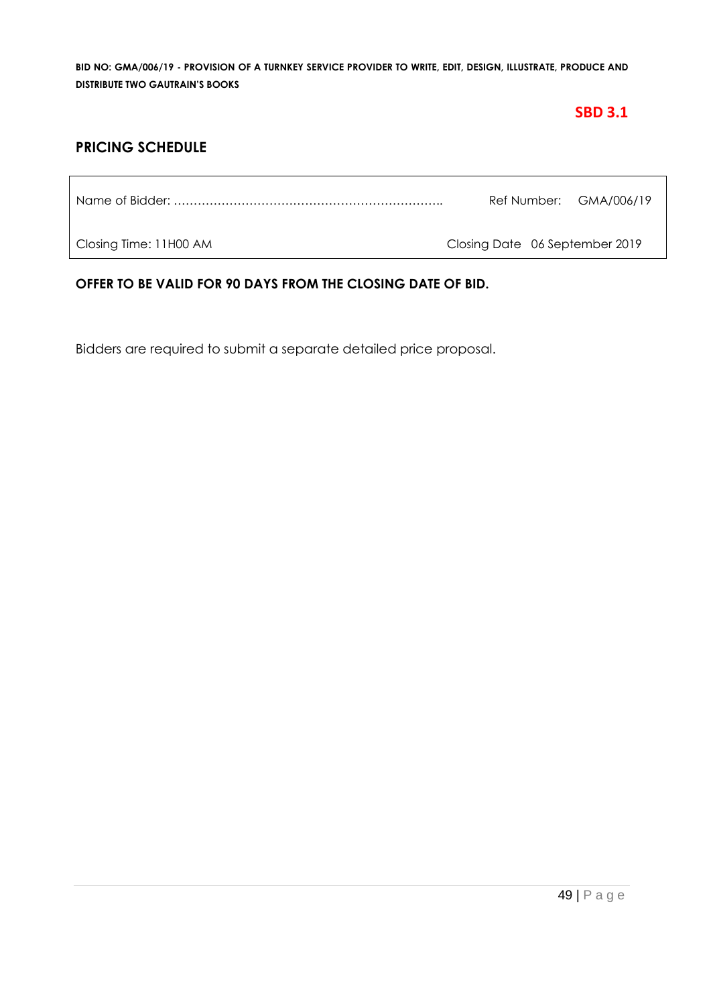# **SBD 3.1**

# **PRICING SCHEDULE**

Name of Bidder: ………………………………………………………….. Ref Number: GMA/006/19

Closing Time: 11H00 AM Closing Date 06 September 2019

**OFFER TO BE VALID FOR 90 DAYS FROM THE CLOSING DATE OF BID.**

Bidders are required to submit a separate detailed price proposal.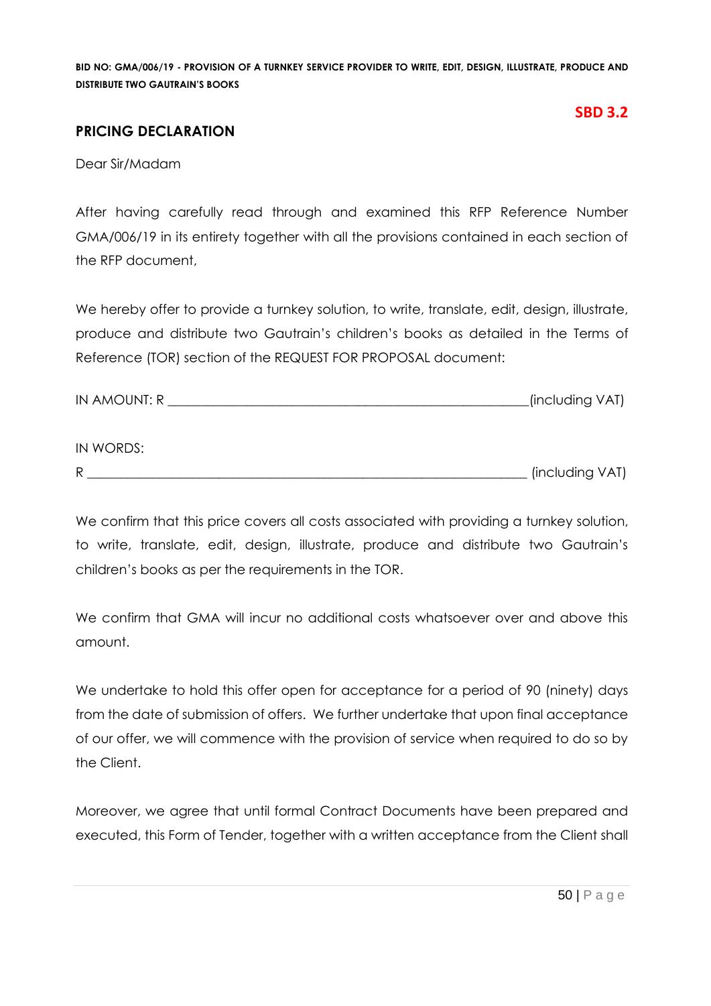### **PRICING DECLARATION**

# **SBD 3.2**

Dear Sir/Madam

After having carefully read through and examined this RFP Reference Number GMA/006/19 in its entirety together with all the provisions contained in each section of the RFP document,

We hereby offer to provide a turnkey solution, to write, translate, edit, design, illustrate, produce and distribute two Gautrain's children's books as detailed in the Terms of Reference (TOR) section of the REQUEST FOR PROPOSAL document:

| <b>IN AMOUNT: R</b> | (including VAT) |  |
|---------------------|-----------------|--|
|                     |                 |  |

#### IN WORDS:

R \_\_\_\_\_\_\_\_\_\_\_\_\_\_\_\_\_\_\_\_\_\_\_\_\_\_\_\_\_\_\_\_\_\_\_\_\_\_\_\_\_\_\_\_\_\_\_\_\_\_\_\_\_\_\_\_\_\_\_\_\_\_\_\_\_\_\_ (including VAT)

We confirm that this price covers all costs associated with providing a turnkey solution, to write, translate, edit, design, illustrate, produce and distribute two Gautrain's children's books as per the requirements in the TOR.

We confirm that GMA will incur no additional costs whatsoever over and above this amount.

We undertake to hold this offer open for acceptance for a period of 90 (ninety) days from the date of submission of offers. We further undertake that upon final acceptance of our offer, we will commence with the provision of service when required to do so by the Client.

Moreover, we agree that until formal Contract Documents have been prepared and executed, this Form of Tender, together with a written acceptance from the Client shall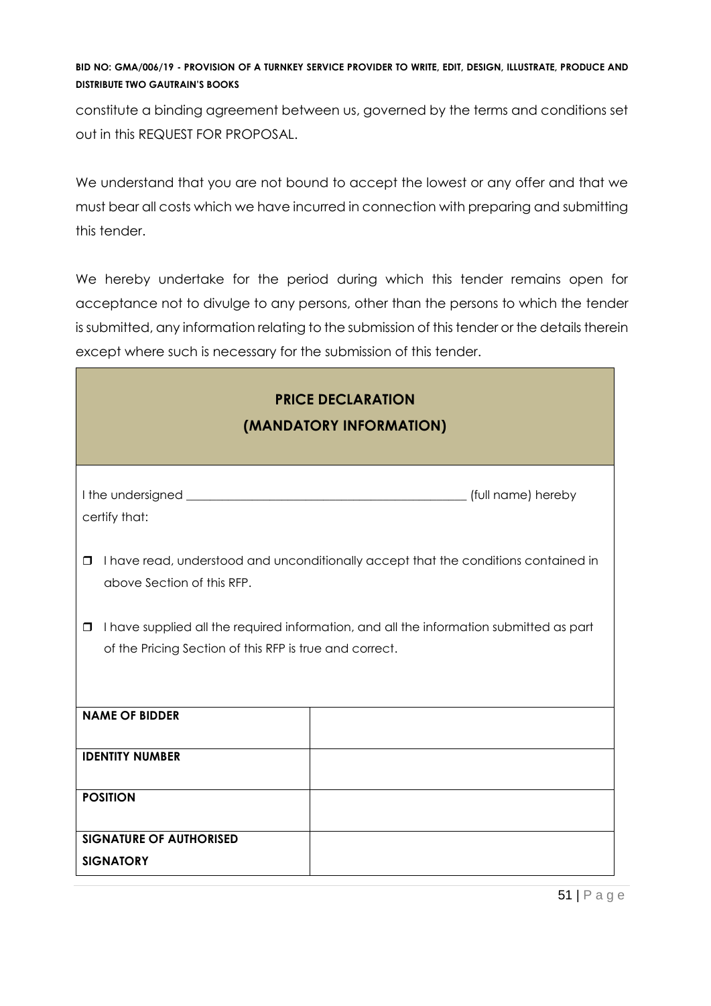constitute a binding agreement between us, governed by the terms and conditions set out in this REQUEST FOR PROPOSAL.

We understand that you are not bound to accept the lowest or any offer and that we must bear all costs which we have incurred in connection with preparing and submitting this tender.

We hereby undertake for the period during which this tender remains open for acceptance not to divulge to any persons, other than the persons to which the tender is submitted, any information relating to the submission of this tender or the details therein except where such is necessary for the submission of this tender.

| <b>PRICE DECLARATION</b><br>(MANDATORY INFORMATION)                                                                                                          |                                                                                     |  |  |  |  |
|--------------------------------------------------------------------------------------------------------------------------------------------------------------|-------------------------------------------------------------------------------------|--|--|--|--|
| certify that:                                                                                                                                                |                                                                                     |  |  |  |  |
| □<br>above Section of this RFP.                                                                                                                              | I have read, understood and unconditionally accept that the conditions contained in |  |  |  |  |
| I have supplied all the required information, and all the information submitted as part<br>$\Box$<br>of the Pricing Section of this RFP is true and correct. |                                                                                     |  |  |  |  |
| <b>NAME OF BIDDER</b>                                                                                                                                        |                                                                                     |  |  |  |  |
| <b>IDENTITY NUMBER</b>                                                                                                                                       |                                                                                     |  |  |  |  |
| <b>POSITION</b>                                                                                                                                              |                                                                                     |  |  |  |  |
| <b>SIGNATURE OF AUTHORISED</b><br><b>SIGNATORY</b>                                                                                                           |                                                                                     |  |  |  |  |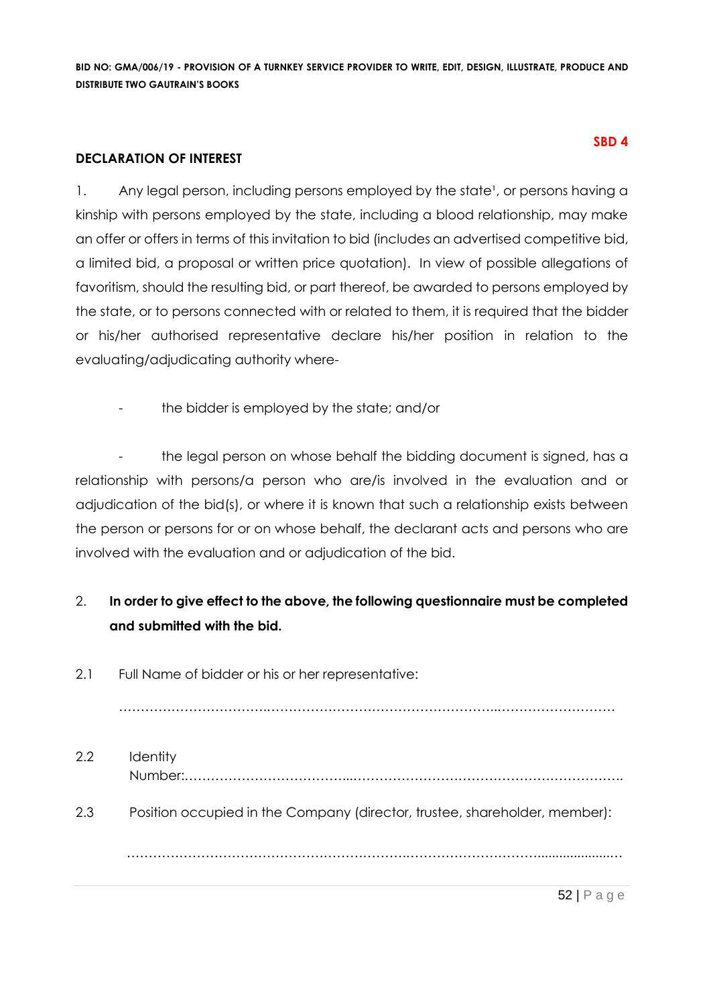#### **DECLARATION OF INTEREST**

1. Any legal person, including persons employed by the state<sup>1</sup>, or persons having a kinship with persons employed by the state, including a blood relationship, may make an offer or offers in terms of this invitation to bid (includes an advertised competitive bid, a limited bid, a proposal or written price quotation). In view of possible allegations of favoritism, should the resulting bid, or part thereof, be awarded to persons employed by the state, or to persons connected with or related to them, it is required that the bidder or his/her authorised representative declare his/her position in relation to the evaluating/adjudicating authority where-

the bidder is employed by the state; and/or

the legal person on whose behalf the bidding document is signed, has a relationship with persons/a person who are/is involved in the evaluation and or adjudication of the bid(s), or where it is known that such a relationship exists between the person or persons for or on whose behalf, the declarant acts and persons who are involved with the evaluation and or adjudication of the bid.

# 2. **In order to give effect to the above, the following questionnaire must be completed and submitted with the bid.**

2.1 Full Name of bidder or his or her representative:

…………………………….……………………………………………..………………………

2.2 Identity Number:………………………………...…………………………………………………….. 2.3 Position occupied in the Company (director, trustee, shareholder, member): ……………………………………………………….…………………………....................…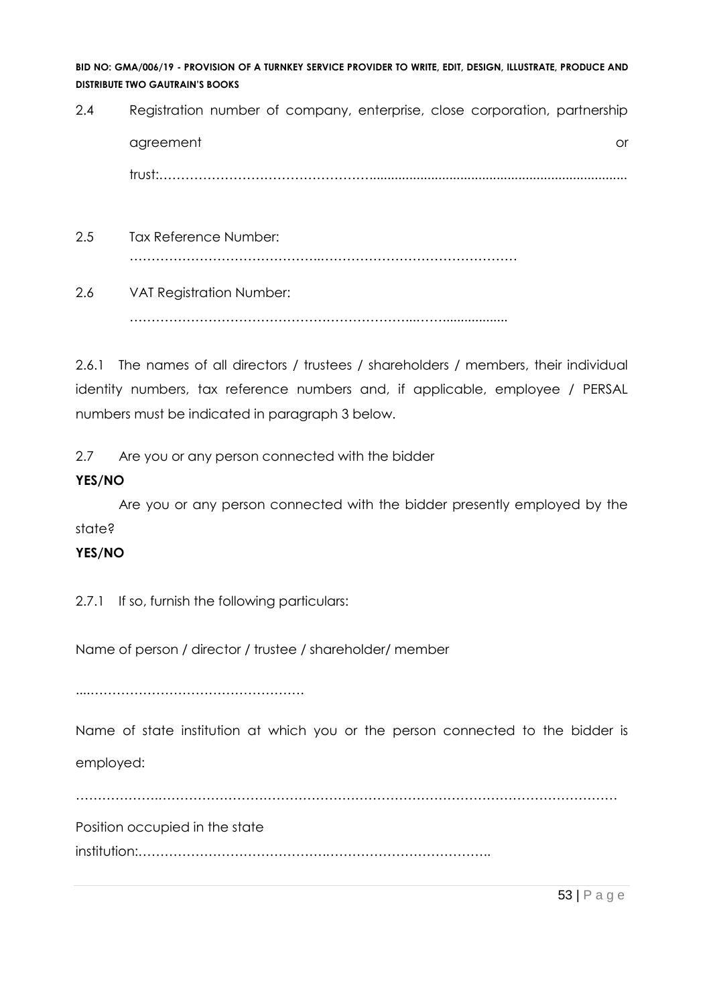2.4 Registration number of company, enterprise, close corporation, partnership agreement or and the contract of the contract of the contract of the contract of the contract of the contract or  $\alpha$ trust:………………………………………….......................................................................

- 2.5 Tax Reference Number: ……………………………………..………………………………………
- 2.6 VAT Registration Number:

………………………………………………………...……..................

2.6.1 The names of all directors / trustees / shareholders / members, their individual identity numbers, tax reference numbers and, if applicable, employee / PERSAL numbers must be indicated in paragraph 3 below.

2.7 Are you or any person connected with the bidder

# **YES/NO**

Are you or any person connected with the bidder presently employed by the state?

# **YES/NO**

2.7.1 If so, furnish the following particulars:

Name of person / director / trustee / shareholder/ member

....………………………………………….

Name of state institution at which you or the person connected to the bidder is employed:

……………….……………………………………………………………………………………………

Position occupied in the state

institution:…………………………………….………………………………..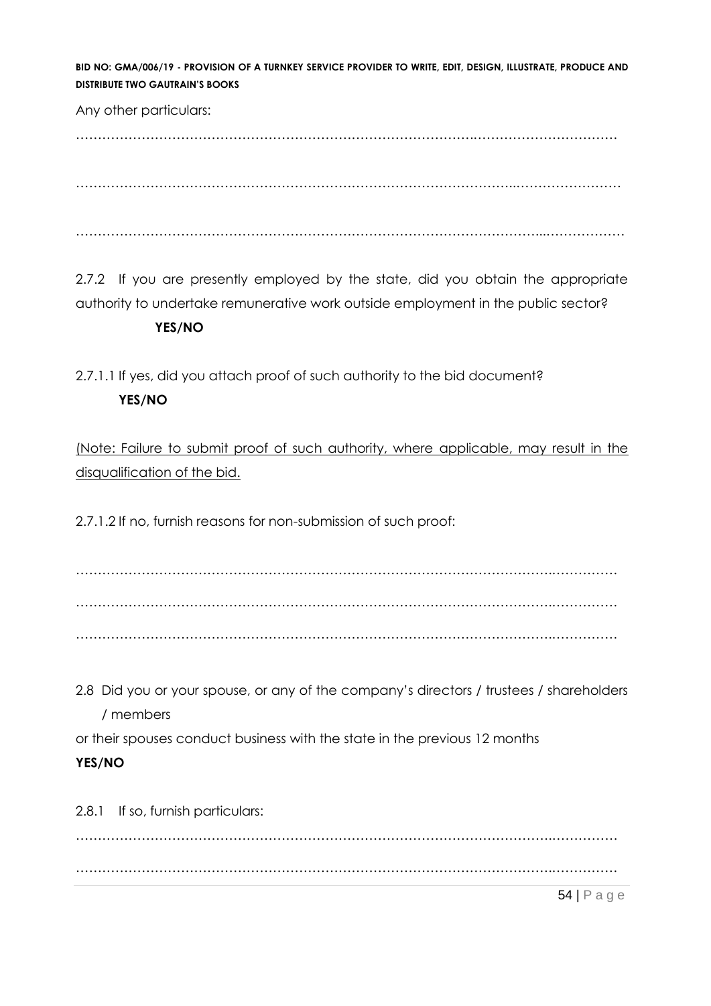Any other particulars:

……………………………………………………………………………….……………………………

………………………………………………………………………………………..……………………

……………………………………………………………………………………………...………………

2.7.2 If you are presently employed by the state, did you obtain the appropriate authority to undertake remunerative work outside employment in the public sector?

#### **YES/NO**

2.7.1.1 If yes, did you attach proof of such authority to the bid document? **YES/NO**

(Note: Failure to submit proof of such authority, where applicable, may result in the disqualification of the bid.

2.7.1.2 If no, furnish reasons for non-submission of such proof:

……………………………………………………………………………………………….…………… ……………………………………………………………………………………………….…………… ……………………………………………………………………………………………….……………

2.8 Did you or your spouse, or any of the company's directors / trustees / shareholders / members

or their spouses conduct business with the state in the previous 12 months

# **YES/NO**

2.8.1 If so, furnish particulars:

……………………………………………………………………………………………….…………… ……………………………………………………………………………………………….……………

54 | P a g e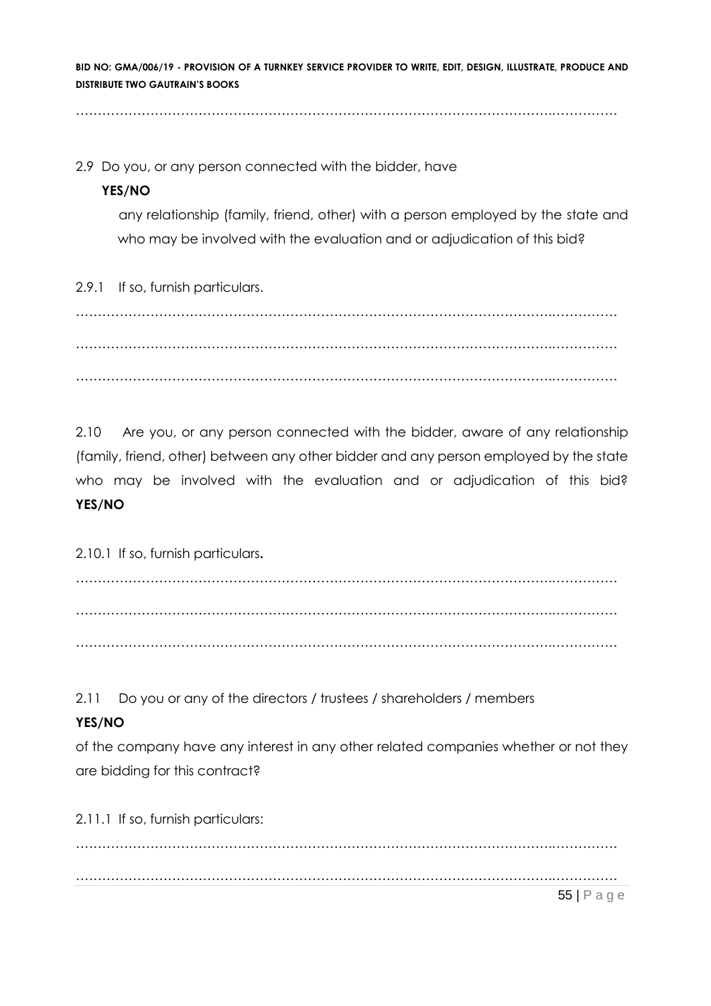……………………………………………………………………………………………….……………

2.9 Do you, or any person connected with the bidder, have

#### **YES/NO**

any relationship (family, friend, other) with a person employed by the state and who may be involved with the evaluation and or adjudication of this bid?

2.9.1 If so, furnish particulars.

……………………………………………………………………………………………….…………… ……………………………………………………………………………………………….…………… ……………………………………………………………………………………………….……………

2.10 Are you, or any person connected with the bidder, aware of any relationship (family, friend, other) between any other bidder and any person employed by the state who may be involved with the evaluation and or adjudication of this bid? **YES/NO**

2.10.1 If so, furnish particulars**.**

……………………………………………………………………………………………….…………… ……………………………………………………………………………………………….…………… ……………………………………………………………………………………………….……………

2.11 Do you or any of the directors / trustees / shareholders / members

# **YES/NO**

of the company have any interest in any other related companies whether or not they are bidding for this contract?

2.11.1 If so, furnish particulars:

55 | P a g e ……………………………………………………………………………………………….…………… ……………………………………………………………………………………………….……………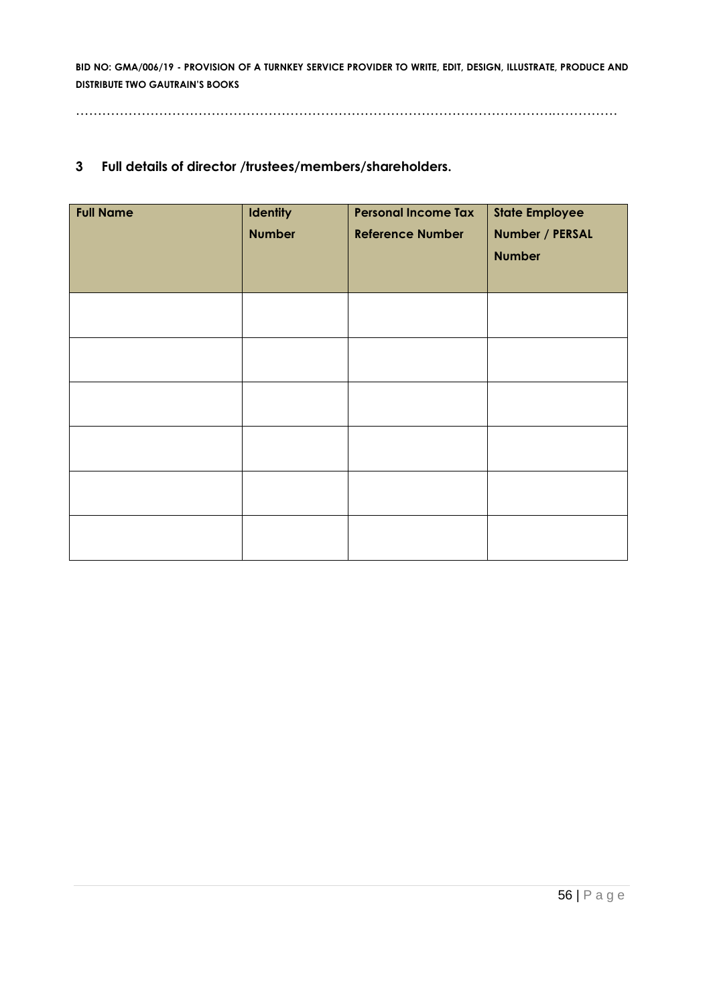……………………………………………………………………………………………….……………

#### **3 Full details of director /trustees/members/shareholders.**

| <b>Full Name</b> | <b>Identity</b><br><b>Number</b> | <b>Personal Income Tax</b><br><b>Reference Number</b> | <b>State Employee</b><br>Number / PERSAL<br><b>Number</b> |
|------------------|----------------------------------|-------------------------------------------------------|-----------------------------------------------------------|
|                  |                                  |                                                       |                                                           |
|                  |                                  |                                                       |                                                           |
|                  |                                  |                                                       |                                                           |
|                  |                                  |                                                       |                                                           |
|                  |                                  |                                                       |                                                           |
|                  |                                  |                                                       |                                                           |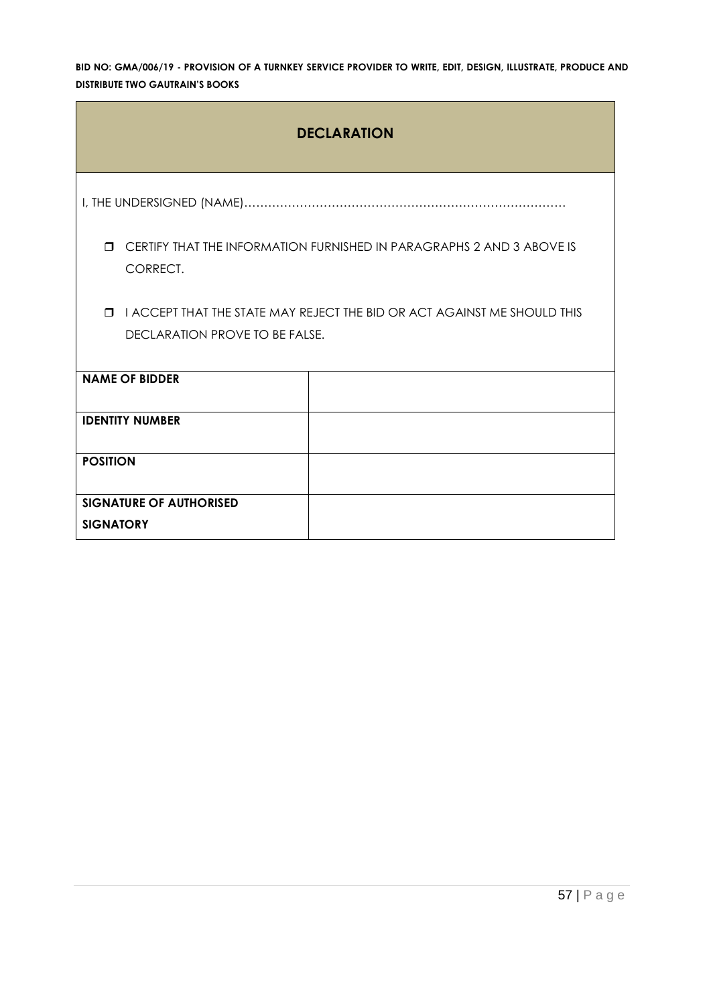| <b>DECLARATION</b>                                                                                                           |  |  |  |  |  |
|------------------------------------------------------------------------------------------------------------------------------|--|--|--|--|--|
|                                                                                                                              |  |  |  |  |  |
| CERTIFY THAT THE INFORMATION FURNISHED IN PARAGRAPHS 2 AND 3 ABOVE IS<br>Π.<br>CORRECT.                                      |  |  |  |  |  |
| I ACCEPT THAT THE STATE MAY REJECT THE BID OR ACT AGAINST ME SHOULD THIS<br>$\blacksquare$<br>DECLARATION PROVE TO BE FALSE. |  |  |  |  |  |
| <b>NAME OF BIDDER</b>                                                                                                        |  |  |  |  |  |
| <b>IDENTITY NUMBER</b>                                                                                                       |  |  |  |  |  |
| <b>POSITION</b>                                                                                                              |  |  |  |  |  |
| <b>SIGNATURE OF AUTHORISED</b><br><b>SIGNATORY</b>                                                                           |  |  |  |  |  |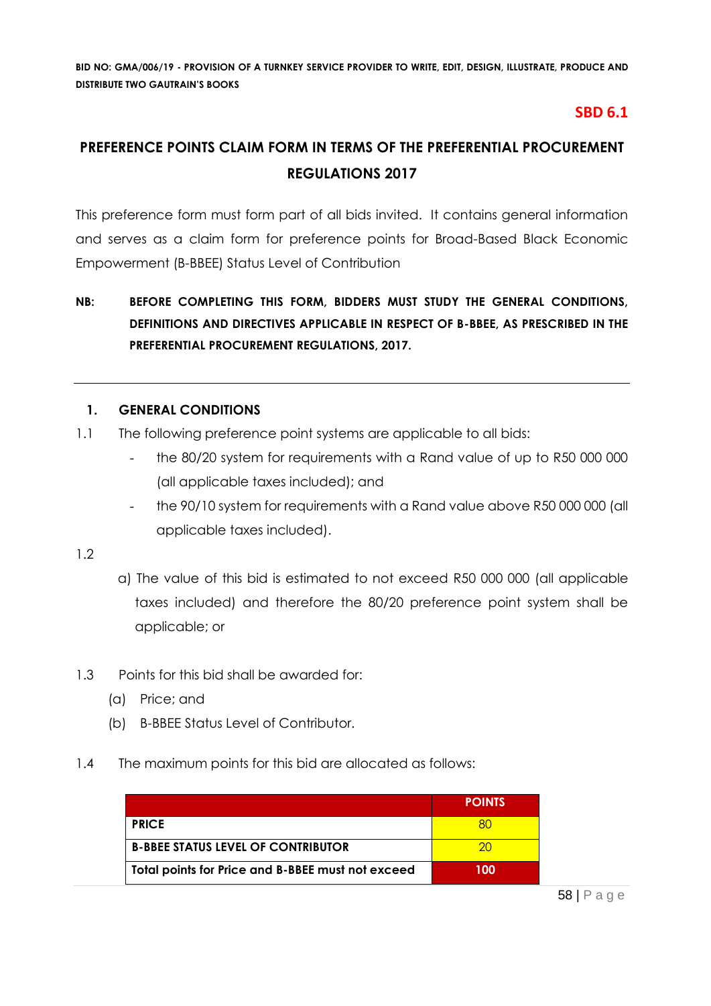# **SBD 6.1**

# **PREFERENCE POINTS CLAIM FORM IN TERMS OF THE PREFERENTIAL PROCUREMENT REGULATIONS 2017**

This preference form must form part of all bids invited. It contains general information and serves as a claim form for preference points for Broad-Based Black Economic Empowerment (B-BBEE) Status Level of Contribution

# **NB: BEFORE COMPLETING THIS FORM, BIDDERS MUST STUDY THE GENERAL CONDITIONS, DEFINITIONS AND DIRECTIVES APPLICABLE IN RESPECT OF B-BBEE, AS PRESCRIBED IN THE PREFERENTIAL PROCUREMENT REGULATIONS, 2017.**

# **1. GENERAL CONDITIONS**

- 1.1 The following preference point systems are applicable to all bids:
	- the 80/20 system for requirements with a Rand value of up to R50 000 000 (all applicable taxes included); and
	- the 90/10 system for requirements with a Rand value above R50 000 000 (all applicable taxes included).

1.2

- a) The value of this bid is estimated to not exceed R50 000 000 (all applicable taxes included) and therefore the 80/20 preference point system shall be applicable; or
- 1.3 Points for this bid shall be awarded for:
	- (a) Price; and
	- (b) B-BBEE Status Level of Contributor.
- 1.4 The maximum points for this bid are allocated as follows:

|                                                   | <b>POINTS</b> |
|---------------------------------------------------|---------------|
| <b>PRICE</b>                                      |               |
| <b>B-BBEE STATUS LEVEL OF CONTRIBUTOR</b>         | 20            |
| Total points for Price and B-BBEE must not exceed | 100           |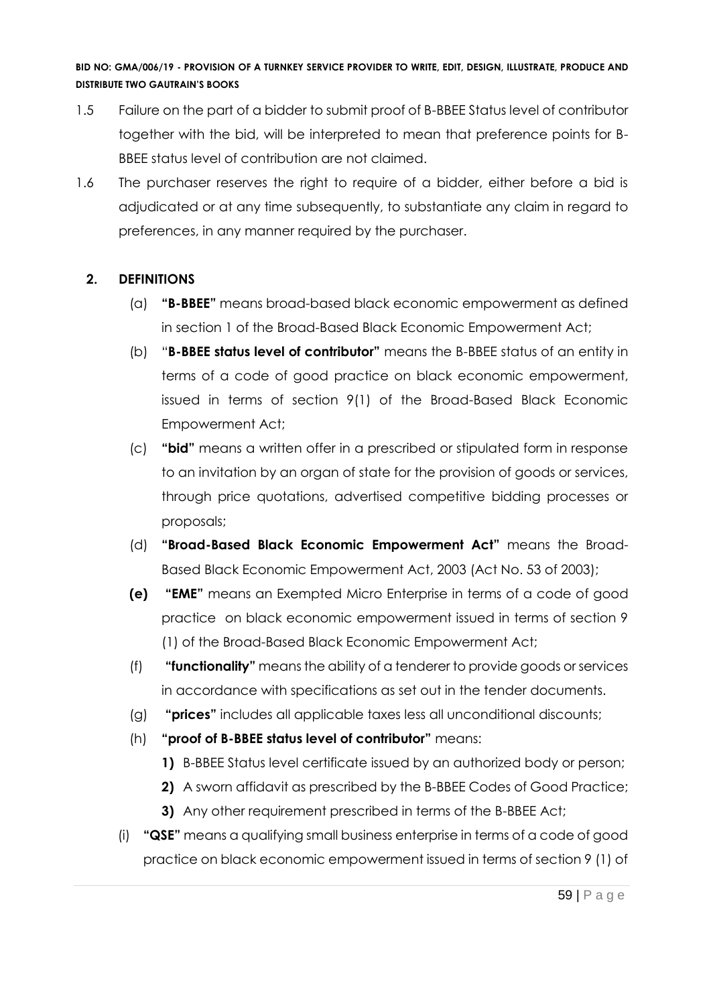- 1.5 Failure on the part of a bidder to submit proof of B-BBEE Status level of contributor together with the bid, will be interpreted to mean that preference points for B-BBEE status level of contribution are not claimed.
- 1.6 The purchaser reserves the right to require of a bidder, either before a bid is adjudicated or at any time subsequently, to substantiate any claim in regard to preferences, in any manner required by the purchaser.

# **2. DEFINITIONS**

- (a) **"B-BBEE"** means broad-based black economic empowerment as defined in section 1 of the Broad-Based Black Economic Empowerment Act;
- (b) "**B-BBEE status level of contributor"** means the B-BBEE status of an entity in terms of a code of good practice on black economic empowerment, issued in terms of section 9(1) of the Broad-Based Black Economic Empowerment Act;
- (c) **"bid"** means a written offer in a prescribed or stipulated form in response to an invitation by an organ of state for the provision of goods or services, through price quotations, advertised competitive bidding processes or proposals;
- (d) **"Broad-Based Black Economic Empowerment Act"** means the Broad-Based Black Economic Empowerment Act, 2003 (Act No. 53 of 2003);
- **(e) "EME"** means an Exempted Micro Enterprise in terms of a code of good practice on black economic empowerment issued in terms of section 9 (1) of the Broad-Based Black Economic Empowerment Act;
- (f) **"functionality"** means the ability of a tenderer to provide goods or services in accordance with specifications as set out in the tender documents.
- (g) **"prices"** includes all applicable taxes less all unconditional discounts;
- (h) **"proof of B-BBEE status level of contributor"** means:
	- **1)** B-BBEE Status level certificate issued by an authorized body or person;
	- **2)** A sworn affidavit as prescribed by the B-BBEE Codes of Good Practice;
	- **3)** Any other requirement prescribed in terms of the B-BBEE Act;
- (i) **"QSE"** means a qualifying small business enterprise in terms of a code of good practice on black economic empowerment issued in terms of section 9 (1) of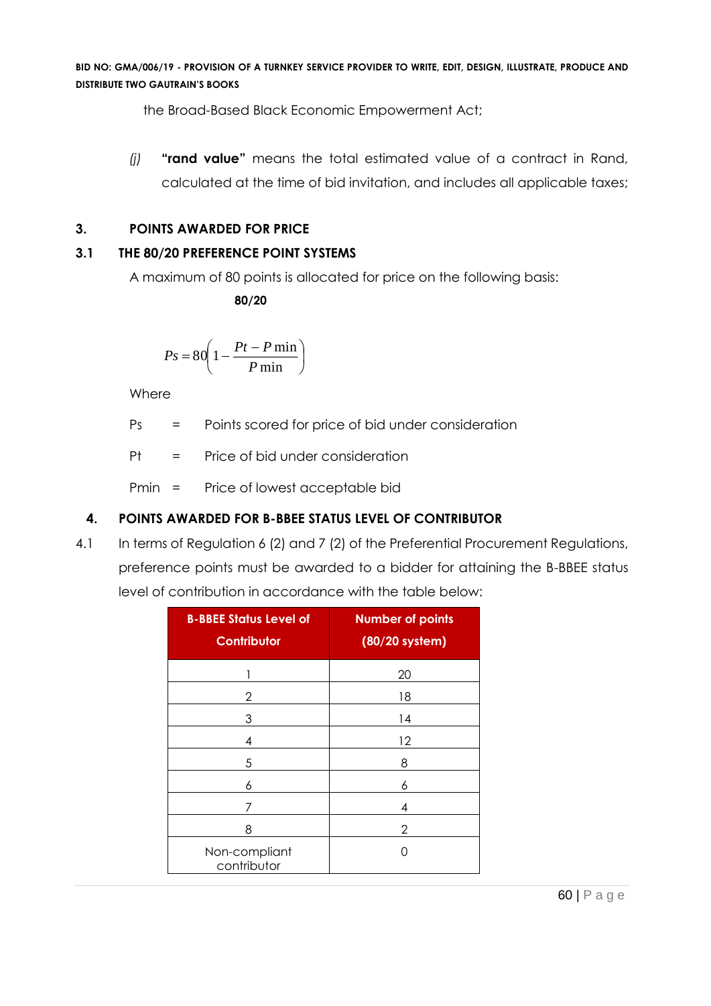the Broad-Based Black Economic Empowerment Act;

*(j)* **"rand value"** means the total estimated value of a contract in Rand, calculated at the time of bid invitation, and includes all applicable taxes;

#### **3. POINTS AWARDED FOR PRICE**

#### **3.1 THE 80/20 PREFERENCE POINT SYSTEMS**

A maximum of 80 points is allocated for price on the following basis:

 **80/20**

$$
Ps = 80 \left( 1 - \frac{Pt - P \min}{P \min} \right)
$$

Where

Ps = Points scored for price of bid under consideration

 $Pt = Price of bid under consideration$ 

Pmin = Price of lowest acceptable bid

# **4. POINTS AWARDED FOR B-BBEE STATUS LEVEL OF CONTRIBUTOR**

4.1 In terms of Regulation 6 (2) and 7 (2) of the Preferential Procurement Regulations, preference points must be awarded to a bidder for attaining the B-BBEE status level of contribution in accordance with the table below:

| <b>B-BBEE Status Level of</b><br><b>Contributor</b> | <b>Number of points</b><br>(80/20 system) |
|-----------------------------------------------------|-------------------------------------------|
|                                                     | 20                                        |
| 2                                                   | 18                                        |
| 3                                                   | 14                                        |
| 4                                                   | 12                                        |
| 5                                                   | 8                                         |
| 6                                                   | 6                                         |
| 7                                                   | 4                                         |
| 8                                                   | 2                                         |
| Non-compliant<br>contributor                        | Ω                                         |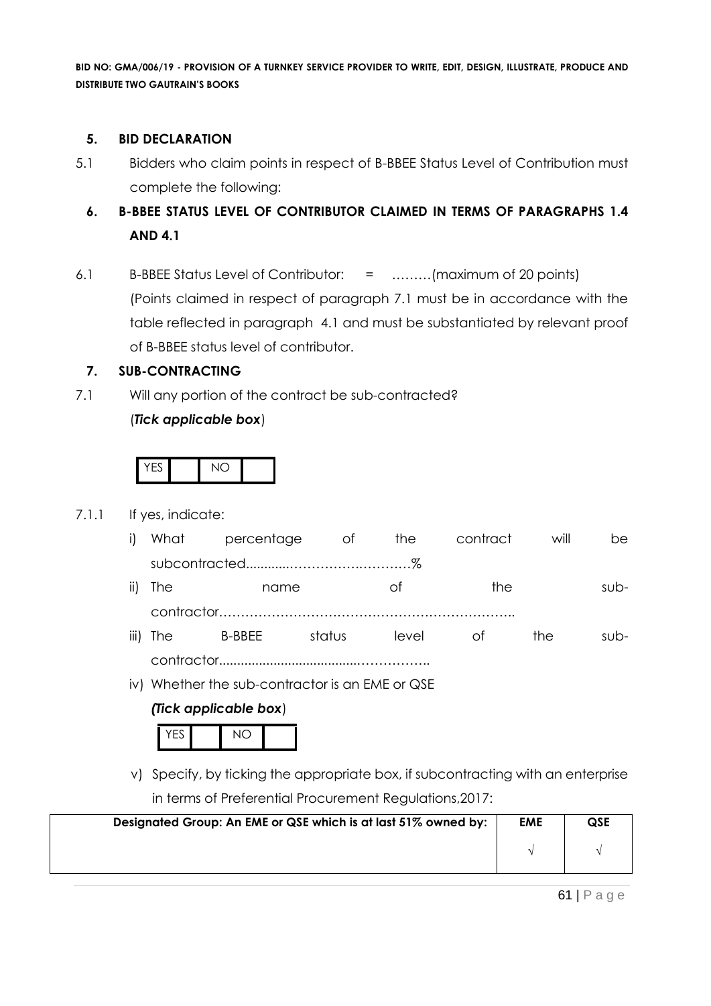#### **5. BID DECLARATION**

- 5.1 Bidders who claim points in respect of B-BBEE Status Level of Contribution must complete the following:
	- **6. B-BBEE STATUS LEVEL OF CONTRIBUTOR CLAIMED IN TERMS OF PARAGRAPHS 1.4 AND 4.1**
- 6.1 B-BBEE Status Level of Contributor: = ………(maximum of 20 points) (Points claimed in respect of paragraph 7.1 must be in accordance with the table reflected in paragraph 4.1 and must be substantiated by relevant proof of B-BBEE status level of contributor.

#### **7. SUB-CONTRACTING**

7.1 Will any portion of the contract be sub-contracted? (*Tick applicable box*)

|--|--|--|

#### 7.1.1 If yes, indicate:

- i) What percentage of the contract will be subcontracted............…………….…………%
- ii) The name of the subcontractor………………………………………………………….. iii) The B-BBEE status level of the sub-

contractor......................................……………..

iv) Whether the sub-contractor is an EME or QSE

#### *(Tick applicable box*)

 $YES$   $NOP$ 

v) Specify, by ticking the appropriate box, if subcontracting with an enterprise in terms of Preferential Procurement Regulations,2017:

| Designated Group: An EME or QSE which is at last 51% owned by: | <b>EME</b> | <b>QSE</b> |
|----------------------------------------------------------------|------------|------------|
|                                                                |            |            |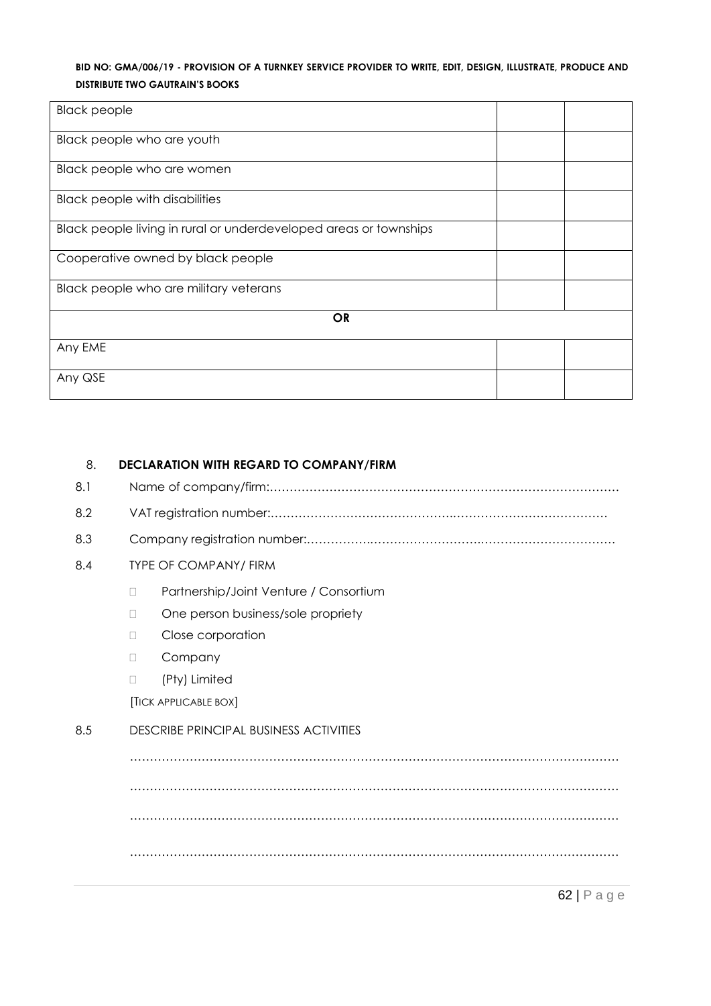| <b>Black people</b>                                               |  |
|-------------------------------------------------------------------|--|
| Black people who are youth                                        |  |
| Black people who are women                                        |  |
| <b>Black people with disabilities</b>                             |  |
| Black people living in rural or underdeveloped areas or townships |  |
| Cooperative owned by black people                                 |  |
| Black people who are military veterans                            |  |
| <b>OR</b>                                                         |  |
| Any EME                                                           |  |
| Any QSE                                                           |  |

#### 8. **DECLARATION WITH REGARD TO COMPANY/FIRM**

| 8.1 |                                               |
|-----|-----------------------------------------------|
| 8.2 |                                               |
| 8.3 |                                               |
| 8.4 | <b>TYPE OF COMPANY/ FIRM</b>                  |
|     | Partnership/Joint Venture / Consortium<br>П   |
|     | One person business/sole propriety<br>П       |
|     | Close corporation<br>П                        |
|     | Company<br>П                                  |
|     | (Pty) Limited<br>П                            |
|     | <b>[TICK APPLICABLE BOX]</b>                  |
| 8.5 | <b>DESCRIBE PRINCIPAL BUSINESS ACTIVITIES</b> |
|     |                                               |
|     |                                               |
|     |                                               |
|     |                                               |
|     |                                               |
|     |                                               |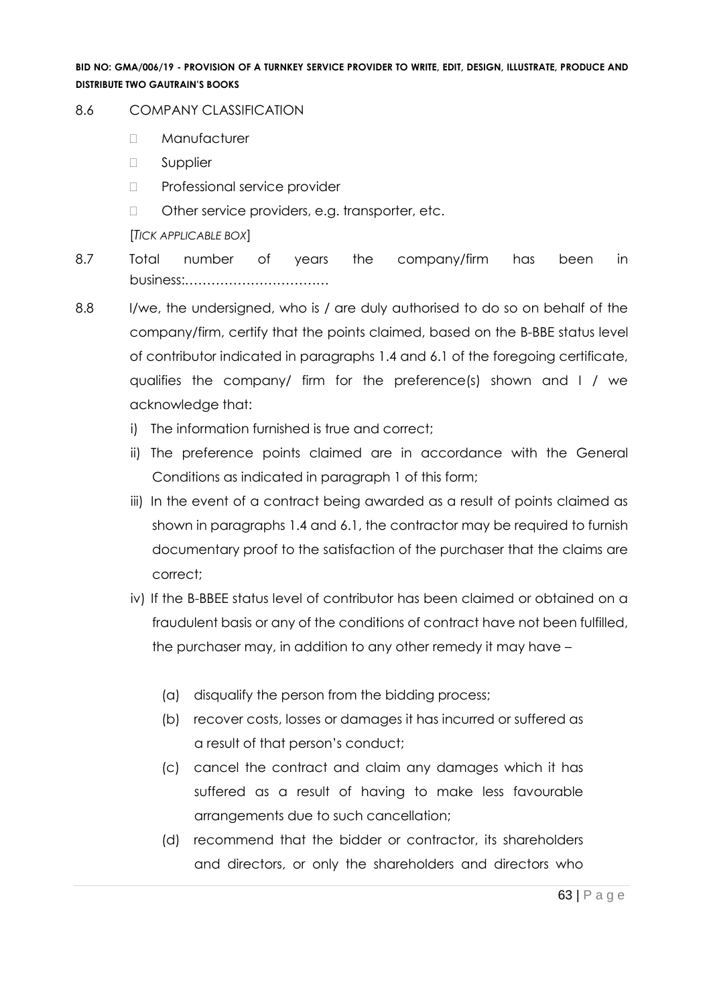#### 8.6 COMPANY CLASSIFICATION

- D Manufacturer
- **D** Supplier
- D Professional service provider
- □ Other service providers, e.g. transporter, etc.
- [*TICK APPLICABLE BOX*]
- 8.7 Total number of years the company/firm has been in business:……………………………
- 8.8 I/we, the undersigned, who is / are duly authorised to do so on behalf of the company/firm, certify that the points claimed, based on the B-BBE status level of contributor indicated in paragraphs 1.4 and 6.1 of the foregoing certificate, qualifies the company/ firm for the preference(s) shown and I / we acknowledge that:
	- i) The information furnished is true and correct;
	- ii) The preference points claimed are in accordance with the General Conditions as indicated in paragraph 1 of this form;
	- iii) In the event of a contract being awarded as a result of points claimed as shown in paragraphs 1.4 and 6.1, the contractor may be required to furnish documentary proof to the satisfaction of the purchaser that the claims are correct;
	- iv) If the B-BBEE status level of contributor has been claimed or obtained on a fraudulent basis or any of the conditions of contract have not been fulfilled, the purchaser may, in addition to any other remedy it may have –
		- (a) disqualify the person from the bidding process;
		- (b) recover costs, losses or damages it has incurred or suffered as a result of that person's conduct;
		- (c) cancel the contract and claim any damages which it has suffered as a result of having to make less favourable arrangements due to such cancellation;
		- (d) recommend that the bidder or contractor, its shareholders and directors, or only the shareholders and directors who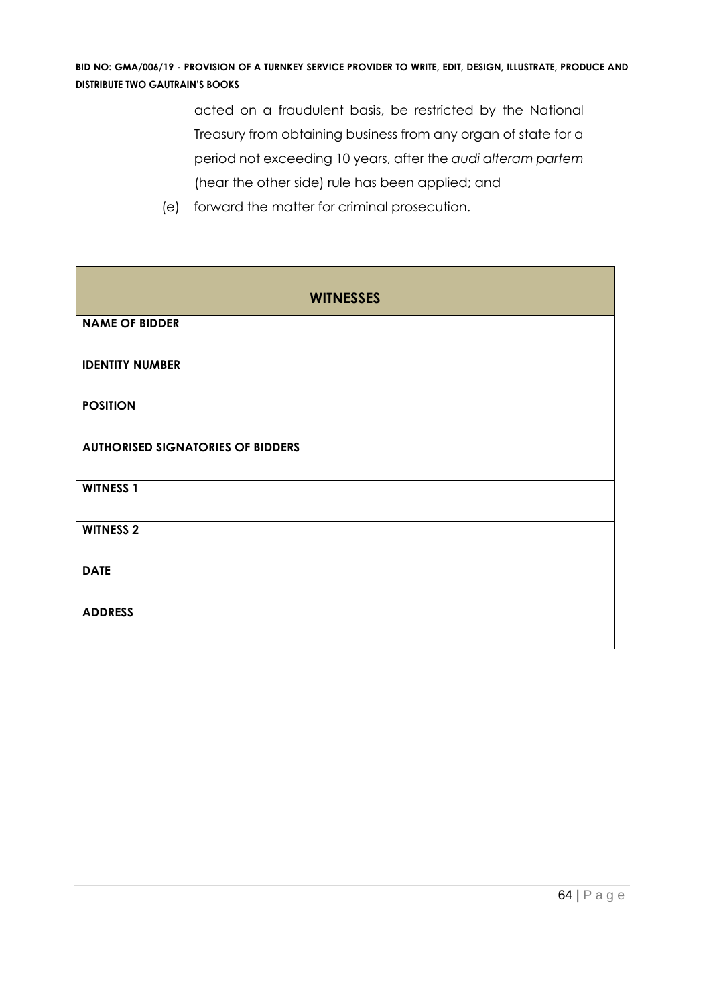acted on a fraudulent basis, be restricted by the National Treasury from obtaining business from any organ of state for a period not exceeding 10 years, after the *audi alteram partem* (hear the other side) rule has been applied; and

| <b>WITNESSES</b>                         |  |  |  |  |  |
|------------------------------------------|--|--|--|--|--|
| <b>NAME OF BIDDER</b>                    |  |  |  |  |  |
| <b>IDENTITY NUMBER</b>                   |  |  |  |  |  |
| <b>POSITION</b>                          |  |  |  |  |  |
| <b>AUTHORISED SIGNATORIES OF BIDDERS</b> |  |  |  |  |  |
| <b>WITNESS 1</b>                         |  |  |  |  |  |
| <b>WITNESS 2</b>                         |  |  |  |  |  |
| <b>DATE</b>                              |  |  |  |  |  |
| <b>ADDRESS</b>                           |  |  |  |  |  |

(e) forward the matter for criminal prosecution.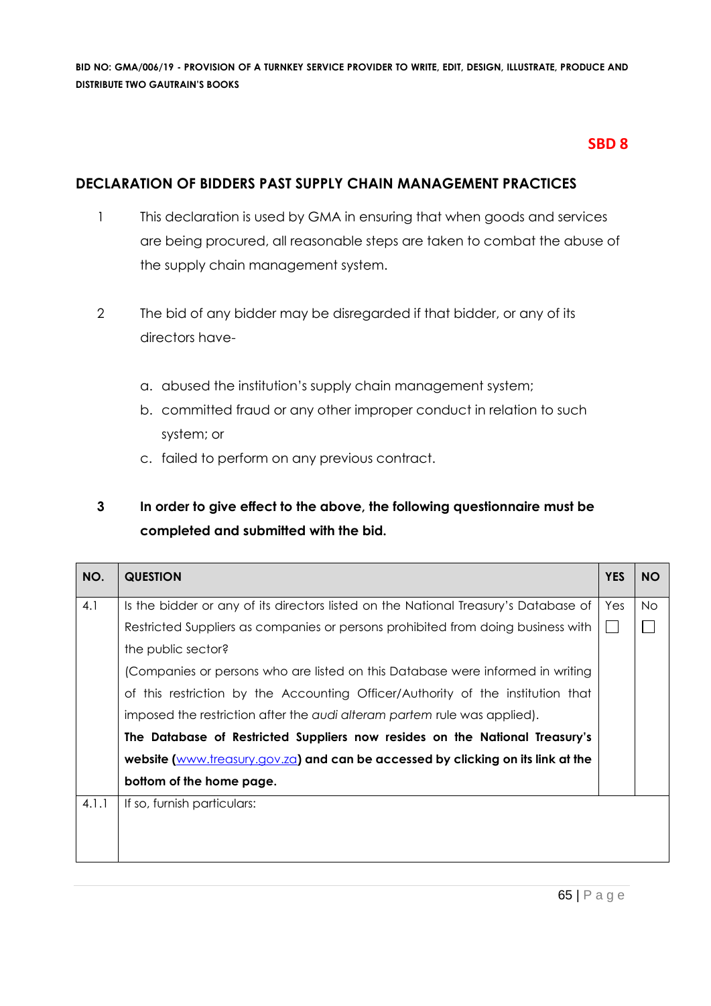# **SBD 8**

### **DECLARATION OF BIDDERS PAST SUPPLY CHAIN MANAGEMENT PRACTICES**

- 1 This declaration is used by GMA in ensuring that when goods and services are being procured, all reasonable steps are taken to combat the abuse of the supply chain management system.
- 2 The bid of any bidder may be disregarded if that bidder, or any of its directors have
	- a. abused the institution's supply chain management system;
	- b. committed fraud or any other improper conduct in relation to such system; or
	- c. failed to perform on any previous contract.

# **3 In order to give effect to the above, the following questionnaire must be completed and submitted with the bid.**

| NO.   | <b>QUESTION</b>                                                                     | <b>YES</b>   | <b>NO</b> |  |
|-------|-------------------------------------------------------------------------------------|--------------|-----------|--|
| 4.1   | Is the bidder or any of its directors listed on the National Treasury's Database of | Yes          | <b>No</b> |  |
|       | Restricted Suppliers as companies or persons prohibited from doing business with    | $\mathbf{I}$ |           |  |
|       | the public sector?                                                                  |              |           |  |
|       | (Companies or persons who are listed on this Database were informed in writing      |              |           |  |
|       | of this restriction by the Accounting Officer/Authority of the institution that     |              |           |  |
|       | imposed the restriction after the audi alteram partem rule was applied).            |              |           |  |
|       | The Database of Restricted Suppliers now resides on the National Treasury's         |              |           |  |
|       | website (www.treasury.gov.za) and can be accessed by clicking on its link at the    |              |           |  |
|       | bottom of the home page.                                                            |              |           |  |
| 4.1.1 | If so, furnish particulars:                                                         |              |           |  |
|       |                                                                                     |              |           |  |
|       |                                                                                     |              |           |  |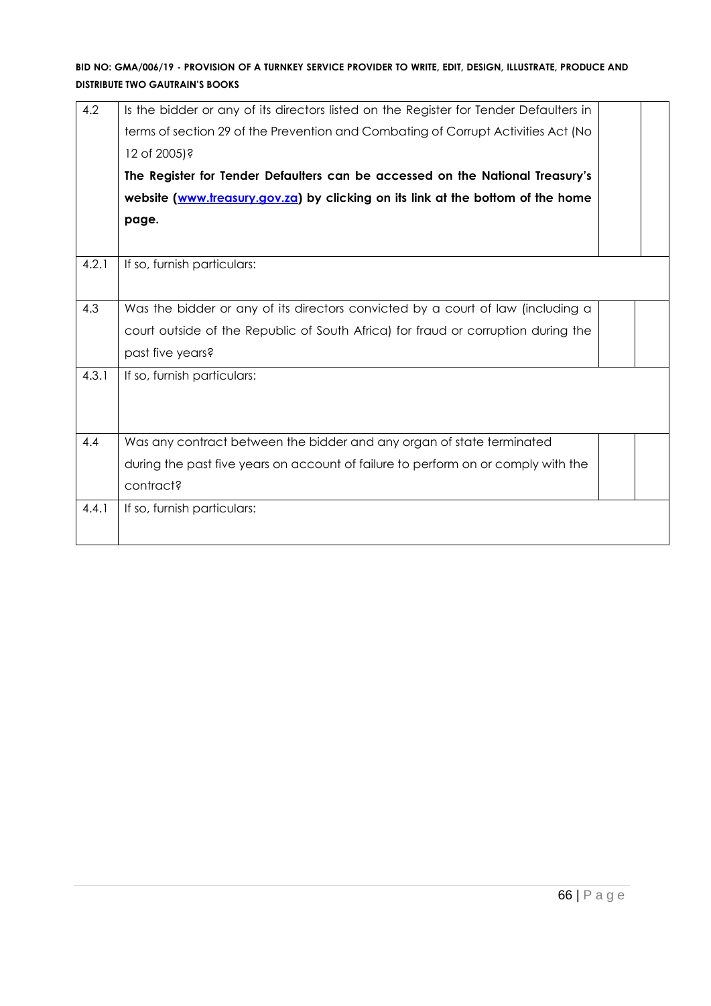| 4.2   | Is the bidder or any of its directors listed on the Register for Tender Defaulters in |  |  |  |  |  |  |
|-------|---------------------------------------------------------------------------------------|--|--|--|--|--|--|
|       | terms of section 29 of the Prevention and Combating of Corrupt Activities Act (No     |  |  |  |  |  |  |
|       | 12 of 2005)?                                                                          |  |  |  |  |  |  |
|       | The Register for Tender Defaulters can be accessed on the National Treasury's         |  |  |  |  |  |  |
|       | website (www.treasury.gov.za) by clicking on its link at the bottom of the home       |  |  |  |  |  |  |
|       | page.                                                                                 |  |  |  |  |  |  |
|       |                                                                                       |  |  |  |  |  |  |
| 4.2.1 | If so, furnish particulars:                                                           |  |  |  |  |  |  |
|       |                                                                                       |  |  |  |  |  |  |
| 4.3   | Was the bidder or any of its directors convicted by a court of law (including a       |  |  |  |  |  |  |
|       | court outside of the Republic of South Africa) for fraud or corruption during the     |  |  |  |  |  |  |
|       | past five years?                                                                      |  |  |  |  |  |  |
| 4.3.1 | If so, furnish particulars:                                                           |  |  |  |  |  |  |
|       |                                                                                       |  |  |  |  |  |  |
|       |                                                                                       |  |  |  |  |  |  |
| 4.4   | Was any contract between the bidder and any organ of state terminated                 |  |  |  |  |  |  |
|       | during the past five years on account of failure to perform on or comply with the     |  |  |  |  |  |  |
|       | contract?                                                                             |  |  |  |  |  |  |
| 4.4.1 | If so, furnish particulars:                                                           |  |  |  |  |  |  |
|       |                                                                                       |  |  |  |  |  |  |
|       |                                                                                       |  |  |  |  |  |  |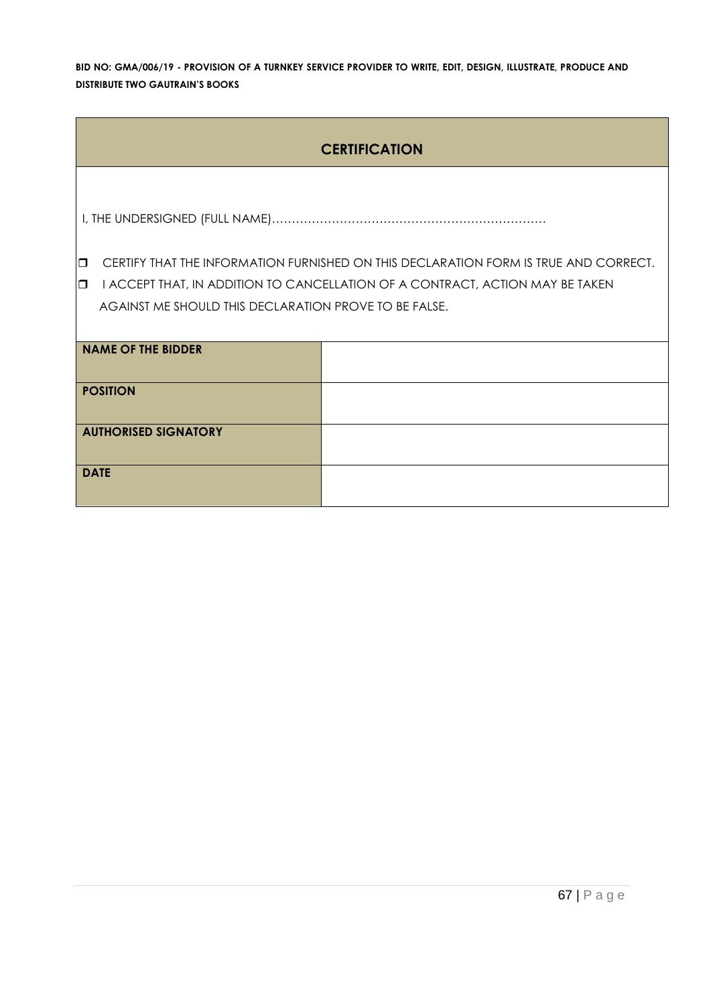| <b>CERTIFICATION</b>                                  |                                                                                      |  |  |  |  |
|-------------------------------------------------------|--------------------------------------------------------------------------------------|--|--|--|--|
|                                                       |                                                                                      |  |  |  |  |
|                                                       |                                                                                      |  |  |  |  |
| $\Box$                                                | CERTIFY THAT THE INFORMATION FURNISHED ON THIS DECLARATION FORM IS TRUE AND CORRECT. |  |  |  |  |
| $\Box$                                                | I ACCEPT THAT, IN ADDITION TO CANCELLATION OF A CONTRACT, ACTION MAY BE TAKEN        |  |  |  |  |
| AGAINST ME SHOULD THIS DECLARATION PROVE TO BE FALSE. |                                                                                      |  |  |  |  |
|                                                       |                                                                                      |  |  |  |  |
| <b>NAME OF THE BIDDER</b>                             |                                                                                      |  |  |  |  |
|                                                       |                                                                                      |  |  |  |  |
| <b>POSITION</b>                                       |                                                                                      |  |  |  |  |
|                                                       |                                                                                      |  |  |  |  |
| <b>AUTHORISED SIGNATORY</b>                           |                                                                                      |  |  |  |  |
|                                                       |                                                                                      |  |  |  |  |
| <b>DATE</b>                                           |                                                                                      |  |  |  |  |
|                                                       |                                                                                      |  |  |  |  |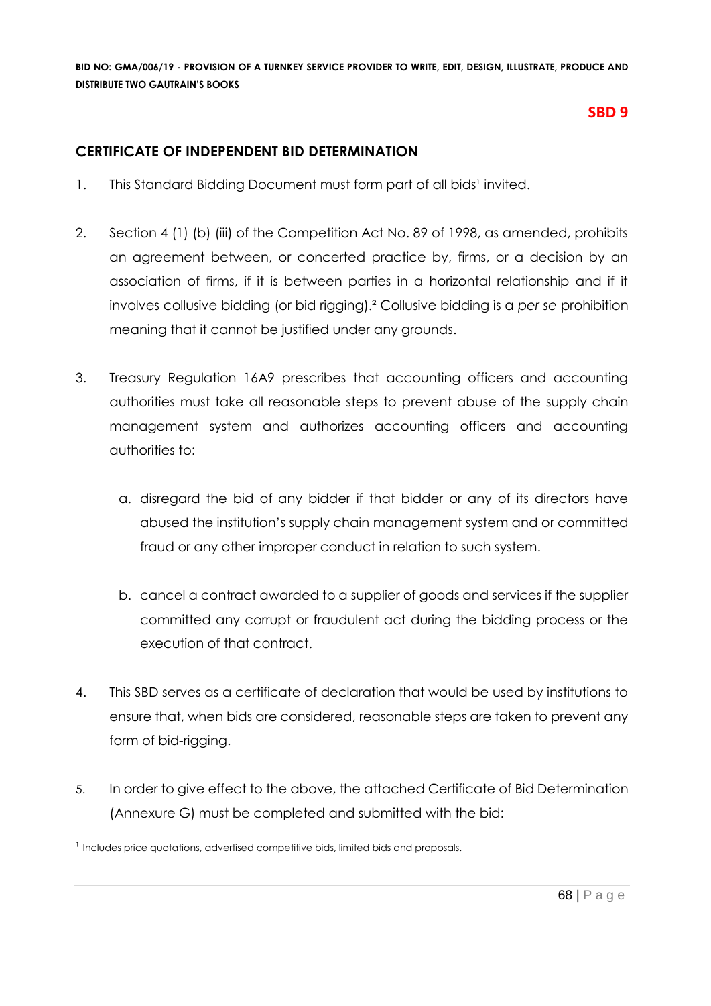# **SBD 9**

# **CERTIFICATE OF INDEPENDENT BID DETERMINATION**

- 1. This Standard Bidding Document must form part of all bids<sup>1</sup> invited.
- 2. Section 4 (1) (b) (iii) of the Competition Act No. 89 of 1998, as amended, prohibits an agreement between, or concerted practice by, firms, or a decision by an association of firms, if it is between parties in a horizontal relationship and if it involves collusive bidding (or bid rigging).² Collusive bidding is a *per se* prohibition meaning that it cannot be justified under any grounds.
- 3. Treasury Regulation 16A9 prescribes that accounting officers and accounting authorities must take all reasonable steps to prevent abuse of the supply chain management system and authorizes accounting officers and accounting authorities to:
	- a. disregard the bid of any bidder if that bidder or any of its directors have abused the institution's supply chain management system and or committed fraud or any other improper conduct in relation to such system.
	- b. cancel a contract awarded to a supplier of goods and services if the supplier committed any corrupt or fraudulent act during the bidding process or the execution of that contract.
- 4. This SBD serves as a certificate of declaration that would be used by institutions to ensure that, when bids are considered, reasonable steps are taken to prevent any form of bid-rigging.
- 5. In order to give effect to the above, the attached Certificate of Bid Determination (Annexure G) must be completed and submitted with the bid:

<sup>1</sup> Includes price quotations, advertised competitive bids, limited bids and proposals.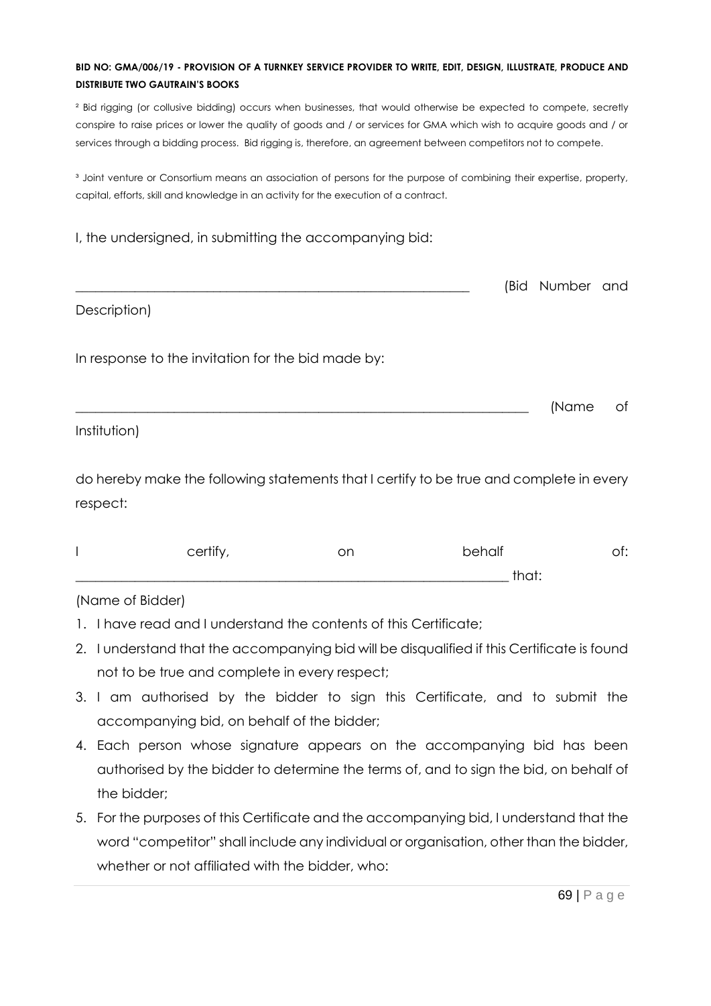² Bid rigging (or collusive bidding) occurs when businesses, that would otherwise be expected to compete, secretly conspire to raise prices or lower the quality of goods and / or services for GMA which wish to acquire goods and / or services through a bidding process. Bid rigging is, therefore, an agreement between competitors not to compete.

<sup>3</sup> Joint venture or Consortium means an association of persons for the purpose of combining their expertise, property, capital, efforts, skill and knowledge in an activity for the execution of a contract.

|  | I, the undersigned, in submitting the accompanying bid: |  |  |  |
|--|---------------------------------------------------------|--|--|--|
|  |                                                         |  |  |  |

|                                                    | (Bid Number and |  |
|----------------------------------------------------|-----------------|--|
| Description)                                       |                 |  |
| In response to the invitation for the bid made by: |                 |  |

\_\_\_\_\_\_\_\_\_\_\_\_\_\_\_\_\_\_\_\_\_\_\_\_\_\_\_\_\_\_\_\_\_\_\_\_\_\_\_\_\_\_\_\_\_\_\_\_\_\_\_\_\_\_\_\_\_\_\_\_\_\_\_\_\_\_\_\_\_ (Name of

Institution)

do hereby make the following statements that I certify to be true and complete in every respect:

| $\cdots$<br>.≅ertit∵<br>◡◡▯▯ | on | behalf             | .<br>ັບ |
|------------------------------|----|--------------------|---------|
|                              |    | $+ \sim - + \cdot$ |         |

(Name of Bidder)

- 1. I have read and I understand the contents of this Certificate;
- 2. I understand that the accompanying bid will be disqualified if this Certificate is found not to be true and complete in every respect;
- 3. I am authorised by the bidder to sign this Certificate, and to submit the accompanying bid, on behalf of the bidder;
- 4. Each person whose signature appears on the accompanying bid has been authorised by the bidder to determine the terms of, and to sign the bid, on behalf of the bidder;
- 5. For the purposes of this Certificate and the accompanying bid, I understand that the word "competitor" shall include any individual or organisation, other than the bidder, whether or not affiliated with the bidder, who: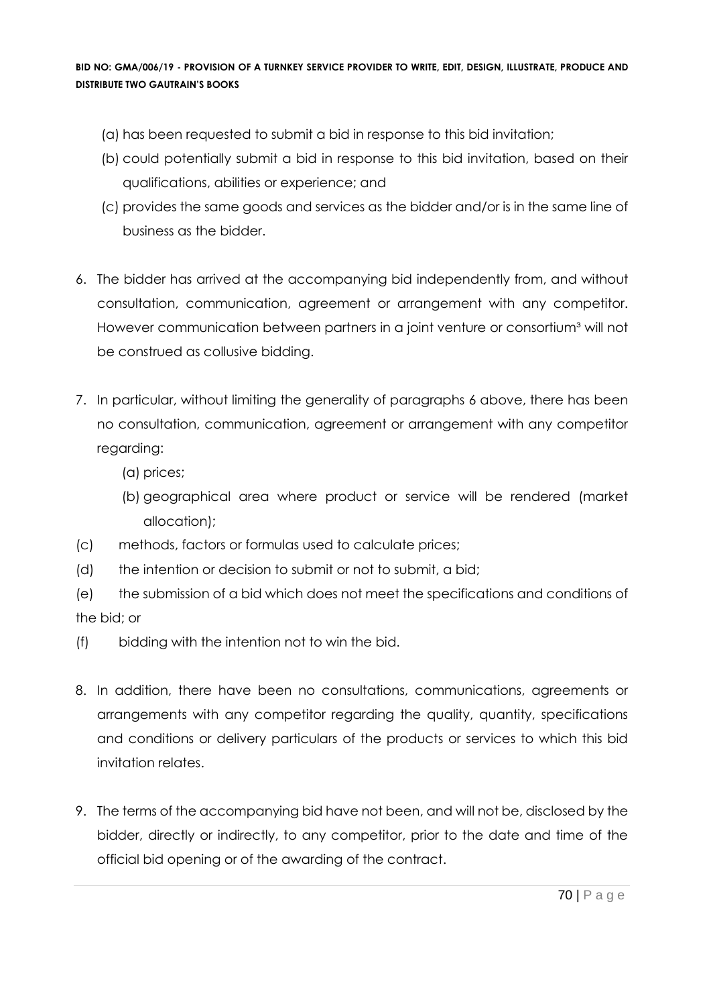- (a) has been requested to submit a bid in response to this bid invitation;
- (b) could potentially submit a bid in response to this bid invitation, based on their qualifications, abilities or experience; and
- (c) provides the same goods and services as the bidder and/or is in the same line of business as the bidder.
- 6. The bidder has arrived at the accompanying bid independently from, and without consultation, communication, agreement or arrangement with any competitor. However communication between partners in a joint venture or consortium<sup>3</sup> will not be construed as collusive bidding.
- 7. In particular, without limiting the generality of paragraphs 6 above, there has been no consultation, communication, agreement or arrangement with any competitor regarding:
	- (a) prices;
	- (b) geographical area where product or service will be rendered (market allocation);
- (c) methods, factors or formulas used to calculate prices;
- (d) the intention or decision to submit or not to submit, a bid;
- (e) the submission of a bid which does not meet the specifications and conditions of the bid; or
- (f) bidding with the intention not to win the bid.
- 8. In addition, there have been no consultations, communications, agreements or arrangements with any competitor regarding the quality, quantity, specifications and conditions or delivery particulars of the products or services to which this bid invitation relates.
- 9. The terms of the accompanying bid have not been, and will not be, disclosed by the bidder, directly or indirectly, to any competitor, prior to the date and time of the official bid opening or of the awarding of the contract.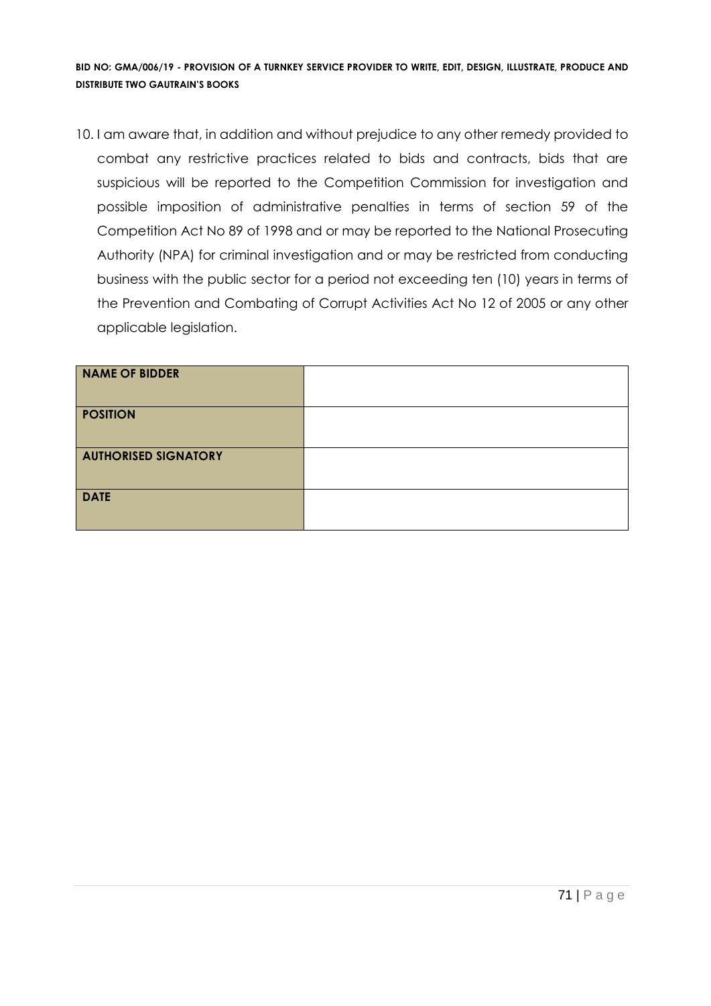10. I am aware that, in addition and without prejudice to any other remedy provided to combat any restrictive practices related to bids and contracts, bids that are suspicious will be reported to the Competition Commission for investigation and possible imposition of administrative penalties in terms of section 59 of the Competition Act No 89 of 1998 and or may be reported to the National Prosecuting Authority (NPA) for criminal investigation and or may be restricted from conducting business with the public sector for a period not exceeding ten (10) years in terms of the Prevention and Combating of Corrupt Activities Act No 12 of 2005 or any other applicable legislation.

| <b>NAME OF BIDDER</b>       |  |
|-----------------------------|--|
| <b>POSITION</b>             |  |
| <b>AUTHORISED SIGNATORY</b> |  |
| <b>DATE</b>                 |  |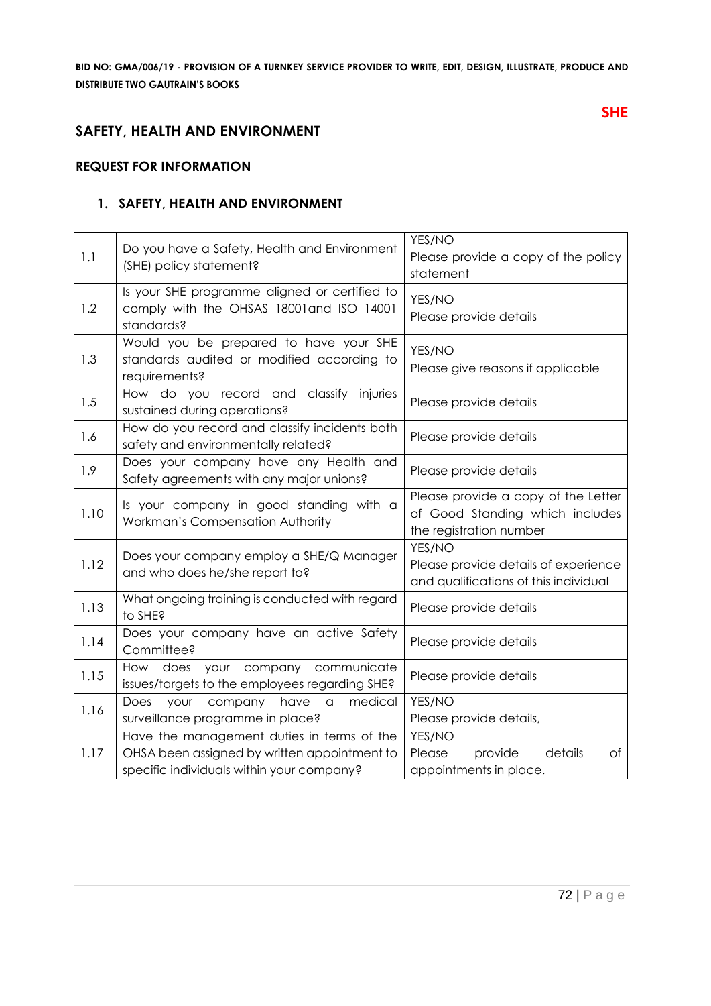# **SAFETY, HEALTH AND ENVIRONMENT**

#### **REQUEST FOR INFORMATION**

#### **1. SAFETY, HEALTH AND ENVIRONMENT**

| 1.1  | Do you have a Safety, Health and Environment<br>(SHE) policy statement?                                                                 | YES/NO<br>Please provide a copy of the policy<br>statement                                        |  |
|------|-----------------------------------------------------------------------------------------------------------------------------------------|---------------------------------------------------------------------------------------------------|--|
| 1.2  | Is your SHE programme aligned or certified to<br>comply with the OHSAS 18001 and ISO 14001<br>standards?                                | YES/NO<br>Please provide details                                                                  |  |
| 1.3  | Would you be prepared to have your SHE<br>standards audited or modified according to<br>requirements?                                   | YES/NO<br>Please give reasons if applicable                                                       |  |
| 1.5  | How do you record and classify<br>injuries<br>sustained during operations?                                                              | Please provide details                                                                            |  |
| 1.6  | How do you record and classify incidents both<br>safety and environmentally related?                                                    | Please provide details                                                                            |  |
| 1.9  | Does your company have any Health and<br>Safety agreements with any major unions?                                                       | Please provide details                                                                            |  |
| 1.10 | Is your company in good standing with a<br>Workman's Compensation Authority                                                             | Please provide a copy of the Letter<br>of Good Standing which includes<br>the registration number |  |
| 1.12 | Does your company employ a SHE/Q Manager<br>and who does he/she report to?                                                              | YES/NO<br>Please provide details of experience<br>and qualifications of this individual           |  |
| 1.13 | What ongoing training is conducted with regard<br>to SHE?                                                                               | Please provide details                                                                            |  |
| 1.14 | Does your company have an active Safety<br>Committee?                                                                                   | Please provide details                                                                            |  |
| 1.15 | How does your company communicate<br>issues/targets to the employees regarding SHE?                                                     | Please provide details                                                                            |  |
| 1.16 | medical<br>Does<br>your<br>company<br>have<br>$\alpha$<br>surveillance programme in place?                                              | YES/NO<br>Please provide details,                                                                 |  |
| 1.17 | Have the management duties in terms of the<br>OHSA been assigned by written appointment to<br>specific individuals within your company? | YES/NO<br>Please<br>provide<br>details<br>Οf<br>appointments in place.                            |  |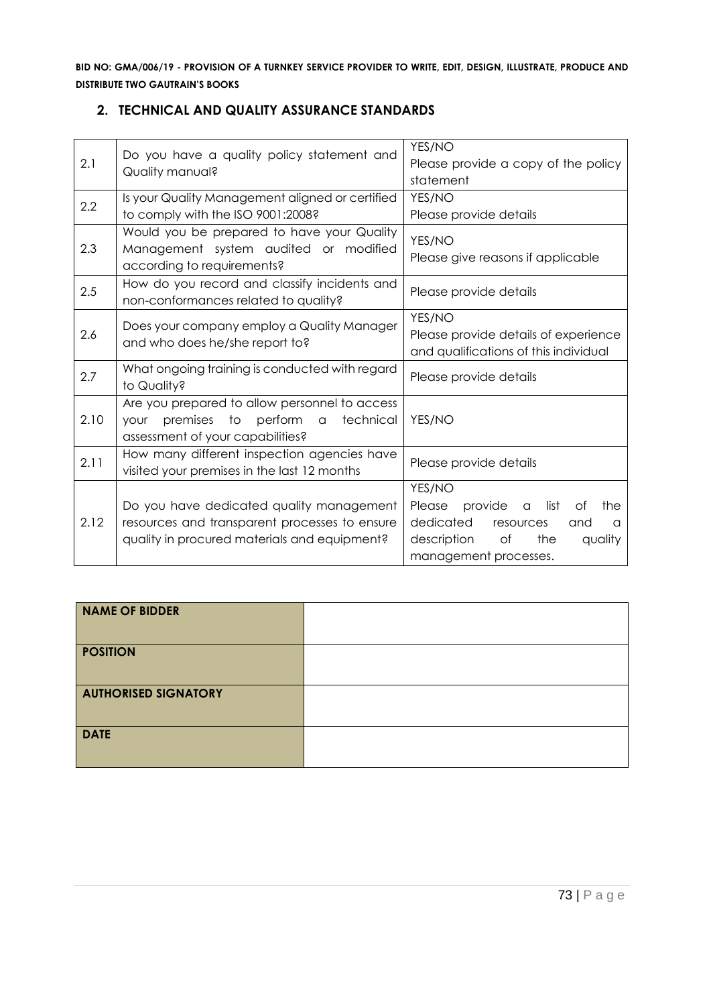| 2.1  | Do you have a quality policy statement and<br>Quality manual?                                                                             | YES/NO<br>Please provide a copy of the policy<br>statement                                                                                                         |
|------|-------------------------------------------------------------------------------------------------------------------------------------------|--------------------------------------------------------------------------------------------------------------------------------------------------------------------|
| 2.2  | Is your Quality Management aligned or certified<br>to comply with the ISO 9001:2008?                                                      | YES/NO<br>Please provide details                                                                                                                                   |
| 2.3  | Would you be prepared to have your Quality<br>Management system audited or modified<br>according to requirements?                         | YES/NO<br>Please give reasons if applicable                                                                                                                        |
| 2.5  | How do you record and classify incidents and<br>non-conformances related to quality?                                                      | Please provide details                                                                                                                                             |
| 2.6  | Does your company employ a Quality Manager<br>and who does he/she report to?                                                              | YES/NO<br>Please provide details of experience<br>and qualifications of this individual                                                                            |
| 2.7  | What ongoing training is conducted with regard<br>to Quality?                                                                             | Please provide details                                                                                                                                             |
| 2.10 | Are you prepared to allow personnel to access<br>premises to perform a<br>technical<br><b>YOUr</b><br>assessment of your capabilities?    | YES/NO                                                                                                                                                             |
| 2.11 | How many different inspection agencies have<br>visited your premises in the last 12 months                                                | Please provide details                                                                                                                                             |
| 2.12 | Do you have dedicated quality management<br>resources and transparent processes to ensure<br>quality in procured materials and equipment? | YES/NO<br>provide<br>list<br>Please<br>Оf<br>the<br>a<br>dedicated<br>resources<br>and<br>$\Omega$<br>description<br>of<br>the<br>quality<br>management processes. |

## **2. TECHNICAL AND QUALITY ASSURANCE STANDARDS**

| <b>NAME OF BIDDER</b>       |  |
|-----------------------------|--|
| <b>POSITION</b>             |  |
| <b>AUTHORISED SIGNATORY</b> |  |
| <b>DATE</b>                 |  |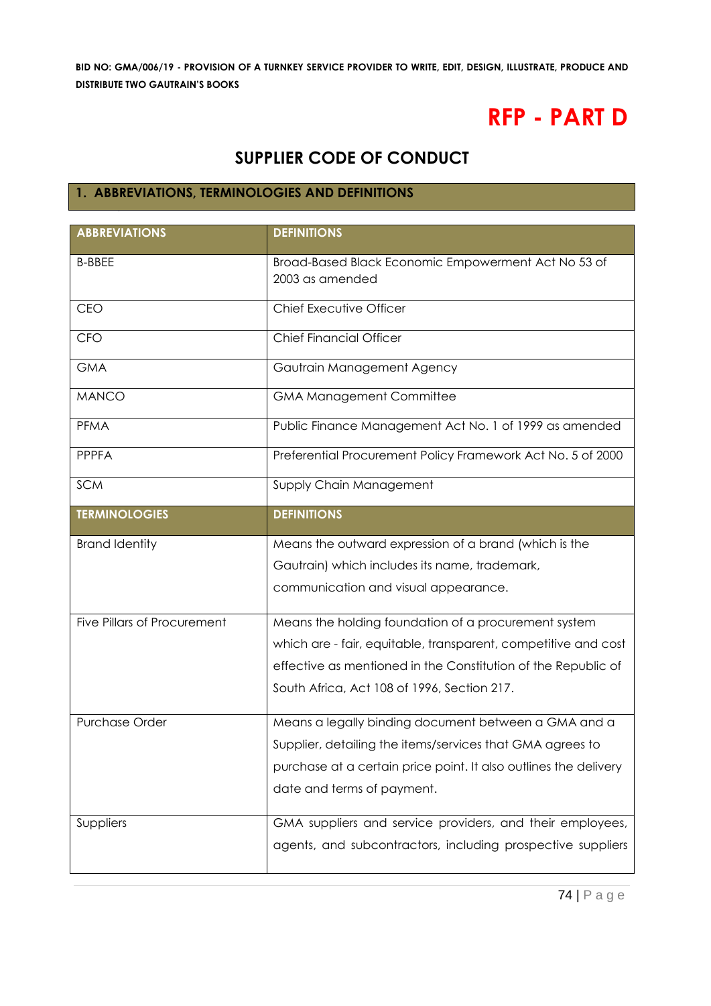# **RFP - PART D**

## **SUPPLIER CODE OF CONDUCT**

## **1. ABBREVIATIONS, TERMINOLOGIES AND DEFINITIONS**

| <b>ABBREVIATIONS</b>        | <b>DEFINITIONS</b>                                                     |
|-----------------------------|------------------------------------------------------------------------|
| <b>B-BBEE</b>               | Broad-Based Black Economic Empowerment Act No 53 of<br>2003 as amended |
| CEO                         | Chief Executive Officer                                                |
| CFO                         | <b>Chief Financial Officer</b>                                         |
| <b>GMA</b>                  | Gautrain Management Agency                                             |
| <b>MANCO</b>                | <b>GMA Management Committee</b>                                        |
| <b>PFMA</b>                 | Public Finance Management Act No. 1 of 1999 as amended                 |
| <b>PPPFA</b>                | Preferential Procurement Policy Framework Act No. 5 of 2000            |
| <b>SCM</b>                  | Supply Chain Management                                                |
| <b>TERMINOLOGIES</b>        | <b>DEFINITIONS</b>                                                     |
| <b>Brand Identity</b>       | Means the outward expression of a brand (which is the                  |
|                             | Gautrain) which includes its name, trademark,                          |
|                             | communication and visual appearance.                                   |
| Five Pillars of Procurement | Means the holding foundation of a procurement system                   |
|                             | which are - fair, equitable, transparent, competitive and cost         |
|                             | effective as mentioned in the Constitution of the Republic of          |
|                             | South Africa, Act 108 of 1996, Section 217.                            |
| <b>Purchase Order</b>       | Means a legally binding document between a GMA and a                   |
|                             | Supplier, detailing the items/services that GMA agrees to              |
|                             | purchase at a certain price point. It also outlines the delivery       |
|                             | date and terms of payment.                                             |
| Suppliers                   | GMA suppliers and service providers, and their employees,              |
|                             | agents, and subcontractors, including prospective suppliers            |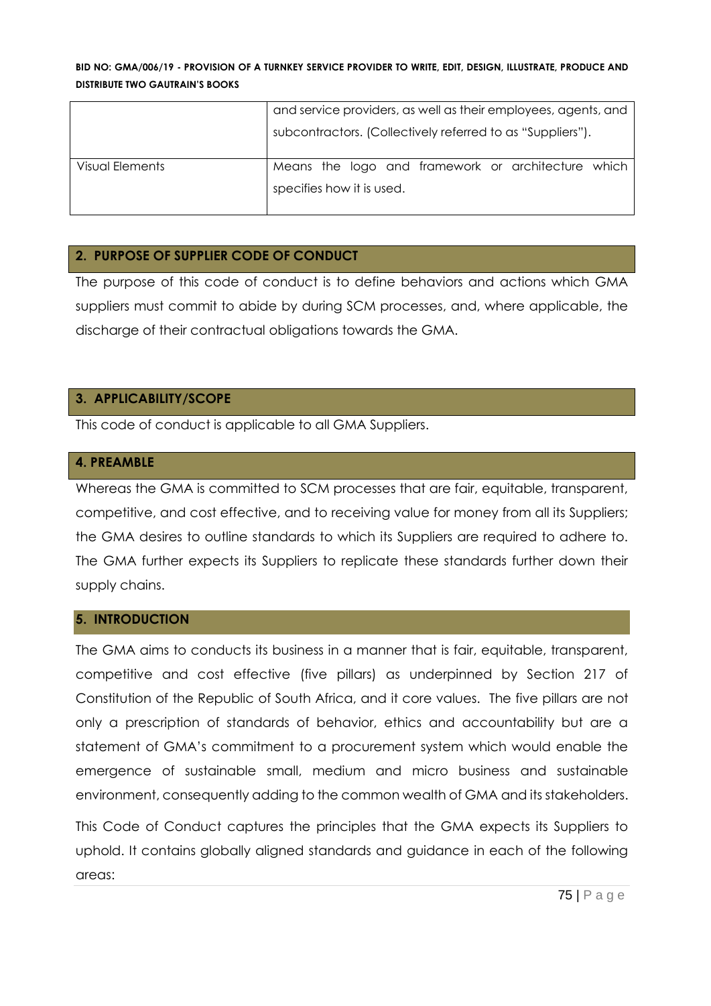|                 | and service providers, as well as their employees, agents, and |  |
|-----------------|----------------------------------------------------------------|--|
|                 | subcontractors. (Collectively referred to as "Suppliers").     |  |
| Visual Elements | Means the logo and framework or architecture which             |  |
|                 | specifies how it is used.                                      |  |

#### **2. PURPOSE OF SUPPLIER CODE OF CONDUCT**

The purpose of this code of conduct is to define behaviors and actions which GMA suppliers must commit to abide by during SCM processes, and, where applicable, the discharge of their contractual obligations towards the GMA.

## **3. APPLICABILITY/SCOPE**

This code of conduct is applicable to all GMA Suppliers.

#### **4. PREAMBLE**

Whereas the GMA is committed to SCM processes that are fair, equitable, transparent, competitive, and cost effective, and to receiving value for money from all its Suppliers; the GMA desires to outline standards to which its Suppliers are required to adhere to. The GMA further expects its Suppliers to replicate these standards further down their supply chains.

#### **5. INTRODUCTION**

The GMA aims to conducts its business in a manner that is fair, equitable, transparent, competitive and cost effective (five pillars) as underpinned by Section 217 of Constitution of the Republic of South Africa, and it core values. The five pillars are not only a prescription of standards of behavior, ethics and accountability but are a statement of GMA's commitment to a procurement system which would enable the emergence of sustainable small, medium and micro business and sustainable environment, consequently adding to the common wealth of GMA and its stakeholders.

This Code of Conduct captures the principles that the GMA expects its Suppliers to uphold. It contains globally aligned standards and guidance in each of the following areas: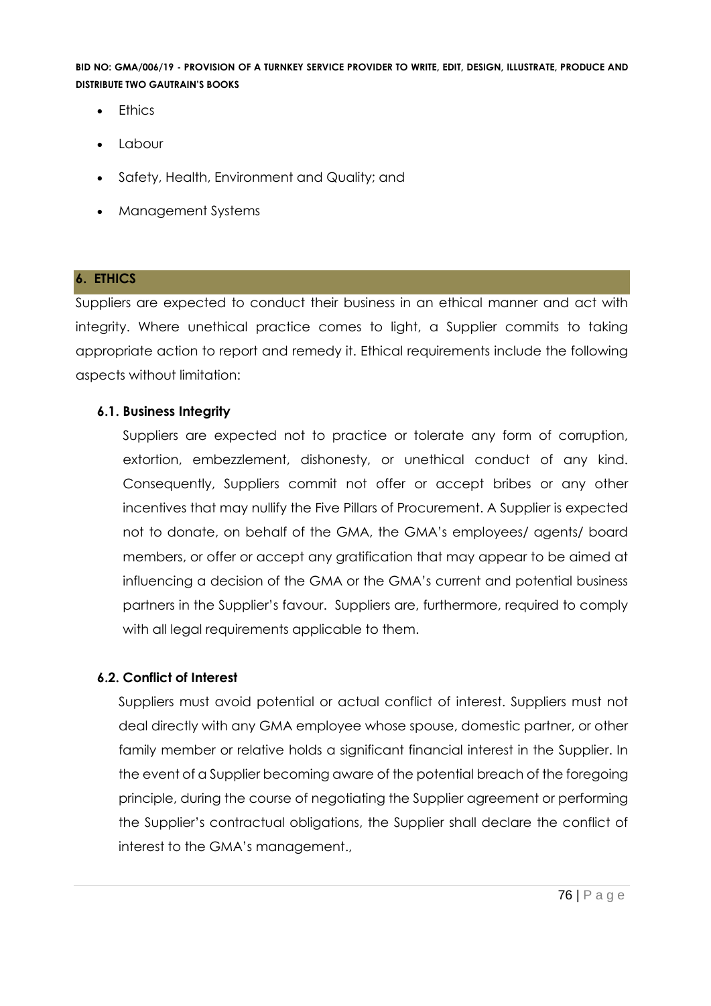- Ethics
- Labour
- Safety, Health, Environment and Quality; and
- Management Systems

## **6. ETHICS**

Suppliers are expected to conduct their business in an ethical manner and act with integrity. Where unethical practice comes to light, a Supplier commits to taking appropriate action to report and remedy it. Ethical requirements include the following aspects without limitation:

## **6.1. Business Integrity**

Suppliers are expected not to practice or tolerate any form of corruption, extortion, embezzlement, dishonesty, or unethical conduct of any kind. Consequently, Suppliers commit not offer or accept bribes or any other incentives that may nullify the Five Pillars of Procurement. A Supplier is expected not to donate, on behalf of the GMA, the GMA's employees/ agents/ board members, or offer or accept any gratification that may appear to be aimed at influencing a decision of the GMA or the GMA's current and potential business partners in the Supplier's favour. Suppliers are, furthermore, required to comply with all legal requirements applicable to them.

## **6.2. Conflict of Interest**

Suppliers must avoid potential or actual conflict of interest. Suppliers must not deal directly with any GMA employee whose spouse, domestic partner, or other family member or relative holds a significant financial interest in the Supplier. In the event of a Supplier becoming aware of the potential breach of the foregoing principle, during the course of negotiating the Supplier agreement or performing the Supplier's contractual obligations, the Supplier shall declare the conflict of interest to the GMA's management.,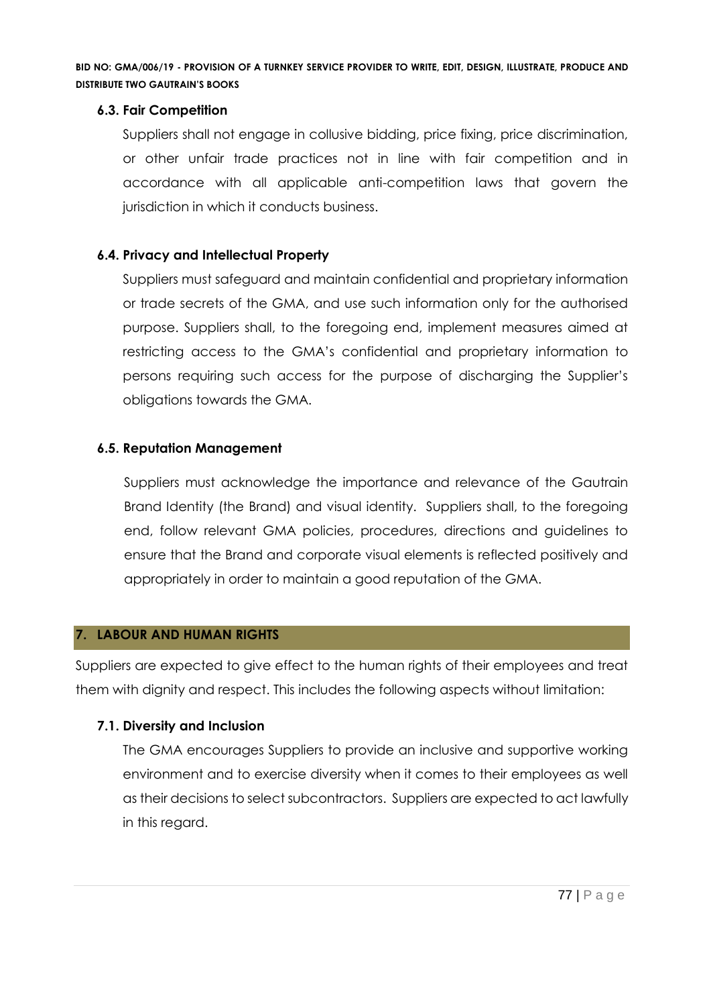## **6.3. Fair Competition**

Suppliers shall not engage in collusive bidding, price fixing, price discrimination, or other unfair trade practices not in line with fair competition and in accordance with all applicable anti-competition laws that govern the jurisdiction in which it conducts business.

## **6.4. Privacy and Intellectual Property**

Suppliers must safeguard and maintain confidential and proprietary information or trade secrets of the GMA, and use such information only for the authorised purpose. Suppliers shall, to the foregoing end, implement measures aimed at restricting access to the GMA's confidential and proprietary information to persons requiring such access for the purpose of discharging the Supplier's obligations towards the GMA.

## **6.5. Reputation Management**

Suppliers must acknowledge the importance and relevance of the Gautrain Brand Identity (the Brand) and visual identity. Suppliers shall, to the foregoing end, follow relevant GMA policies, procedures, directions and guidelines to ensure that the Brand and corporate visual elements is reflected positively and appropriately in order to maintain a good reputation of the GMA.

## **7. LABOUR AND HUMAN RIGHTS**

Suppliers are expected to give effect to the human rights of their employees and treat them with dignity and respect. This includes the following aspects without limitation:

## **7.1. Diversity and Inclusion**

The GMA encourages Suppliers to provide an inclusive and supportive working environment and to exercise diversity when it comes to their employees as well as their decisions to select subcontractors. Suppliers are expected to act lawfully in this regard.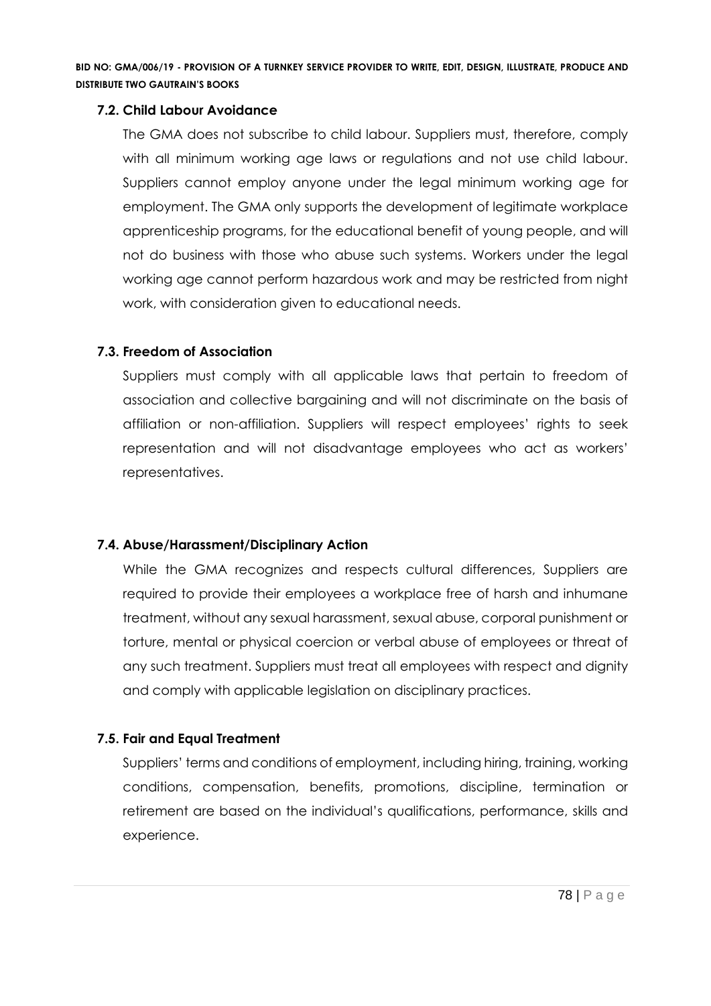## **7.2. Child Labour Avoidance**

The GMA does not subscribe to child labour. Suppliers must, therefore, comply with all minimum working age laws or regulations and not use child labour. Suppliers cannot employ anyone under the legal minimum working age for employment. The GMA only supports the development of legitimate workplace apprenticeship programs, for the educational benefit of young people, and will not do business with those who abuse such systems. Workers under the legal working age cannot perform hazardous work and may be restricted from night work, with consideration given to educational needs.

## **7.3. Freedom of Association**

Suppliers must comply with all applicable laws that pertain to freedom of association and collective bargaining and will not discriminate on the basis of affiliation or non-affiliation. Suppliers will respect employees' rights to seek representation and will not disadvantage employees who act as workers' representatives.

## **7.4. Abuse/Harassment/Disciplinary Action**

While the GMA recognizes and respects cultural differences, Suppliers are required to provide their employees a workplace free of harsh and inhumane treatment, without any sexual harassment, sexual abuse, corporal punishment or torture, mental or physical coercion or verbal abuse of employees or threat of any such treatment. Suppliers must treat all employees with respect and dignity and comply with applicable legislation on disciplinary practices.

## **7.5. Fair and Equal Treatment**

Suppliers' terms and conditions of employment, including hiring, training, working conditions, compensation, benefits, promotions, discipline, termination or retirement are based on the individual's qualifications, performance, skills and experience.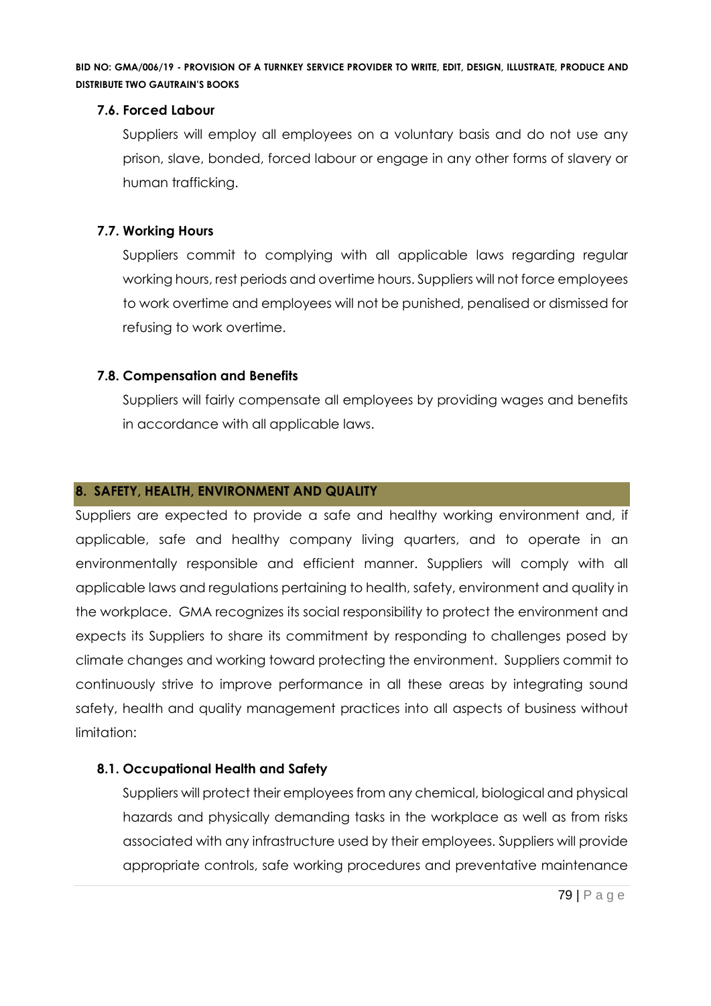## **7.6. Forced Labour**

Suppliers will employ all employees on a voluntary basis and do not use any prison, slave, bonded, forced labour or engage in any other forms of slavery or human trafficking.

## **7.7. Working Hours**

Suppliers commit to complying with all applicable laws regarding regular working hours, rest periods and overtime hours. Suppliers will not force employees to work overtime and employees will not be punished, penalised or dismissed for refusing to work overtime.

## **7.8. Compensation and Benefits**

Suppliers will fairly compensate all employees by providing wages and benefits in accordance with all applicable laws.

## **8. SAFETY, HEALTH, ENVIRONMENT AND QUALITY**

Suppliers are expected to provide a safe and healthy working environment and, if applicable, safe and healthy company living quarters, and to operate in an environmentally responsible and efficient manner. Suppliers will comply with all applicable laws and regulations pertaining to health, safety, environment and quality in the workplace. GMA recognizes its social responsibility to protect the environment and expects its Suppliers to share its commitment by responding to challenges posed by climate changes and working toward protecting the environment. Suppliers commit to continuously strive to improve performance in all these areas by integrating sound safety, health and quality management practices into all aspects of business without limitation:

## **8.1. Occupational Health and Safety**

Suppliers will protect their employees from any chemical, biological and physical hazards and physically demanding tasks in the workplace as well as from risks associated with any infrastructure used by their employees. Suppliers will provide appropriate controls, safe working procedures and preventative maintenance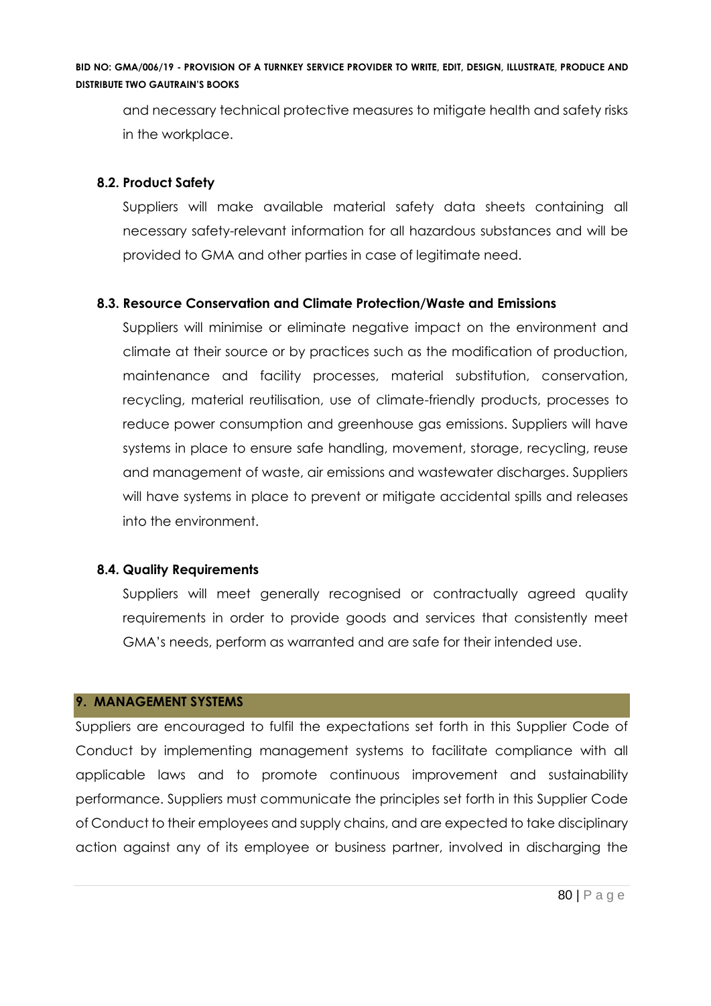and necessary technical protective measures to mitigate health and safety risks in the workplace.

## **8.2. Product Safety**

Suppliers will make available material safety data sheets containing all necessary safety-relevant information for all hazardous substances and will be provided to GMA and other parties in case of legitimate need.

## **8.3. Resource Conservation and Climate Protection/Waste and Emissions**

Suppliers will minimise or eliminate negative impact on the environment and climate at their source or by practices such as the modification of production, maintenance and facility processes, material substitution, conservation, recycling, material reutilisation, use of climate-friendly products, processes to reduce power consumption and greenhouse gas emissions. Suppliers will have systems in place to ensure safe handling, movement, storage, recycling, reuse and management of waste, air emissions and wastewater discharges. Suppliers will have systems in place to prevent or mitigate accidental spills and releases into the environment.

## **8.4. Quality Requirements**

Suppliers will meet generally recognised or contractually agreed quality requirements in order to provide goods and services that consistently meet GMA's needs, perform as warranted and are safe for their intended use.

## **9. MANAGEMENT SYSTEMS**

Suppliers are encouraged to fulfil the expectations set forth in this Supplier Code of Conduct by implementing management systems to facilitate compliance with all applicable laws and to promote continuous improvement and sustainability performance. Suppliers must communicate the principles set forth in this Supplier Code of Conduct to their employees and supply chains, and are expected to take disciplinary action against any of its employee or business partner, involved in discharging the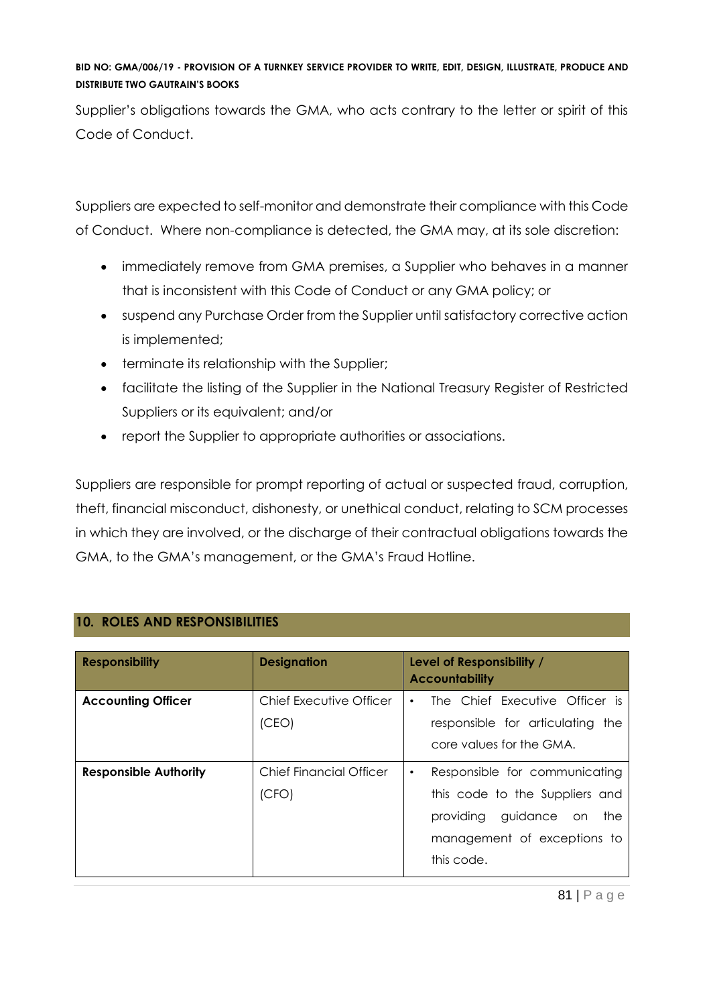Supplier's obligations towards the GMA, who acts contrary to the letter or spirit of this Code of Conduct.

Suppliers are expected to self-monitor and demonstrate their compliance with this Code of Conduct. Where non-compliance is detected, the GMA may, at its sole discretion:

- immediately remove from GMA premises, a Supplier who behaves in a manner that is inconsistent with this Code of Conduct or any GMA policy; or
- suspend any Purchase Order from the Supplier until satisfactory corrective action is implemented;
- terminate its relationship with the Supplier;
- facilitate the listing of the Supplier in the National Treasury Register of Restricted Suppliers or its equivalent; and/or
- report the Supplier to appropriate authorities or associations.

Suppliers are responsible for prompt reporting of actual or suspected fraud, corruption, theft, financial misconduct, dishonesty, or unethical conduct, relating to SCM processes in which they are involved, or the discharge of their contractual obligations towards the GMA, to the GMA's management, or the GMA's Fraud Hotline.

| <b>Responsibility</b>        | <b>Designation</b>               | Level of Responsibility /<br><b>Accountability</b>                                                                                             |
|------------------------------|----------------------------------|------------------------------------------------------------------------------------------------------------------------------------------------|
| <b>Accounting Officer</b>    | Chief Executive Officer<br>(CEO) | The Chief Executive Officer is<br>٠<br>responsible for articulating the<br>core values for the GMA.                                            |
| <b>Responsible Authority</b> | Chief Financial Officer<br>(CFO) | Responsible for communicating<br>٠<br>this code to the Suppliers and<br>providing guidance on the<br>management of exceptions to<br>this code. |

## **10. ROLES AND RESPONSIBILITIES**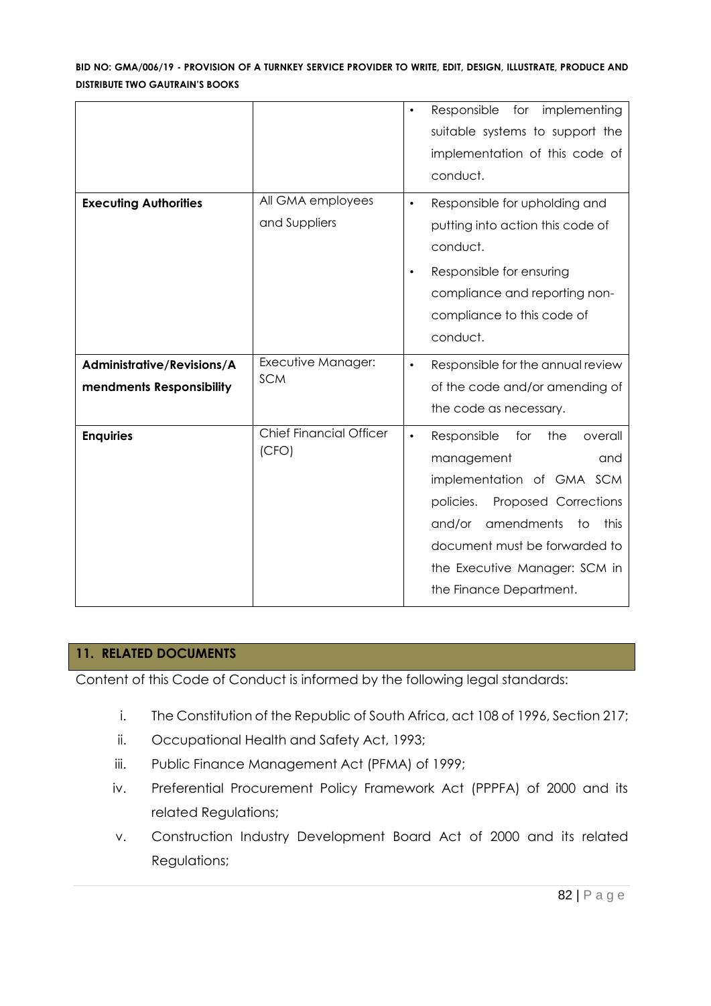|                                                        |                                         | Responsible<br>implementing<br>for<br>$\bullet$<br>suitable systems to support the<br>implementation of this code of<br>conduct.                                                                                                                                            |
|--------------------------------------------------------|-----------------------------------------|-----------------------------------------------------------------------------------------------------------------------------------------------------------------------------------------------------------------------------------------------------------------------------|
| <b>Executing Authorities</b>                           | All GMA employees<br>and Suppliers      | Responsible for upholding and<br>$\bullet$<br>putting into action this code of<br>conduct.<br>Responsible for ensuring<br>$\bullet$<br>compliance and reporting non-<br>compliance to this code of<br>conduct.                                                              |
| Administrative/Revisions/A<br>mendments Responsibility | Executive Manager:<br><b>SCM</b>        | Responsible for the annual review<br>$\bullet$<br>of the code and/or amending of<br>the code as necessary.                                                                                                                                                                  |
| <b>Enquiries</b>                                       | <b>Chief Financial Officer</b><br>(CFO) | Responsible<br>for<br>the<br>overall<br>$\bullet$<br>management<br>and<br>implementation of GMA SCM<br>policies.<br>Proposed Corrections<br>amendments<br>and/or<br>this<br>to<br>document must be forwarded to<br>the Executive Manager: SCM in<br>the Finance Department. |

## **11. RELATED DOCUMENTS**

Content of this Code of Conduct is informed by the following legal standards:

- i. The Constitution of the Republic of South Africa, act 108 of 1996, Section 217;
- ii. Occupational Health and Safety Act, 1993;
- iii. Public Finance Management Act (PFMA) of 1999;
- iv. Preferential Procurement Policy Framework Act (PPPFA) of 2000 and its related Regulations;
- v. Construction Industry Development Board Act of 2000 and its related Regulations;